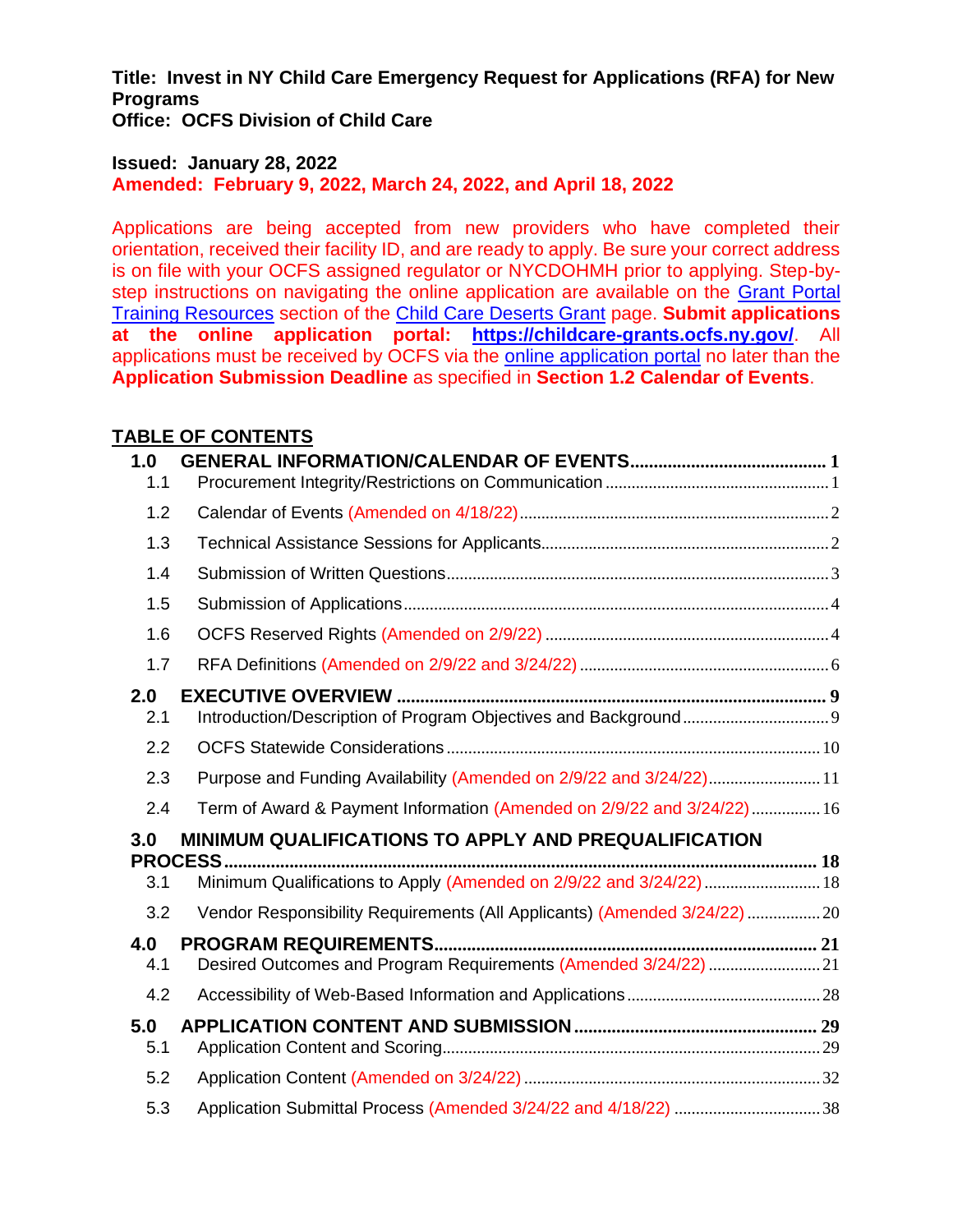**Title: Invest in NY Child Care Emergency Request for Applications (RFA) for New Programs Office: OCFS Division of Child Care**

### **Issued: January 28, 2022 Amended: February 9, 2022, March 24, 2022, and April 18, 2022**

Applications are being accepted from new providers who have completed their orientation, received their facility ID, and are ready to apply. Be sure your correct address is on file with your OCFS assigned regulator or NYCDOHMH prior to applying. Step-bystep instructions on navigating the online application are available on the [Grant Portal](https://gcc02.safelinks.protection.outlook.com/?url=https%3A%2F%2Focfs.ny.gov%2Fprograms%2Fchildcare%2Fdeserts%2F%23training-rscs&data=04%7C01%7CAllison.Taylor%40ocfs.ny.gov%7C0dab9a7bb3284898d99d08da2140e592%7Cf46cb8ea79004d108ceb80e8c1c81ee7%7C0%7C0%7C637858859855206939%7CUnknown%7CTWFpbGZsb3d8eyJWIjoiMC4wLjAwMDAiLCJQIjoiV2luMzIiLCJBTiI6Ik1haWwiLCJXVCI6Mn0%3D%7C3000&sdata=lN7%2FXSu0X1e%2BUHcfxaq5xEMEE1ulYgjLFXWPvj8eMtA%3D&reserved=0)  [Training Resources](https://gcc02.safelinks.protection.outlook.com/?url=https%3A%2F%2Focfs.ny.gov%2Fprograms%2Fchildcare%2Fdeserts%2F%23training-rscs&data=04%7C01%7CAllison.Taylor%40ocfs.ny.gov%7C0dab9a7bb3284898d99d08da2140e592%7Cf46cb8ea79004d108ceb80e8c1c81ee7%7C0%7C0%7C637858859855206939%7CUnknown%7CTWFpbGZsb3d8eyJWIjoiMC4wLjAwMDAiLCJQIjoiV2luMzIiLCJBTiI6Ik1haWwiLCJXVCI6Mn0%3D%7C3000&sdata=lN7%2FXSu0X1e%2BUHcfxaq5xEMEE1ulYgjLFXWPvj8eMtA%3D&reserved=0) section of the [Child Care Deserts Grant](https://gcc02.safelinks.protection.outlook.com/?url=https%3A%2F%2Focfs.ny.gov%2Fprograms%2Fchildcare%2Fdeserts%2F&data=04%7C01%7CAllison.Taylor%40ocfs.ny.gov%7C0dab9a7bb3284898d99d08da2140e592%7Cf46cb8ea79004d108ceb80e8c1c81ee7%7C0%7C0%7C637858859855206939%7CUnknown%7CTWFpbGZsb3d8eyJWIjoiMC4wLjAwMDAiLCJQIjoiV2luMzIiLCJBTiI6Ik1haWwiLCJXVCI6Mn0%3D%7C3000&sdata=n46NadXUjKmMVk%2FBqg0pacIwKMdlzJzFhUKZzM%2BEfnU%3D&reserved=0) page. **Submit applications at the online application portal: [https://childcare-grants.ocfs.ny.gov/](https://gcc02.safelinks.protection.outlook.com/?url=https%3A%2F%2Fchildcare-grants.ocfs.ny.gov%2F&data=04%7C01%7CAllison.Taylor%40ocfs.ny.gov%7C0dab9a7bb3284898d99d08da2140e592%7Cf46cb8ea79004d108ceb80e8c1c81ee7%7C0%7C0%7C637858859855206939%7CUnknown%7CTWFpbGZsb3d8eyJWIjoiMC4wLjAwMDAiLCJQIjoiV2luMzIiLCJBTiI6Ik1haWwiLCJXVCI6Mn0%3D%7C3000&sdata=mvQkuJMoecd0o5jQO5NNaDe0DAsiHl7M%2F%2FUusJ1i%2BuM%3D&reserved=0)**. All applications must be received by OCFS via the [online application portal](https://gcc02.safelinks.protection.outlook.com/?url=https%3A%2F%2Fchildcare-grants.ocfs.ny.gov%2F&data=04%7C01%7CAllison.Taylor%40ocfs.ny.gov%7C0dab9a7bb3284898d99d08da2140e592%7Cf46cb8ea79004d108ceb80e8c1c81ee7%7C0%7C0%7C637858859855206939%7CUnknown%7CTWFpbGZsb3d8eyJWIjoiMC4wLjAwMDAiLCJQIjoiV2luMzIiLCJBTiI6Ik1haWwiLCJXVCI6Mn0%3D%7C3000&sdata=mvQkuJMoecd0o5jQO5NNaDe0DAsiHl7M%2F%2FUusJ1i%2BuM%3D&reserved=0) no later than the **Application Submission Deadline** as specified in **Section 1.2 Calendar of Events**.

### **TABLE OF CONTENTS**

| 1.0        |                                                                                                                             |  |
|------------|-----------------------------------------------------------------------------------------------------------------------------|--|
| 1.1        |                                                                                                                             |  |
| 1.2        |                                                                                                                             |  |
| 1.3        |                                                                                                                             |  |
| 1.4        |                                                                                                                             |  |
| 1.5        |                                                                                                                             |  |
| 1.6        |                                                                                                                             |  |
| 1.7        |                                                                                                                             |  |
| 2.0<br>2.1 |                                                                                                                             |  |
| 2.2        |                                                                                                                             |  |
| 2.3        | Purpose and Funding Availability (Amended on 2/9/22 and 3/24/22) 11                                                         |  |
| 2.4        | Term of Award & Payment Information (Amended on 2/9/22 and 3/24/22) 16                                                      |  |
| 3.0<br>3.1 | MINIMUM QUALIFICATIONS TO APPLY AND PREQUALIFICATION<br>Minimum Qualifications to Apply (Amended on 2/9/22 and 3/24/22)  18 |  |
| 3.2        | Vendor Responsibility Requirements (All Applicants) (Amended 3/24/22)  20                                                   |  |
| 4.0<br>4.1 | Desired Outcomes and Program Requirements (Amended 3/24/22)  21                                                             |  |
| 4.2        |                                                                                                                             |  |
| 5.0<br>5.1 |                                                                                                                             |  |
| 5.2        |                                                                                                                             |  |
| 5.3        |                                                                                                                             |  |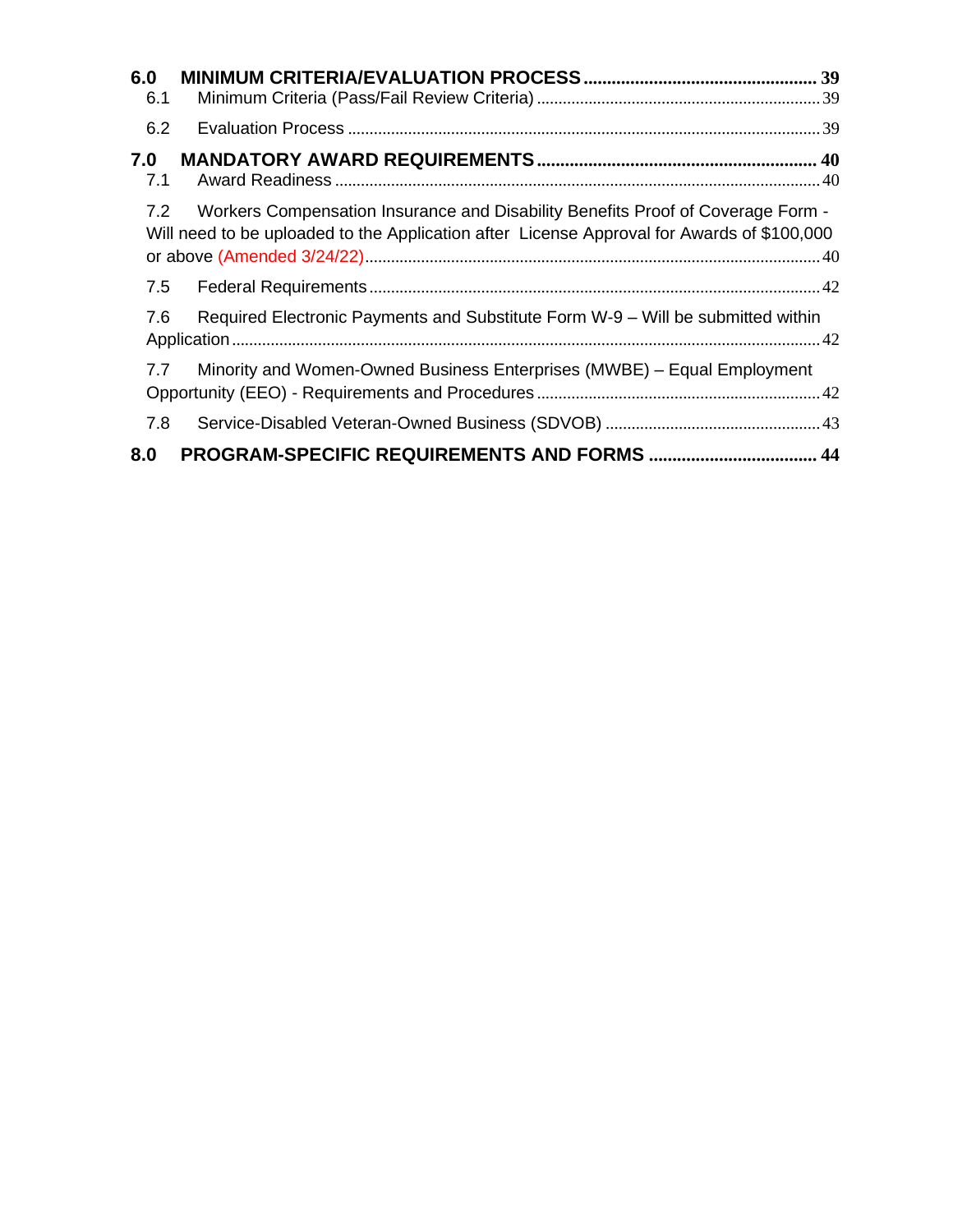| 6.0<br>6.1 |                                                                                                                                                                               |  |
|------------|-------------------------------------------------------------------------------------------------------------------------------------------------------------------------------|--|
| 6.2        |                                                                                                                                                                               |  |
| 7.0<br>7.1 |                                                                                                                                                                               |  |
| 7.2        | Workers Compensation Insurance and Disability Benefits Proof of Coverage Form -<br>Will need to be uploaded to the Application after License Approval for Awards of \$100,000 |  |
| 7.5        |                                                                                                                                                                               |  |
| 7.6        | Required Electronic Payments and Substitute Form W-9 - Will be submitted within                                                                                               |  |
| 7.7        | Minority and Women-Owned Business Enterprises (MWBE) – Equal Employment                                                                                                       |  |
| 7.8        |                                                                                                                                                                               |  |
| 8.0        |                                                                                                                                                                               |  |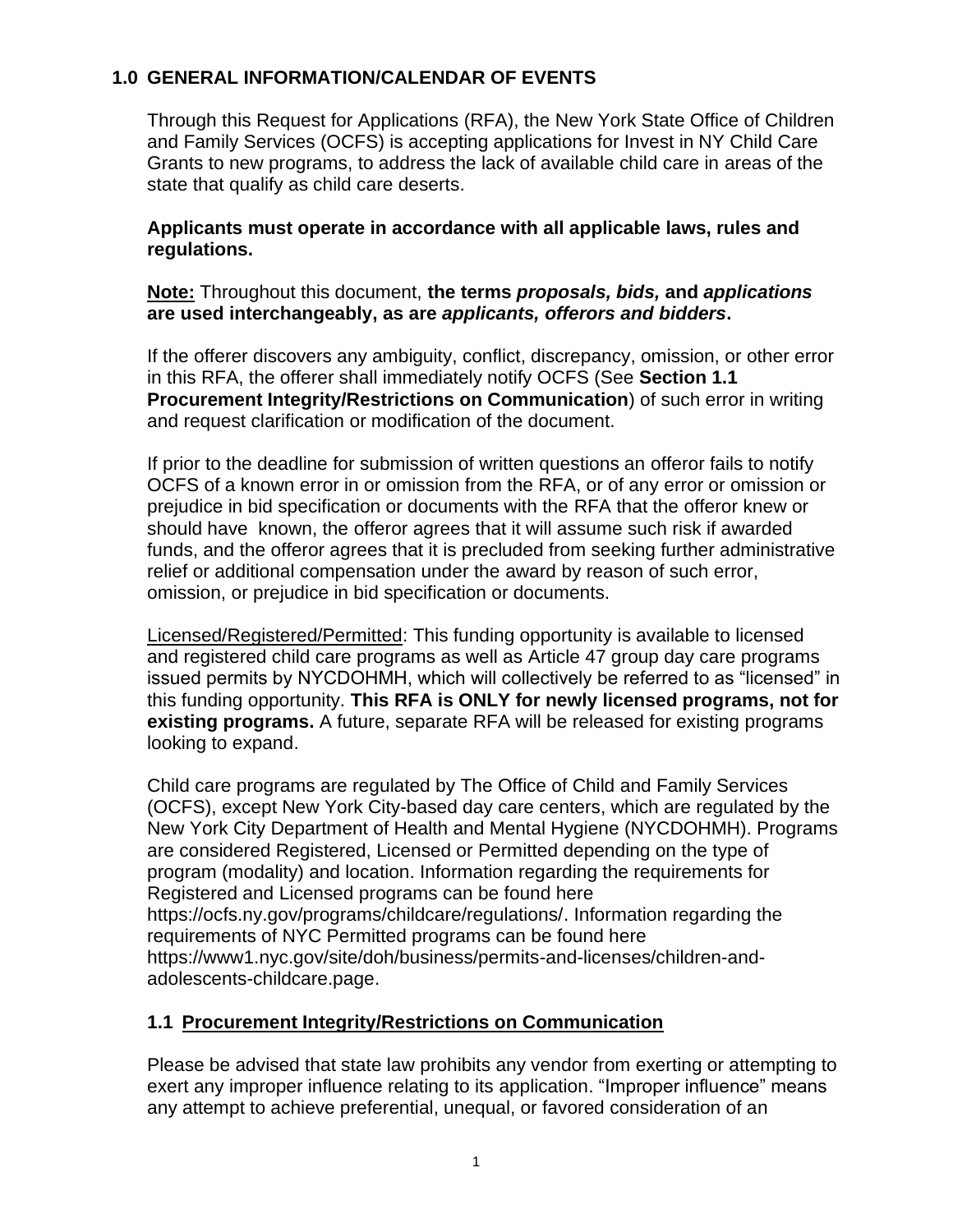# <span id="page-2-0"></span>**1.0 GENERAL INFORMATION/CALENDAR OF EVENTS**

Through this Request for Applications (RFA), the New York State Office of Children and Family Services (OCFS) is accepting applications for Invest in NY Child Care Grants to new programs, to address the lack of available child care in areas of the state that qualify as child care deserts.

**Applicants must operate in accordance with all applicable laws, rules and regulations.**

**Note:** Throughout this document, **the terms** *proposals, bids,* **and** *applications*  **are used interchangeably, as are** *applicants, offerors and bidders***.** 

If the offerer discovers any ambiguity, conflict, discrepancy, omission, or other error in this RFA, the offerer shall immediately notify OCFS (See **Section [1.1](#page-2-1) [Procurement Integrity/Restrictions on Communication](#page-2-1)**) of such error in writing and request clarification or modification of the document.

If prior to the deadline for submission of written questions an offeror fails to notify OCFS of a known error in or omission from the RFA, or of any error or omission or prejudice in bid specification or documents with the RFA that the offeror knew or should have known, the offeror agrees that it will assume such risk if awarded funds, and the offeror agrees that it is precluded from seeking further administrative relief or additional compensation under the award by reason of such error, omission, or prejudice in bid specification or documents.

Licensed/Registered/Permitted: This funding opportunity is available to licensed and registered child care programs as well as Article 47 group day care programs issued permits by NYCDOHMH, which will collectively be referred to as "licensed" in this funding opportunity. **This RFA is ONLY for newly licensed programs, not for existing programs.** A future, separate RFA will be released for existing programs looking to expand.

Child care programs are regulated by The Office of Child and Family Services (OCFS), except New York City-based day care centers, which are regulated by the New York City Department of Health and Mental Hygiene (NYCDOHMH). Programs are considered Registered, Licensed or Permitted depending on the type of program (modality) and location. Information regarding the requirements for Registered and Licensed programs can be found here [https://ocfs.ny.gov/programs/childcare/regulations/.](https://ocfs.ny.gov/programs/childcare/regulations/) Information regarding the requirements of NYC Permitted programs can be found here [https://www1.nyc.gov/site/doh/business/permits-and-licenses/children-and](https://www1.nyc.gov/site/doh/business/permits-and-licenses/children-and-adolescents-childcare.page)[adolescents-childcare.page.](https://www1.nyc.gov/site/doh/business/permits-and-licenses/children-and-adolescents-childcare.page)

# <span id="page-2-1"></span>**1.1 Procurement Integrity/Restrictions on Communication**

Please be advised that state law prohibits any vendor from exerting or attempting to exert any improper influence relating to its application. "Improper influence" means any attempt to achieve preferential, unequal, or favored consideration of an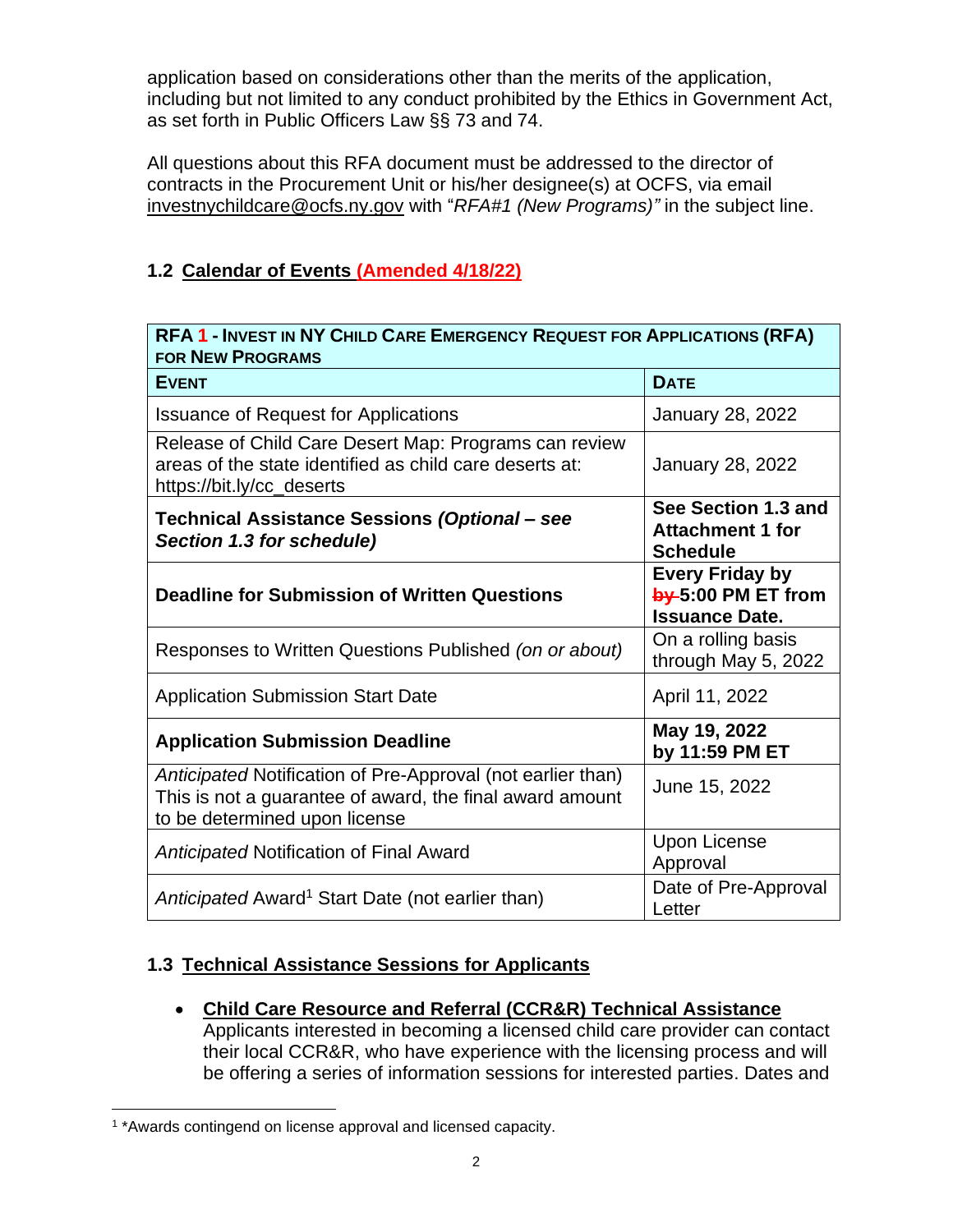application based on considerations other than the merits of the application, including but not limited to any conduct prohibited by the Ethics in Government Act, as set forth in Public Officers Law §§ 73 and 74.

All questions about this RFA document must be addressed to the director of contracts in the Procurement Unit or his/her designee(s) at OCFS, via email [investnychildcare@ocfs.ny.gov](mailto:investnychildcare@ocfs.ny.gov?subject=RFA#1 (New Programs)) with "*RFA#1 (New Programs)"* in the subject line.

# <span id="page-3-0"></span>**1.2 Calendar of Events (Amended 4/18/22)**

| RFA 1 - INVEST IN NY CHILD CARE EMERGENCY REQUEST FOR APPLICATIONS (RFA)<br><b>FOR NEW PROGRAMS</b>                                                      |                                                                       |  |  |  |
|----------------------------------------------------------------------------------------------------------------------------------------------------------|-----------------------------------------------------------------------|--|--|--|
| <b>EVENT</b>                                                                                                                                             | <b>DATE</b>                                                           |  |  |  |
| <b>Issuance of Request for Applications</b>                                                                                                              | <b>January 28, 2022</b>                                               |  |  |  |
| Release of Child Care Desert Map: Programs can review<br>areas of the state identified as child care deserts at:<br>https://bit.ly/cc_deserts            | January 28, 2022                                                      |  |  |  |
| Technical Assistance Sessions (Optional - see<br>Section 1.3 for schedule)                                                                               | See Section 1.3 and<br><b>Attachment 1 for</b><br><b>Schedule</b>     |  |  |  |
| <b>Deadline for Submission of Written Questions</b>                                                                                                      | <b>Every Friday by</b><br>by 5:00 PM ET from<br><b>Issuance Date.</b> |  |  |  |
| Responses to Written Questions Published (on or about)                                                                                                   | On a rolling basis<br>through May 5, 2022                             |  |  |  |
| <b>Application Submission Start Date</b>                                                                                                                 | April 11, 2022                                                        |  |  |  |
| <b>Application Submission Deadline</b>                                                                                                                   | May 19, 2022<br>by 11:59 PM ET                                        |  |  |  |
| Anticipated Notification of Pre-Approval (not earlier than)<br>This is not a guarantee of award, the final award amount<br>to be determined upon license | June 15, 2022                                                         |  |  |  |
| Anticipated Notification of Final Award                                                                                                                  | <b>Upon License</b><br>Approval                                       |  |  |  |
| Anticipated Award <sup>1</sup> Start Date (not earlier than)                                                                                             | Date of Pre-Approval<br>Letter                                        |  |  |  |

# <span id="page-3-1"></span>**1.3 Technical Assistance Sessions for Applicants**

• **Child Care Resource and Referral (CCR&R) Technical Assistance**  Applicants interested in becoming a licensed child care provider can contact their local CCR&R, who have experience with the licensing process and will be offering a series of information sessions for interested parties. Dates and

<sup>&</sup>lt;sup>1</sup> \*Awards contingend on license approval and licensed capacity.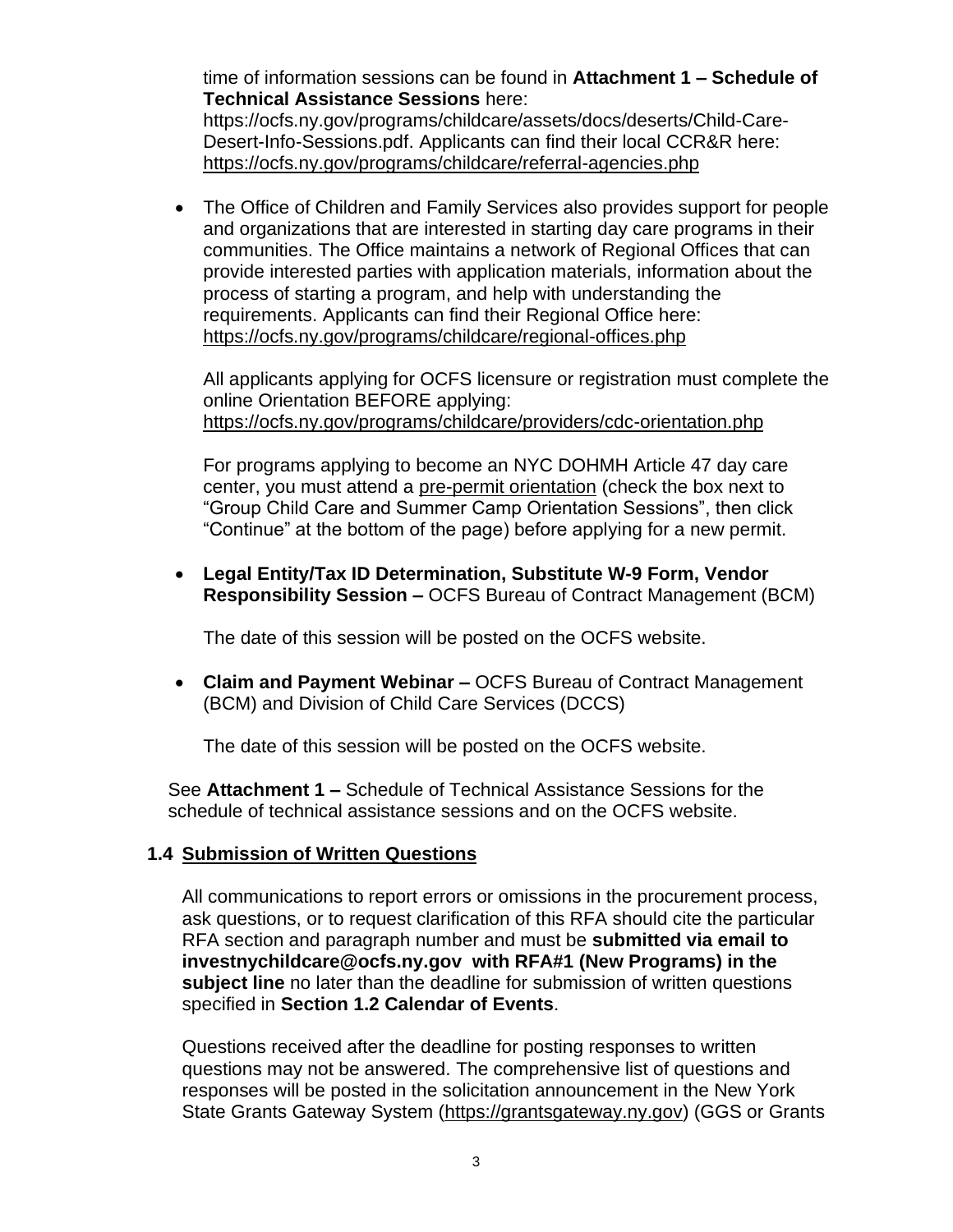time of information sessions can be found in **Attachment 1 – Schedule of Technical Assistance Sessions** here:

[https://ocfs.ny.gov/programs/childcare/assets/docs/deserts/Child-Care-](https://ocfs.ny.gov/programs/childcare/assets/docs/deserts/Child-Care-Desert-Info-Sessions.pdf)[Desert-Info-Sessions.pdf.](https://ocfs.ny.gov/programs/childcare/assets/docs/deserts/Child-Care-Desert-Info-Sessions.pdf) Applicants can find their local CCR&R here: <https://ocfs.ny.gov/programs/childcare/referral-agencies.php>

• The Office of Children and Family Services also provides support for people and organizations that are interested in starting day care programs in their communities. The Office maintains a network of Regional Offices that can provide interested parties with application materials, information about the process of starting a program, and help with understanding the requirements. Applicants can find their Regional Office here: <https://ocfs.ny.gov/programs/childcare/regional-offices.php>

All applicants applying for OCFS licensure or registration must complete the online Orientation BEFORE applying: <https://ocfs.ny.gov/programs/childcare/providers/cdc-orientation.php>

For programs applying to become an NYC DOHMH Article 47 day care center, you must attend a [pre-permit orientation](https://a816-healthpsi.nyc.gov/OnlineRegistration/dohmh/DOHMHService.action) (check the box next to "Group Child Care and Summer Camp Orientation Sessions", then click "Continue" at the bottom of the page) before applying for a new permit.

• **Legal Entity/Tax ID Determination, Substitute W-9 Form, Vendor Responsibility Session –** OCFS Bureau of Contract Management (BCM)

The date of this session will be posted on the OCFS website.

• **Claim and Payment Webinar –** OCFS Bureau of Contract Management (BCM) and Division of Child Care Services (DCCS)

The date of this session will be posted on the OCFS website.

See **Attachment 1 –** [Schedule of Technical Assistance Sessions](https://ocfs.ny.gov/programs/childcare/assets/docs/deserts/Child-Care-Desert-Info-Sessions.pdf) for the schedule of technical assistance sessions and on the OCFS website.

# <span id="page-4-0"></span>**1.4 Submission of Written Questions**

All communications to report errors or omissions in the procurement process, ask questions, or to request clarification of this RFA should cite the particular RFA section and paragraph number and must be **submitted via email to investnychildcar[e@ocfs.ny.gov](mailto:@ocfs.ny.gov) with RFA#1 (New Programs) in the subject line** no later than the deadline for submission of written questions specified in **Section [1.2](#page-3-0) [Calendar of Events](#page-3-0)**.

Questions received after the deadline for posting responses to written questions may not be answered. The comprehensive list of questions and responses will be posted in the solicitation announcement in the New York State Grants Gateway System [\(https://grantsgateway.ny.gov\)](https://grantsgateway.ny.gov/) (GGS or Grants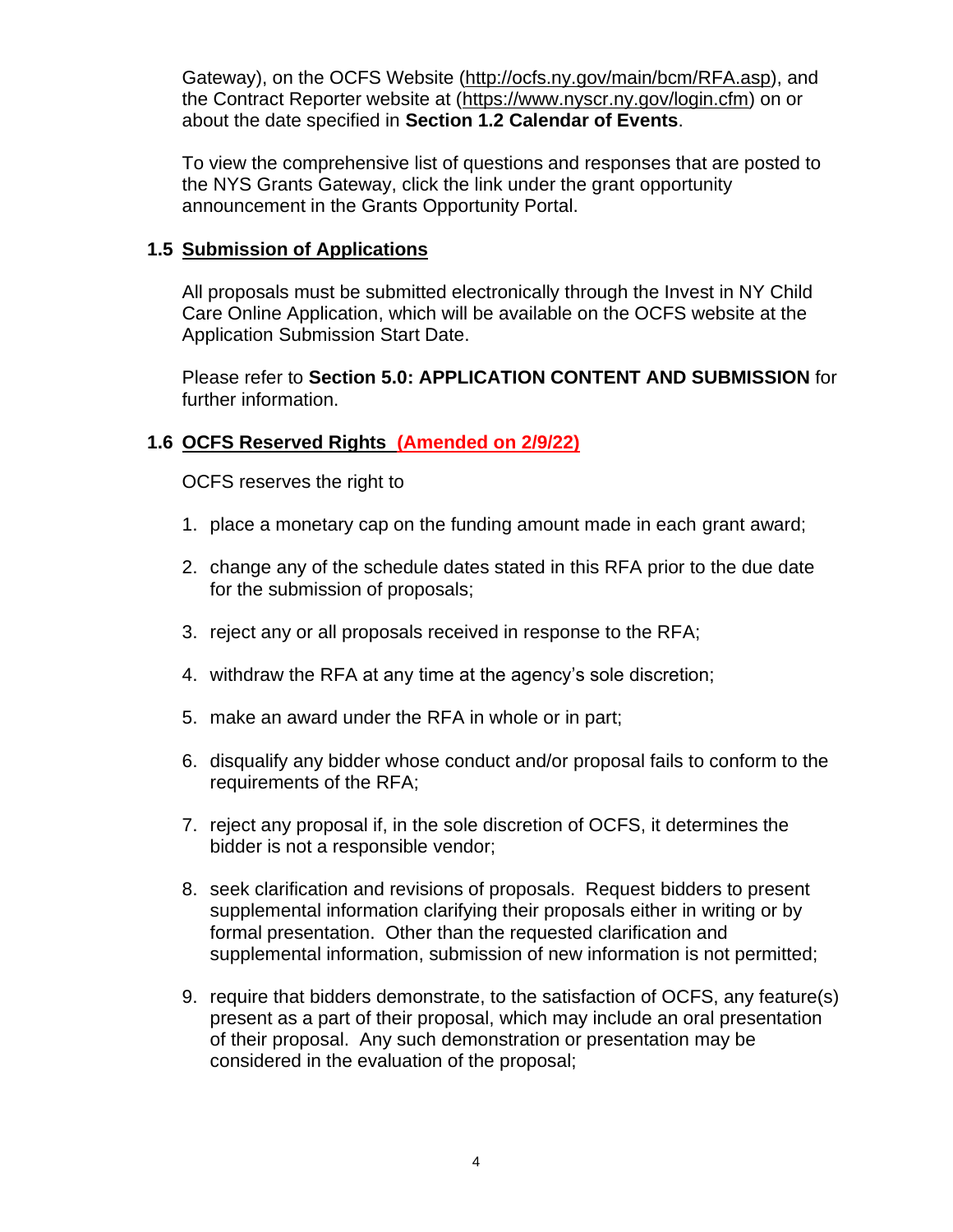Gateway), on the OCFS Website [\(http://ocfs.ny.gov/main/bcm/RFA.asp\)](http://ocfs.ny.gov/main/bcm/rfp.asp), and the Contract Reporter website at [\(https://www.nyscr.ny.gov/login.cfm\)](https://www.nyscr.ny.gov/login.cfm) on or about the date specified in **Section [1.2](#page-3-0) [Calendar of Events](#page-3-0)**.

To view the comprehensive list of questions and responses that are posted to the NYS Grants Gateway, click the link under the grant opportunity announcement in the Grants Opportunity Portal.

### <span id="page-5-0"></span>**1.5 Submission of Applications**

All proposals must be submitted electronically through the Invest in NY Child Care Online Application, which will be available on the OCFS website at the Application Submission Start Date.

Please refer to **Section [5.0: APPLICATION CONTENT](#page-30-0) AND SUBMISSION** for further information.

# <span id="page-5-1"></span>**1.6 OCFS Reserved Rights (Amended on 2/9/22)**

OCFS reserves the right to

- 1. place a monetary cap on the funding amount made in each grant award;
- 2. change any of the schedule dates stated in this RFA prior to the due date for the submission of proposals;
- 3. reject any or all proposals received in response to the RFA;
- 4. withdraw the RFA at any time at the agency's sole discretion;
- 5. make an award under the RFA in whole or in part;
- 6. disqualify any bidder whose conduct and/or proposal fails to conform to the requirements of the RFA;
- 7. reject any proposal if, in the sole discretion of OCFS, it determines the bidder is not a responsible vendor;
- 8. seek clarification and revisions of proposals. Request bidders to present supplemental information clarifying their proposals either in writing or by formal presentation. Other than the requested clarification and supplemental information, submission of new information is not permitted;
- 9. require that bidders demonstrate, to the satisfaction of OCFS, any feature(s) present as a part of their proposal, which may include an oral presentation of their proposal. Any such demonstration or presentation may be considered in the evaluation of the proposal;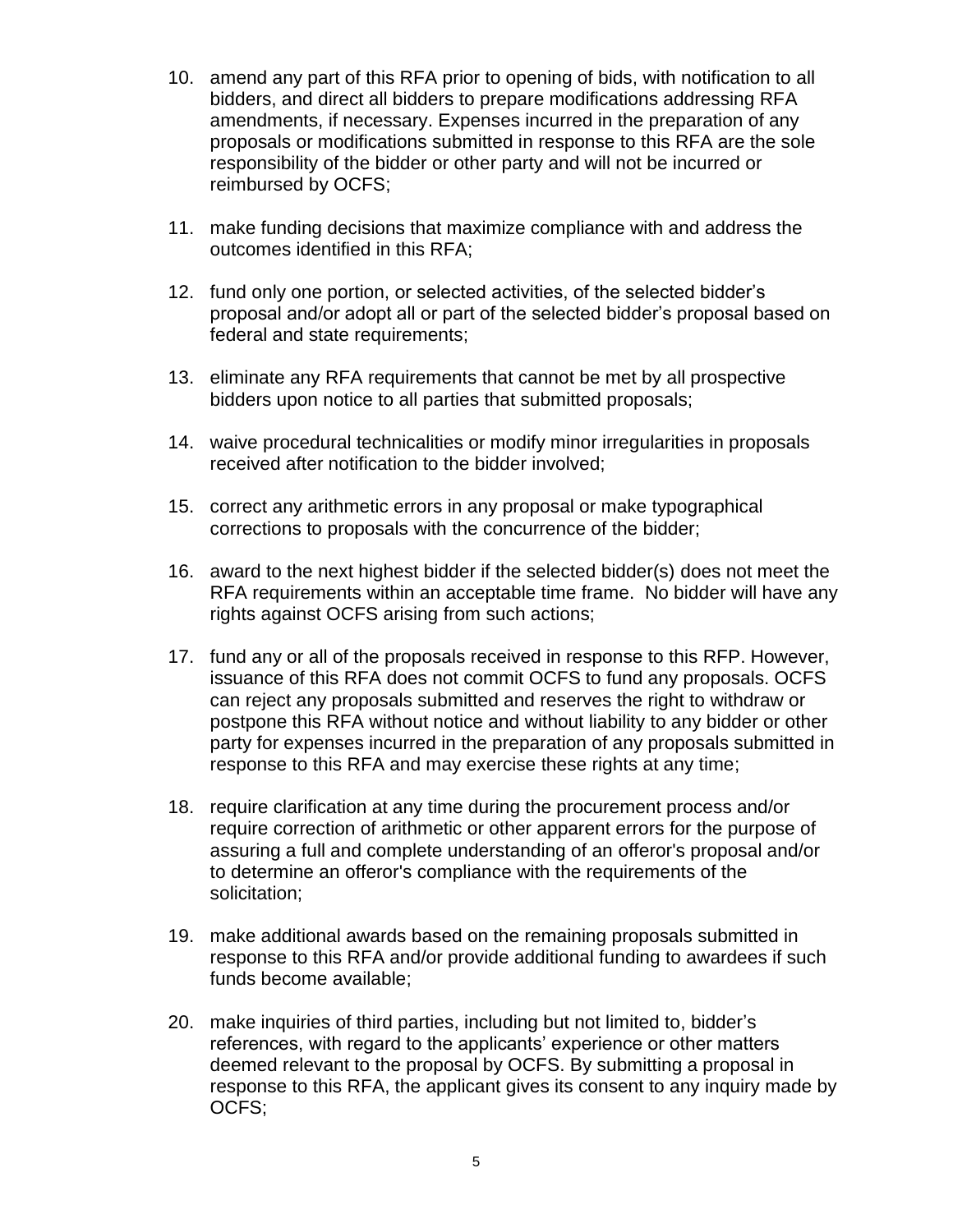- 10. amend any part of this RFA prior to opening of bids, with notification to all bidders, and direct all bidders to prepare modifications addressing RFA amendments, if necessary. Expenses incurred in the preparation of any proposals or modifications submitted in response to this RFA are the sole responsibility of the bidder or other party and will not be incurred or reimbursed by OCFS;
- 11. make funding decisions that maximize compliance with and address the outcomes identified in this RFA;
- 12. fund only one portion, or selected activities, of the selected bidder's proposal and/or adopt all or part of the selected bidder's proposal based on federal and state requirements;
- 13. eliminate any RFA requirements that cannot be met by all prospective bidders upon notice to all parties that submitted proposals;
- 14. waive procedural technicalities or modify minor irregularities in proposals received after notification to the bidder involved;
- 15. correct any arithmetic errors in any proposal or make typographical corrections to proposals with the concurrence of the bidder;
- 16. award to the next highest bidder if the selected bidder(s) does not meet the RFA requirements within an acceptable time frame. No bidder will have any rights against OCFS arising from such actions;
- 17. fund any or all of the proposals received in response to this RFP. However, issuance of this RFA does not commit OCFS to fund any proposals. OCFS can reject any proposals submitted and reserves the right to withdraw or postpone this RFA without notice and without liability to any bidder or other party for expenses incurred in the preparation of any proposals submitted in response to this RFA and may exercise these rights at any time;
- 18. require clarification at any time during the procurement process and/or require correction of arithmetic or other apparent errors for the purpose of assuring a full and complete understanding of an offeror's proposal and/or to determine an offeror's compliance with the requirements of the solicitation;
- 19. make additional awards based on the remaining proposals submitted in response to this RFA and/or provide additional funding to awardees if such funds become available;
- 20. make inquiries of third parties, including but not limited to, bidder's references, with regard to the applicants' experience or other matters deemed relevant to the proposal by OCFS. By submitting a proposal in response to this RFA, the applicant gives its consent to any inquiry made by OCFS;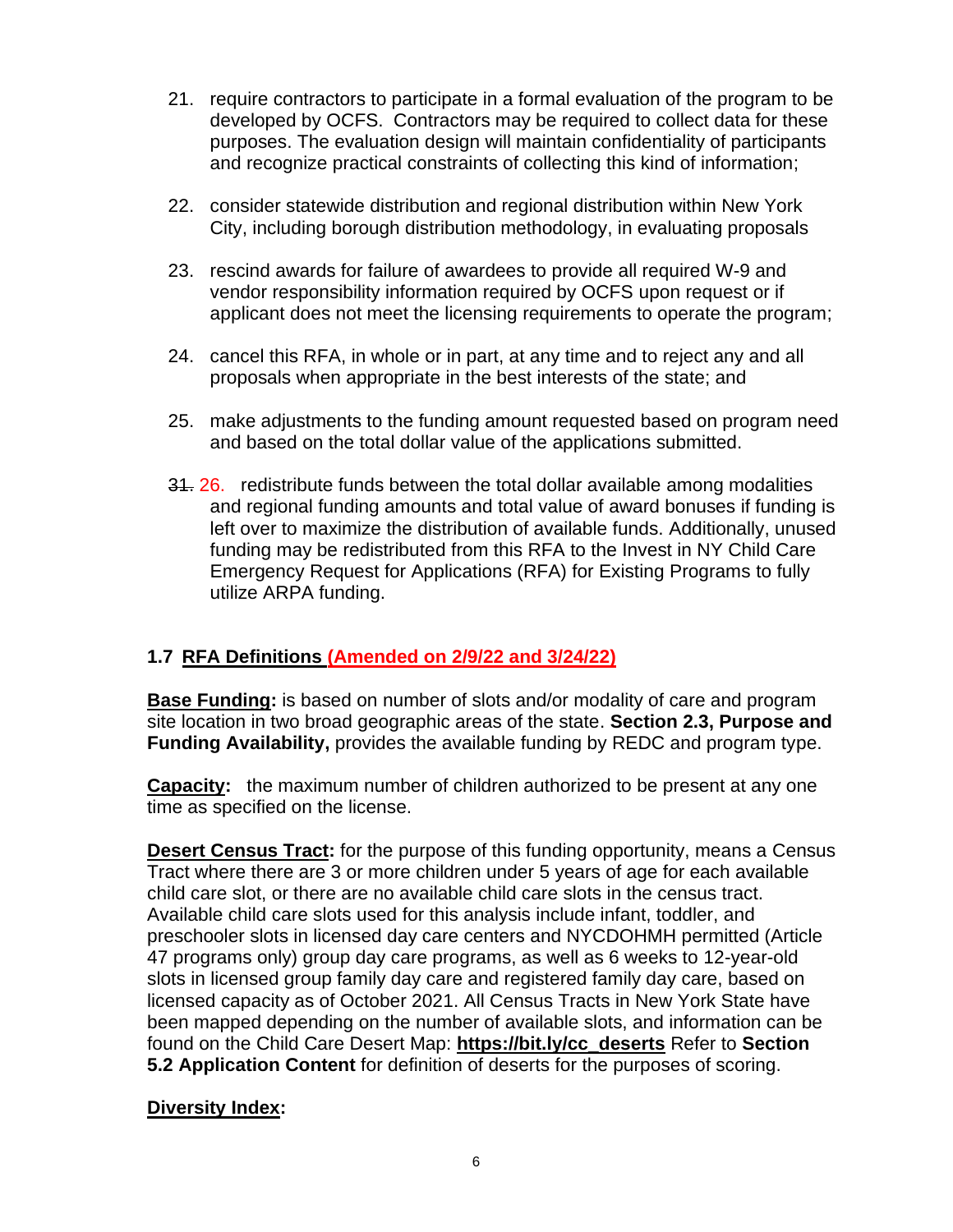- 21. require contractors to participate in a formal evaluation of the program to be developed by OCFS. Contractors may be required to collect data for these purposes. The evaluation design will maintain confidentiality of participants and recognize practical constraints of collecting this kind of information;
- 22. consider statewide distribution and regional distribution within New York City, including borough distribution methodology, in evaluating proposals
- 23. rescind awards for failure of awardees to provide all required W-9 and vendor responsibility information required by OCFS upon request or if applicant does not meet the licensing requirements to operate the program;
- 24. cancel this RFA, in whole or in part, at any time and to reject any and all proposals when appropriate in the best interests of the state; and
- 25. make adjustments to the funding amount requested based on program need and based on the total dollar value of the applications submitted.
- 31. 26. redistribute funds between the total dollar available among modalities and regional funding amounts and total value of award bonuses if funding is left over to maximize the distribution of available funds. Additionally, unused funding may be redistributed from this RFA to the Invest in NY Child Care Emergency Request for Applications (RFA) for Existing Programs to fully utilize ARPA funding.

# <span id="page-7-0"></span>**1.7 RFA Definitions (Amended on 2/9/22 and 3/24/22)**

**Base Funding:** is based on number of slots and/or modality of care and program site location in two broad geographic areas of the state. **Section [2.3, Purpose and](#page-12-0)  [Funding Availability,](#page-12-0)** provides the available funding by REDC and program type.

**Capacity:** the maximum number of children authorized to be present at any one time as specified on the license.

**Desert Census Tract:** for the purpose of this funding opportunity, means a Census Tract where there are 3 or more children under 5 years of age for each available child care slot, or there are no available child care slots in the census tract. Available child care slots used for this analysis include infant, toddler, and preschooler slots in licensed day care centers and NYCDOHMH permitted (Article 47 programs only) group day care programs, as well as 6 weeks to 12-year-old slots in licensed group family day care and registered family day care, based on licensed capacity as of October 2021. All Census Tracts in New York State have been mapped depending on the number of available slots, and information can be found on the Child Care Desert Map: **[https://bit.ly/cc\\_deserts](https://bit.ly/cc_deserts)** Refer to **Section [5.2](#page-33-0) [Application Content](#page-33-0)** for definition of deserts for the purposes of scoring.

# **Diversity Index:**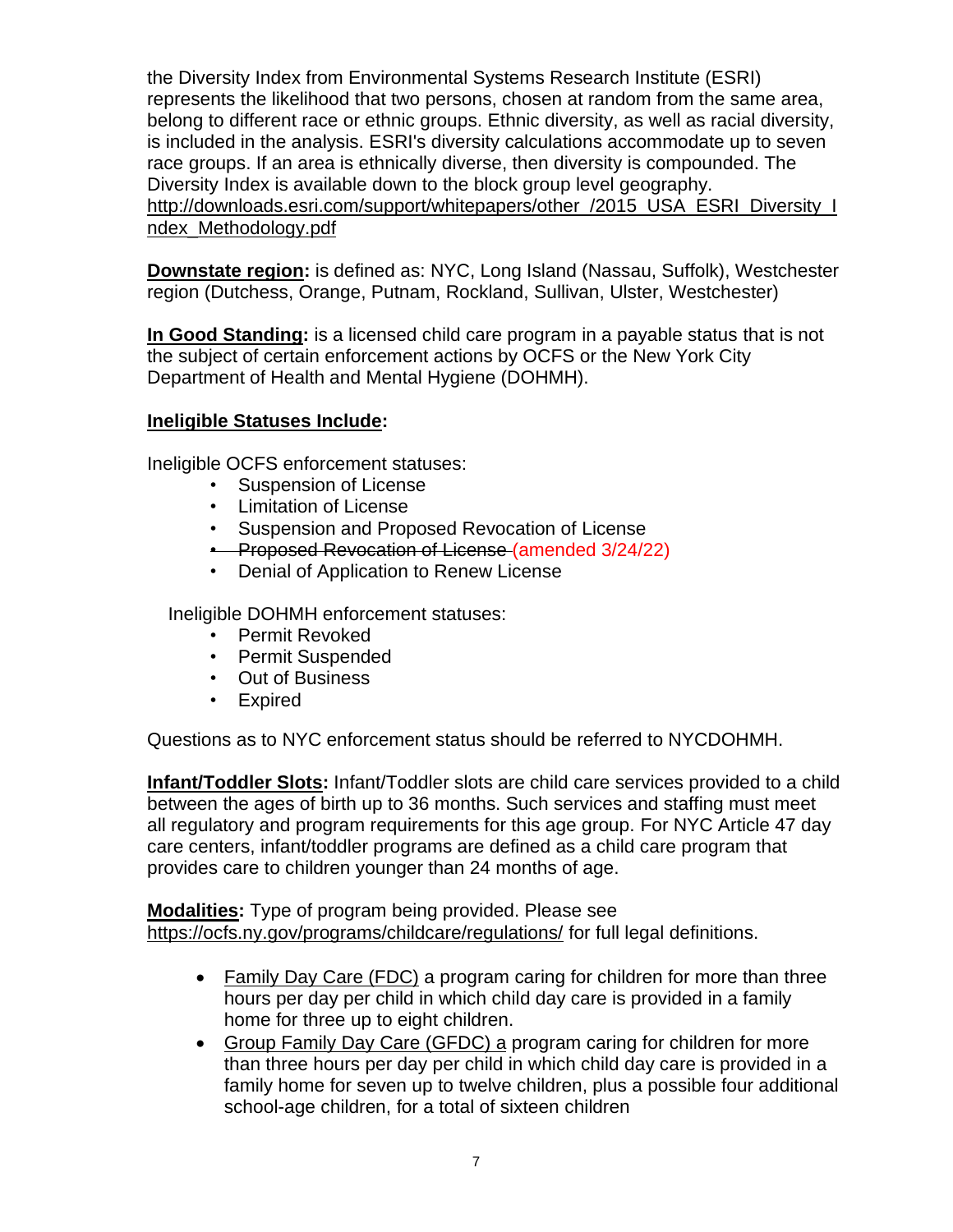the Diversity Index from Environmental Systems Research Institute (ESRI) represents the likelihood that two persons, chosen at random from the same area, belong to different race or ethnic groups. Ethnic diversity, as well as racial diversity, is included in the analysis. ESRI's diversity calculations accommodate up to seven race groups. If an area is ethnically diverse, then diversity is compounded. The Diversity Index is available down to the block group level geography. [http://downloads.esri.com/support/whitepapers/other\\_/2015\\_USA\\_ESRI\\_Diversity\\_I](http://downloads.esri.com/support/whitepapers/other_/2015_USA_ESRI_Diversity_Index_Methodology.pdf) [ndex\\_Methodology.pdf](http://downloads.esri.com/support/whitepapers/other_/2015_USA_ESRI_Diversity_Index_Methodology.pdf)

**Downstate region:** is defined as: NYC, Long Island (Nassau, Suffolk), Westchester region (Dutchess, Orange, Putnam, Rockland, Sullivan, Ulster, Westchester)

**In Good Standing:** is a licensed child care program in a payable status that is not the subject of certain enforcement actions by OCFS or the New York City Department of Health and Mental Hygiene (DOHMH).

### **Ineligible Statuses Include:**

Ineligible OCFS enforcement statuses:

- Suspension of License
- Limitation of License
- Suspension and Proposed Revocation of License
- **Proposed Revocation of License (amended 3/24/22)**
- Denial of Application to Renew License

Ineligible DOHMH enforcement statuses:

- Permit Revoked
- Permit Suspended
- Out of Business
- Expired

Questions as to NYC enforcement status should be referred to NYCDOHMH.

**Infant/Toddler Slots:** Infant/Toddler slots are child care services provided to a child between the ages of birth up to 36 months. Such services and staffing must meet all regulatory and program requirements for this age group. For NYC Article 47 day care centers, infant/toddler programs are defined as a child care program that provides care to children younger than 24 months of age.

**Modalities:** Type of program being provided. Please see <https://ocfs.ny.gov/programs/childcare/regulations/> for full legal definitions.

- Family Day Care (FDC) a program caring for children for more than three hours per day per child in which child day care is provided in a family home for three up to eight children.
- Group Family Day Care (GFDC) a program caring for children for more than three hours per day per child in which child day care is provided in a family home for seven up to twelve children, plus a possible four additional school-age children, for a total of sixteen children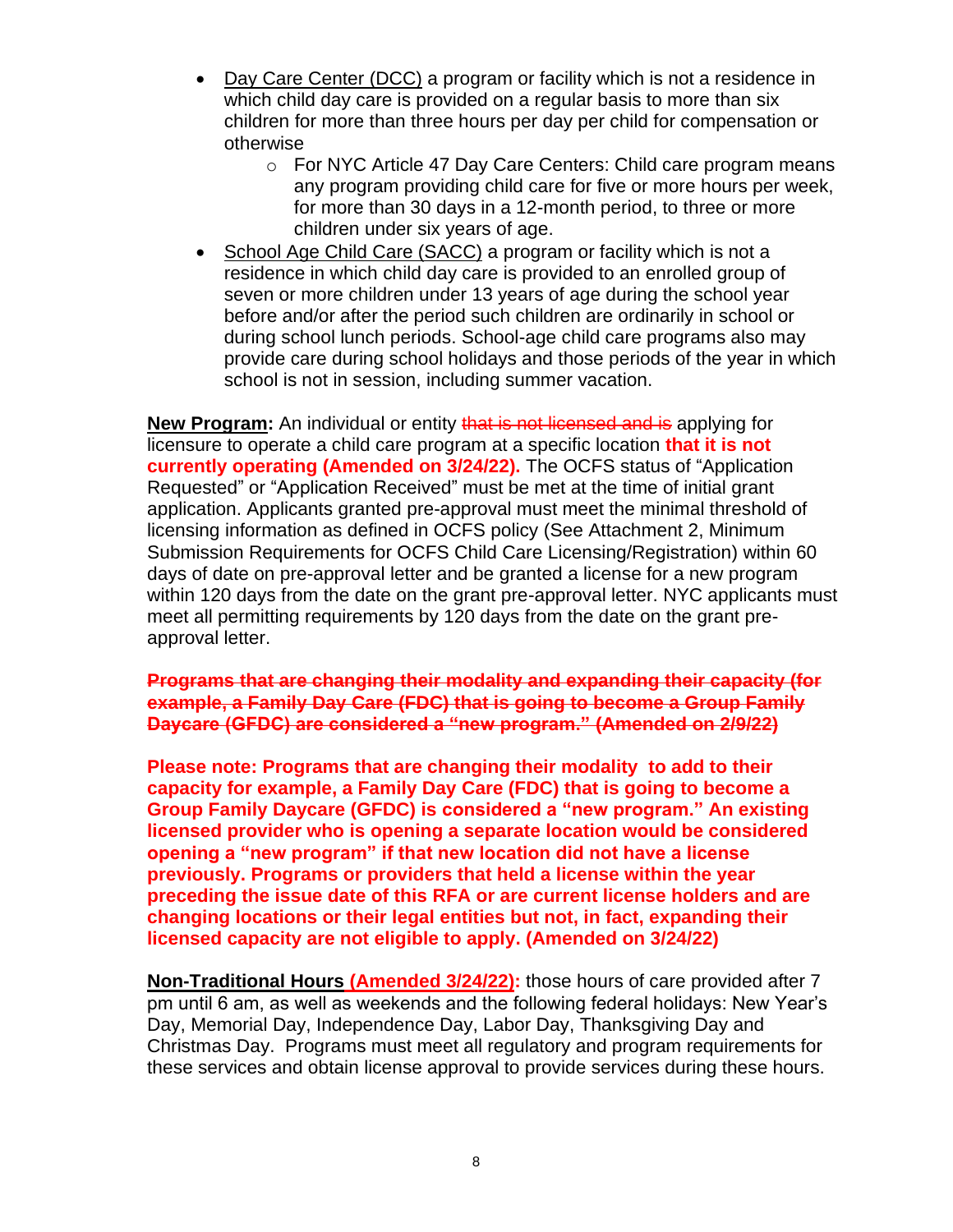- Day Care Center (DCC) a program or facility which is not a residence in which child day care is provided on a regular basis to more than six children for more than three hours per day per child for compensation or otherwise
	- o For NYC Article 47 Day Care Centers: Child care program means any program providing child care for five or more hours per week, for more than 30 days in a 12-month period, to three or more children under six years of age.
- School Age Child Care (SACC) a program or facility which is not a residence in which child day care is provided to an enrolled group of seven or more children under 13 years of age during the school year before and/or after the period such children are ordinarily in school or during school lunch periods. School-age child care programs also may provide care during school holidays and those periods of the year in which school is not in session, including summer vacation.

**New Program:** An individual or entity that is not licensed and is applying for licensure to operate a child care program at a specific location **that it is not currently operating (Amended on 3/24/22).** The OCFS status of "Application Requested" or "Application Received" must be met at the time of initial grant application. Applicants granted pre-approval must meet the minimal threshold of licensing information as defined in OCFS policy [\(See Attachment 2, Minimum](https://ocfs.ny.gov/main/contracts/funding/RFA1/RFA1-Att-2-Minimum-Requirements.docx)  [Submission Requirements for OCFS Child Care Licensing/Registration\)](https://ocfs.ny.gov/main/contracts/funding/RFA1/RFA1-Att-2-Minimum-Requirements.docx) within 60 days of date on pre-approval letter and be granted a license for a new program within 120 days from the date on the grant pre-approval letter. NYC applicants must meet all permitting requirements by 120 days from the date on the grant preapproval letter.

**Programs that are changing their modality and expanding their capacity (for example, a Family Day Care (FDC) that is going to become a Group Family Daycare (GFDC) are considered a "new program." (Amended on 2/9/22)**

**Please note: Programs that are changing their modality to add to their capacity for example, a Family Day Care (FDC) that is going to become a Group Family Daycare (GFDC) is considered a "new program." An existing licensed provider who is opening a separate location would be considered opening a "new program" if that new location did not have a license previously. Programs or providers that held a license within the year preceding the issue date of this RFA or are current license holders and are changing locations or their legal entities but not, in fact, expanding their licensed capacity are not eligible to apply. (Amended on 3/24/22)**

**Non-Traditional Hours (Amended 3/24/22):** those hours of care provided after 7 pm until 6 am, as well as weekends and the following federal holidays: New Year's Day, Memorial Day, Independence Day, Labor Day, Thanksgiving Day and Christmas Day. Programs must meet all regulatory and program requirements for these services and obtain license approval to provide services during these hours.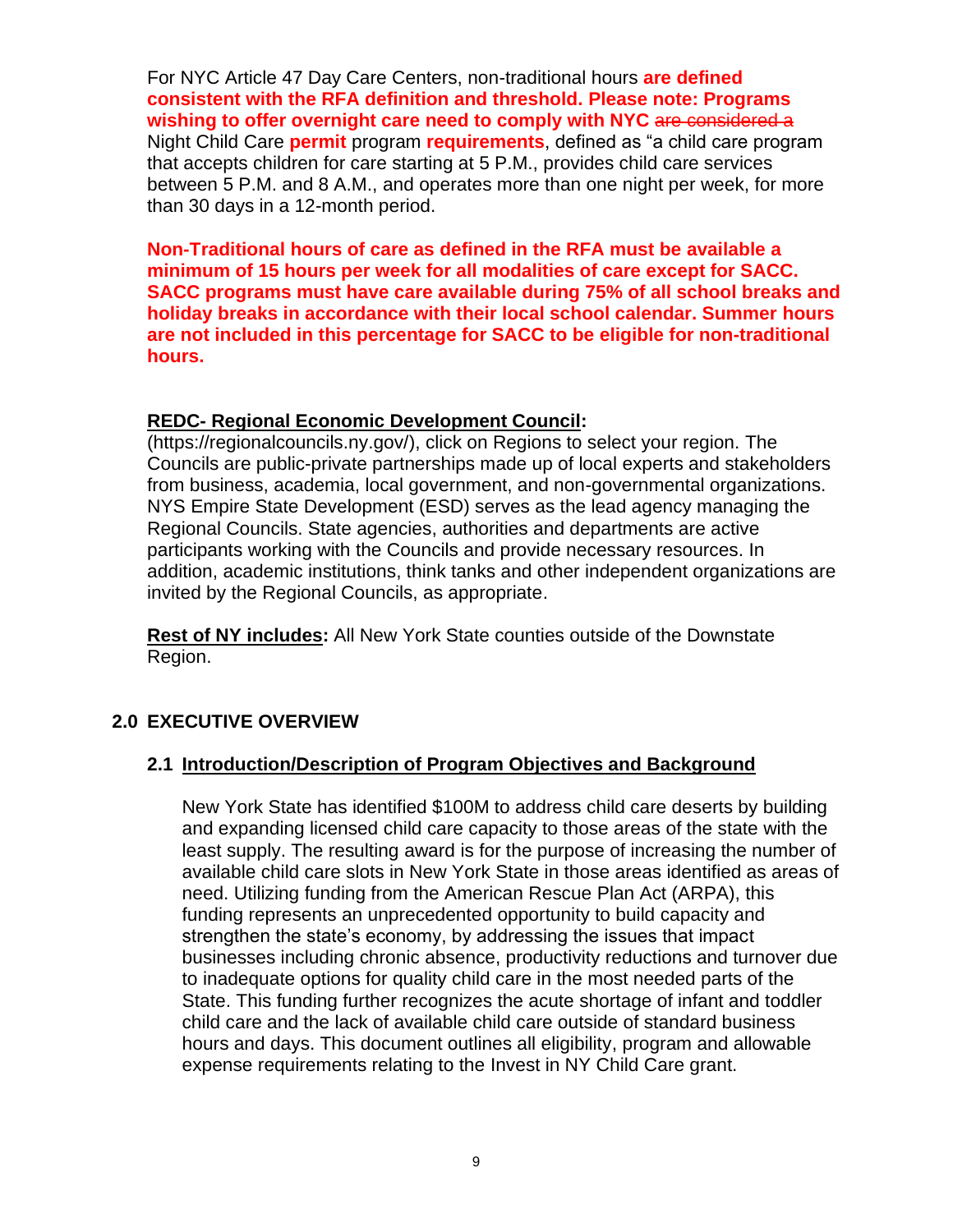For NYC Article 47 Day Care Centers, non-traditional hours **are defined consistent with the RFA definition and threshold. Please note: Programs wishing to offer overnight care need to comply with NYC** are considered a Night Child Care **permit** program **requirements**, defined as "a child care program that accepts children for care starting at 5 P.M., provides child care services between 5 P.M. and 8 A.M., and operates more than one night per week, for more than 30 days in a 12-month period.

**Non-Traditional hours of care as defined in the RFA must be available a minimum of 15 hours per week for all modalities of care except for SACC. SACC programs must have care available during 75% of all school breaks and holiday breaks in accordance with their local school calendar. Summer hours are not included in this percentage for SACC to be eligible for non-traditional hours.**

#### **REDC- Regional Economic Development Council:**

[\(https://regionalcouncils.ny.gov/\)](https://regionalcouncils.ny.gov/), click on Regions to select your region. The Councils are public-private partnerships made up of local experts and stakeholders from business, academia, local government, and non-governmental organizations. NYS Empire State Development (ESD) serves as the lead agency managing the Regional Councils. State agencies, authorities and departments are active participants working with the Councils and provide necessary resources. In addition, academic institutions, think tanks and other independent organizations are invited by the Regional Councils, as appropriate.

**Rest of NY includes:** All New York State counties outside of the Downstate Region.

# <span id="page-10-0"></span>**2.0 EXECUTIVE OVERVIEW**

### <span id="page-10-1"></span>**2.1 Introduction/Description of Program Objectives and Background**

New York State has identified \$100M to address child care deserts by building and expanding licensed child care capacity to those areas of the state with the least supply. The resulting award is for the purpose of increasing the number of available child care slots in New York State in those areas identified as areas of need. Utilizing funding from the American Rescue Plan Act (ARPA), this funding represents an unprecedented opportunity to build capacity and strengthen the state's economy, by addressing the issues that impact businesses including chronic absence, productivity reductions and turnover due to inadequate options for quality child care in the most needed parts of the State. This funding further recognizes the acute shortage of infant and toddler child care and the lack of available child care outside of standard business hours and days. This document outlines all eligibility, program and allowable expense requirements relating to the Invest in NY Child Care grant.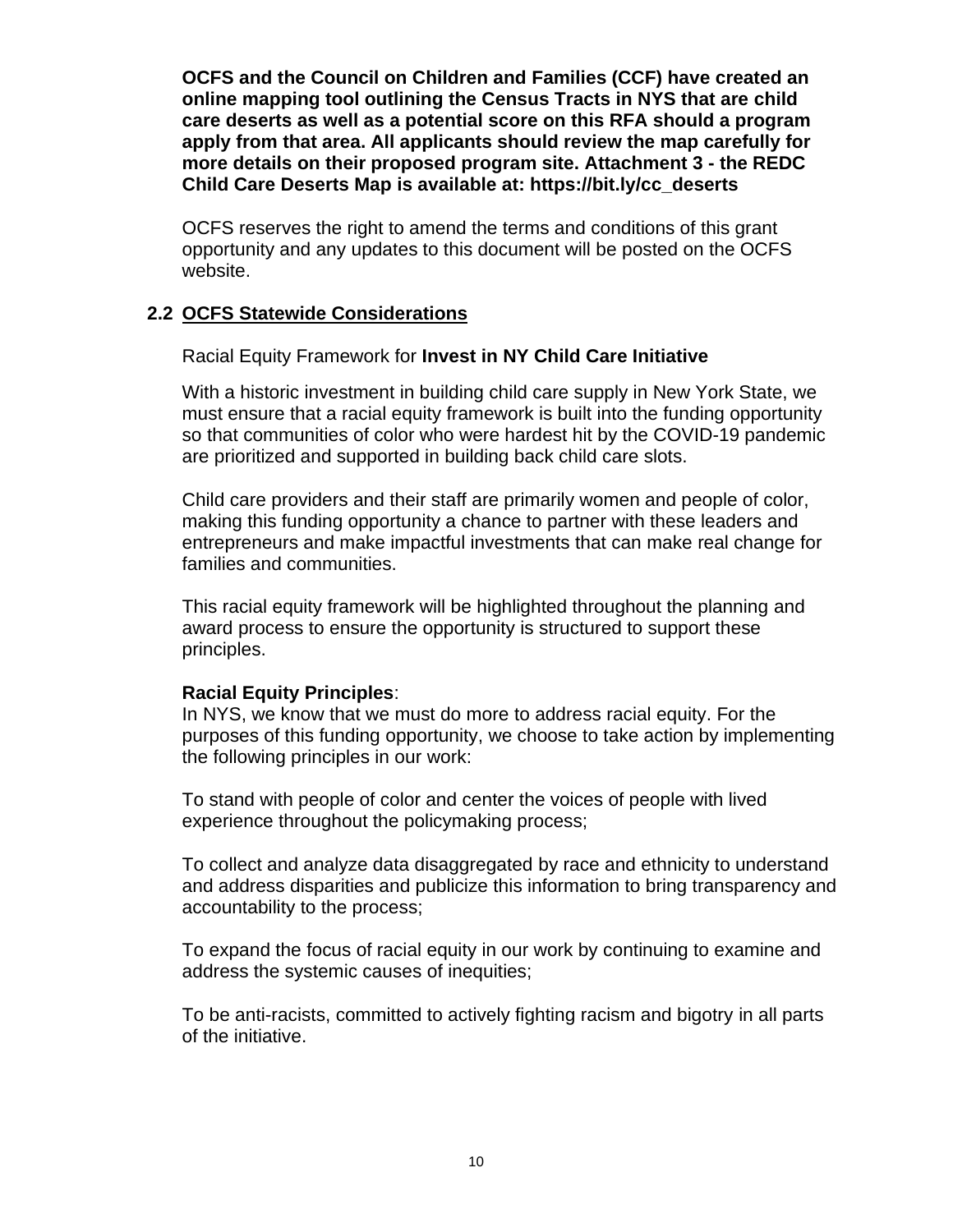**OCFS and the Council on Children and Families (CCF) have created an online mapping tool outlining the Census Tracts in NYS that are child care deserts as well as a potential score on this RFA should a program apply from that area. All applicants should review the map carefully for more details on their proposed program site. Attachment 3 - the REDC Child Care Deserts Map is available at: [https://bit.ly/cc\\_deserts](https://bit.ly/cc_deserts)**

OCFS reserves the right to amend the terms and conditions of this grant opportunity and any updates to this document will be posted on the OCFS website.

#### <span id="page-11-0"></span>**2.2 OCFS Statewide Considerations**

#### Racial Equity Framework for **Invest in NY Child Care Initiative**

With a historic investment in building child care supply in New York State, we must ensure that a racial equity framework is built into the funding opportunity so that communities of color who were hardest hit by the COVID-19 pandemic are prioritized and supported in building back child care slots.

Child care providers and their staff are primarily women and people of color, making this funding opportunity a chance to partner with these leaders and entrepreneurs and make impactful investments that can make real change for families and communities.

This racial equity framework will be highlighted throughout the planning and award process to ensure the opportunity is structured to support these principles.

#### **Racial Equity Principles**:

In NYS, we know that we must do more to address racial equity. For the purposes of this funding opportunity, we choose to take action by implementing the following principles in our work:

To stand with people of color and center the voices of people with lived experience throughout the policymaking process;

To collect and analyze data disaggregated by race and ethnicity to understand and address disparities and publicize this information to bring transparency and accountability to the process;

To expand the focus of racial equity in our work by continuing to examine and address the systemic causes of inequities;

To be anti-racists, committed to actively fighting racism and bigotry in all parts of the initiative.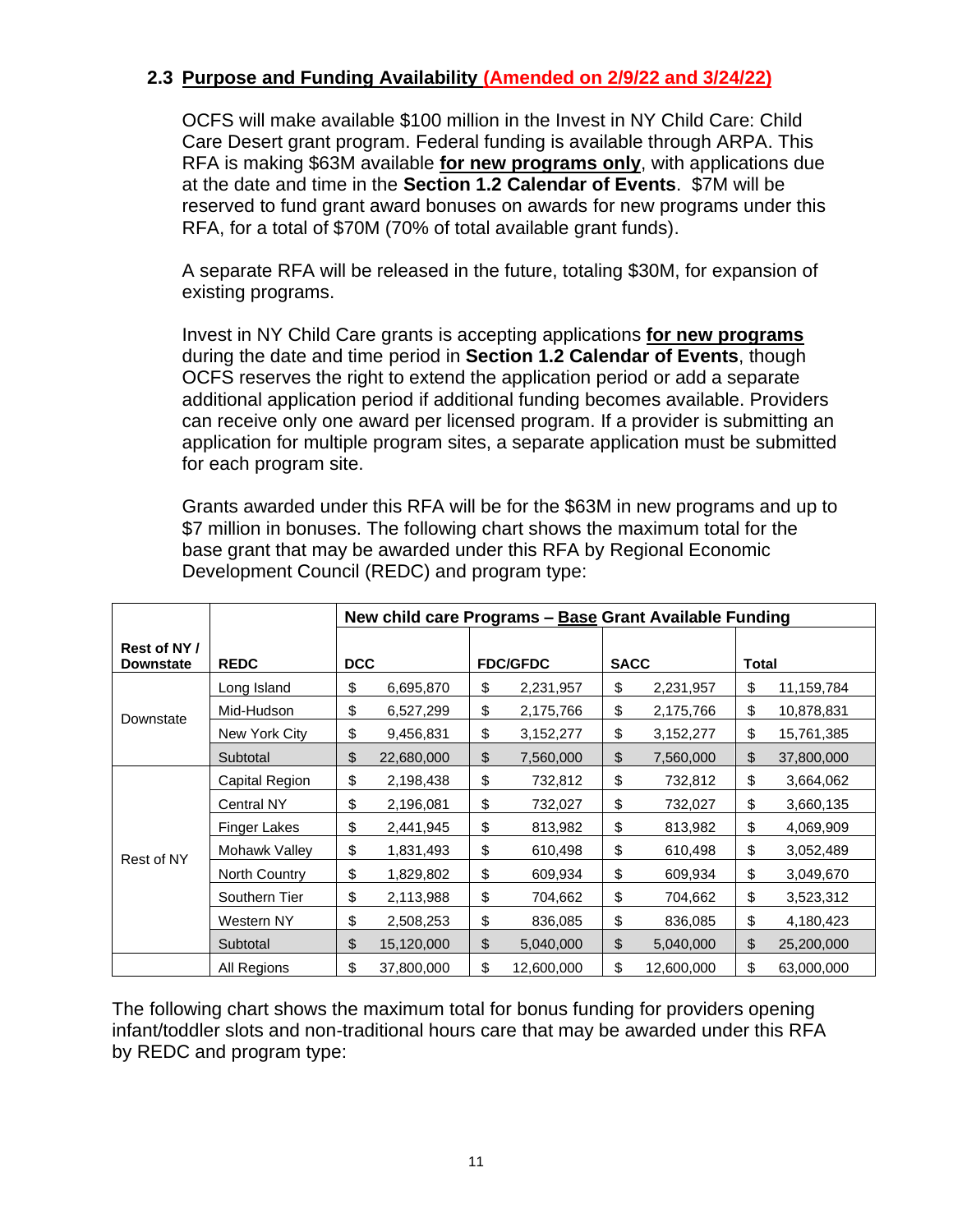# <span id="page-12-0"></span>**2.3 Purpose and Funding Availability (Amended on 2/9/22 and 3/24/22)**

OCFS will make available \$100 million in the Invest in NY Child Care: Child Care Desert grant program. Federal funding is available through ARPA. This RFA is making \$63M available **for new programs only**, with applications due at the date and time in the **Section [1.2](#page-3-0) [Calendar of Events](#page-3-0)**. \$7M will be reserved to fund grant award bonuses on awards for new programs under this RFA, for a total of \$70M (70% of total available grant funds).

A separate RFA will be released in the future, totaling \$30M, for expansion of existing programs.

Invest in NY Child Care grants is accepting applications **for new programs** during the date and time period in **Section [1.2](#page-3-0) [Calendar of Events](#page-3-0)**, though OCFS reserves the right to extend the application period or add a separate additional application period if additional funding becomes available. Providers can receive only one award per licensed program. If a provider is submitting an application for multiple program sites, a separate application must be submitted for each program site.

Grants awarded under this RFA will be for the \$63M in new programs and up to \$7 million in bonuses. The following chart shows the maximum total for the base grant that may be awarded under this RFA by Regional Economic Development Council (REDC) and program type:

|                                  |                   | New child care Programs - Base Grant Available Funding |            |    |                 |               |            |       |            |
|----------------------------------|-------------------|--------------------------------------------------------|------------|----|-----------------|---------------|------------|-------|------------|
| Rest of NY /<br><b>Downstate</b> | <b>REDC</b>       | <b>DCC</b>                                             |            |    | <b>FDC/GFDC</b> | <b>SACC</b>   |            | Total |            |
|                                  | Long Island       | \$                                                     | 6,695,870  | \$ | 2,231,957       | \$            | 2,231,957  | \$    | 11,159,784 |
| Downstate                        | Mid-Hudson        | \$                                                     | 6,527,299  | \$ | 2,175,766       | \$            | 2,175,766  | \$    | 10,878,831 |
|                                  | New York City     | \$                                                     | 9,456,831  | \$ | 3,152,277       | \$            | 3,152,277  | \$    | 15,761,385 |
|                                  | Subtotal          | \$                                                     | 22,680,000 | \$ | 7,560,000       | \$            | 7,560,000  | \$    | 37,800,000 |
|                                  | Capital Region    | \$                                                     | 2,198,438  | \$ | 732,812         | \$            | 732,812    | \$    | 3,664,062  |
|                                  | <b>Central NY</b> | \$                                                     | 2,196,081  | \$ | 732,027         | \$            | 732,027    | \$    | 3,660,135  |
|                                  | Finger Lakes      | \$                                                     | 2,441,945  | \$ | 813,982         | \$            | 813,982    | \$    | 4,069,909  |
| Rest of NY                       | Mohawk Valley     | \$                                                     | 1,831,493  | \$ | 610,498         | \$            | 610,498    | \$    | 3,052,489  |
|                                  | North Country     | \$                                                     | 1,829,802  | \$ | 609,934         | \$            | 609,934    | \$    | 3,049,670  |
|                                  | Southern Tier     | \$                                                     | 2,113,988  | \$ | 704,662         | \$            | 704,662    | \$    | 3,523,312  |
|                                  | Western NY        | \$                                                     | 2,508,253  | \$ | 836,085         | \$            | 836,085    | \$    | 4,180,423  |
|                                  | Subtotal          | \$                                                     | 15,120,000 | \$ | 5,040,000       | $\frac{1}{2}$ | 5,040,000  | \$    | 25,200,000 |
|                                  | All Regions       | \$                                                     | 37,800,000 | \$ | 12,600,000      | \$            | 12,600,000 | \$    | 63,000,000 |

The following chart shows the maximum total for bonus funding for providers opening infant/toddler slots and non-traditional hours care that may be awarded under this RFA by REDC and program type: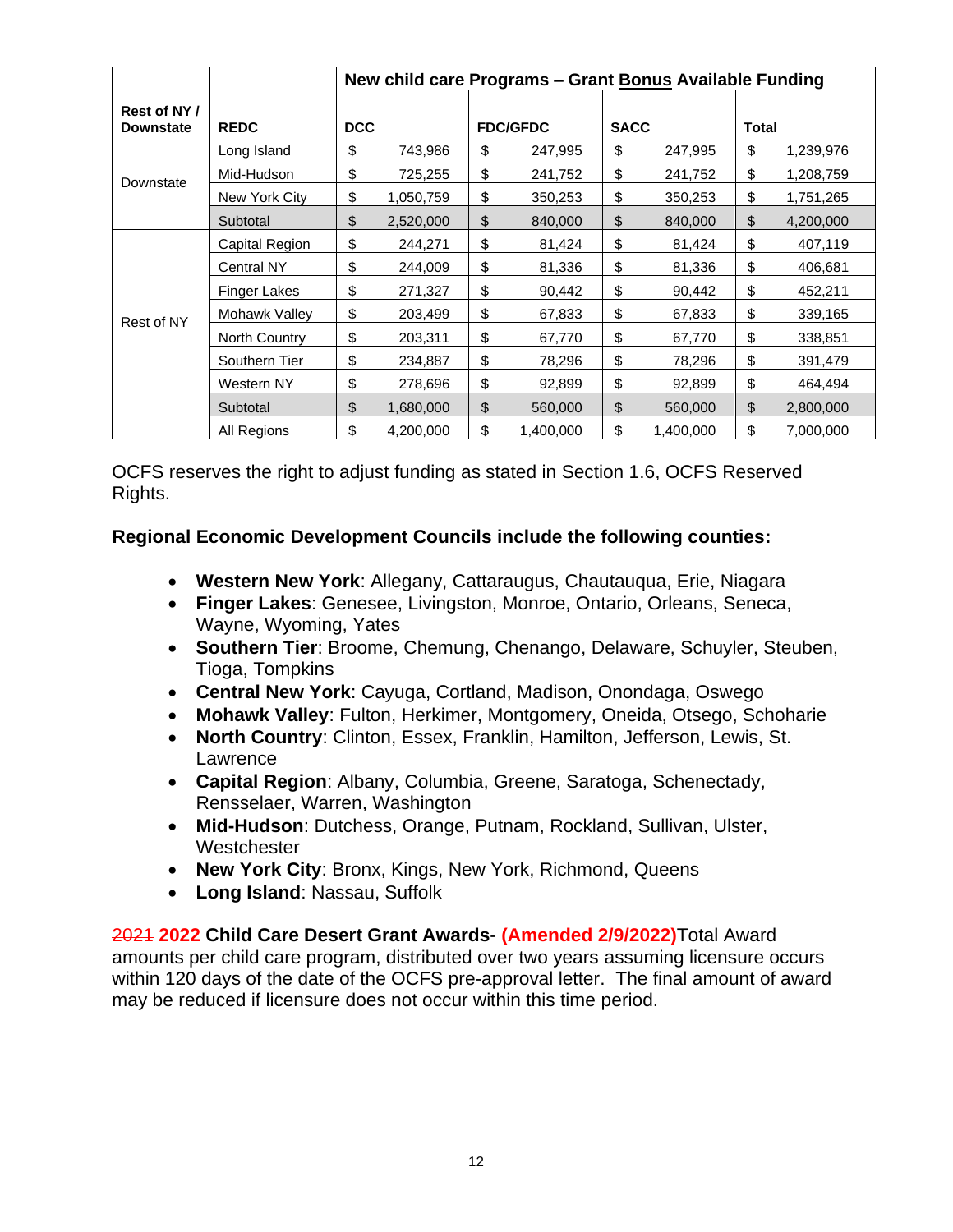|                                  |                     | New child care Programs - Grant Bonus Available Funding |           |    |                 |             |           |              |           |
|----------------------------------|---------------------|---------------------------------------------------------|-----------|----|-----------------|-------------|-----------|--------------|-----------|
| Rest of NY /<br><b>Downstate</b> | <b>REDC</b>         | <b>DCC</b>                                              |           |    | <b>FDC/GFDC</b> | <b>SACC</b> |           | <b>Total</b> |           |
|                                  | Long Island         | \$                                                      | 743,986   | \$ | 247,995         | \$          | 247,995   | \$           | 1,239,976 |
| Downstate                        | Mid-Hudson          | \$                                                      | 725,255   | \$ | 241,752         | \$          | 241,752   | \$           | 1,208,759 |
|                                  | New York City       | \$                                                      | 1,050,759 | \$ | 350,253         | \$          | 350,253   | \$           | 1,751,265 |
|                                  | Subtotal            | \$                                                      | 2,520,000 | \$ | 840,000         | \$          | 840,000   | \$           | 4,200,000 |
|                                  | Capital Region      | \$                                                      | 244,271   | \$ | 81,424          | \$          | 81,424    | \$           | 407,119   |
|                                  | <b>Central NY</b>   | \$                                                      | 244,009   | \$ | 81,336          | \$          | 81,336    | \$           | 406,681   |
|                                  | <b>Finger Lakes</b> | \$                                                      | 271,327   | \$ | 90,442          | \$          | 90,442    | \$           | 452,211   |
| Rest of NY                       | Mohawk Valley       | \$                                                      | 203,499   | \$ | 67,833          | \$          | 67,833    | \$           | 339,165   |
|                                  | North Country       | \$                                                      | 203,311   | \$ | 67,770          | \$          | 67,770    | \$           | 338,851   |
|                                  | Southern Tier       | \$                                                      | 234,887   | \$ | 78,296          | \$          | 78,296    | \$           | 391,479   |
|                                  | Western NY          | \$                                                      | 278,696   | \$ | 92,899          | \$          | 92,899    | \$           | 464,494   |
|                                  | Subtotal            | \$                                                      | 1,680,000 | \$ | 560,000         | \$          | 560,000   | \$           | 2,800,000 |
|                                  | All Regions         | \$                                                      | 4,200,000 | \$ | 1,400,000       | \$          | 1,400,000 | \$           | 7,000,000 |

OCFS reserves the right to adjust funding as stated in [Section 1.6, OCFS Reserved](#page-5-1)  [Rights.](#page-5-1)

### **Regional Economic Development Councils include the following counties:**

- **Western New York**: Allegany, Cattaraugus, Chautauqua, Erie, Niagara
- **Finger Lakes**: Genesee, Livingston, Monroe, Ontario, Orleans, Seneca, Wayne, Wyoming, Yates
- **Southern Tier**: Broome, Chemung, Chenango, Delaware, Schuyler, Steuben, Tioga, Tompkins
- **Central New York**: Cayuga, Cortland, Madison, Onondaga, Oswego
- **Mohawk Valley**: Fulton, Herkimer, Montgomery, Oneida, Otsego, Schoharie
- **North Country**: Clinton, Essex, Franklin, Hamilton, Jefferson, Lewis, St. Lawrence
- **Capital Region**: Albany, Columbia, Greene, Saratoga, Schenectady, Rensselaer, Warren, Washington
- **Mid-Hudson**: Dutchess, Orange, Putnam, Rockland, Sullivan, Ulster, **Westchester**
- **New York City**: Bronx, Kings, New York, Richmond, Queens
- **Long Island**: Nassau, Suffolk

2021 **2022 Child Care Desert Grant Awards**- **(Amended 2/9/2022)**Total Award amounts per child care program, distributed over two years assuming licensure occurs within 120 days of the date of the OCFS pre-approval letter. The final amount of award may be reduced if licensure does not occur within this time period.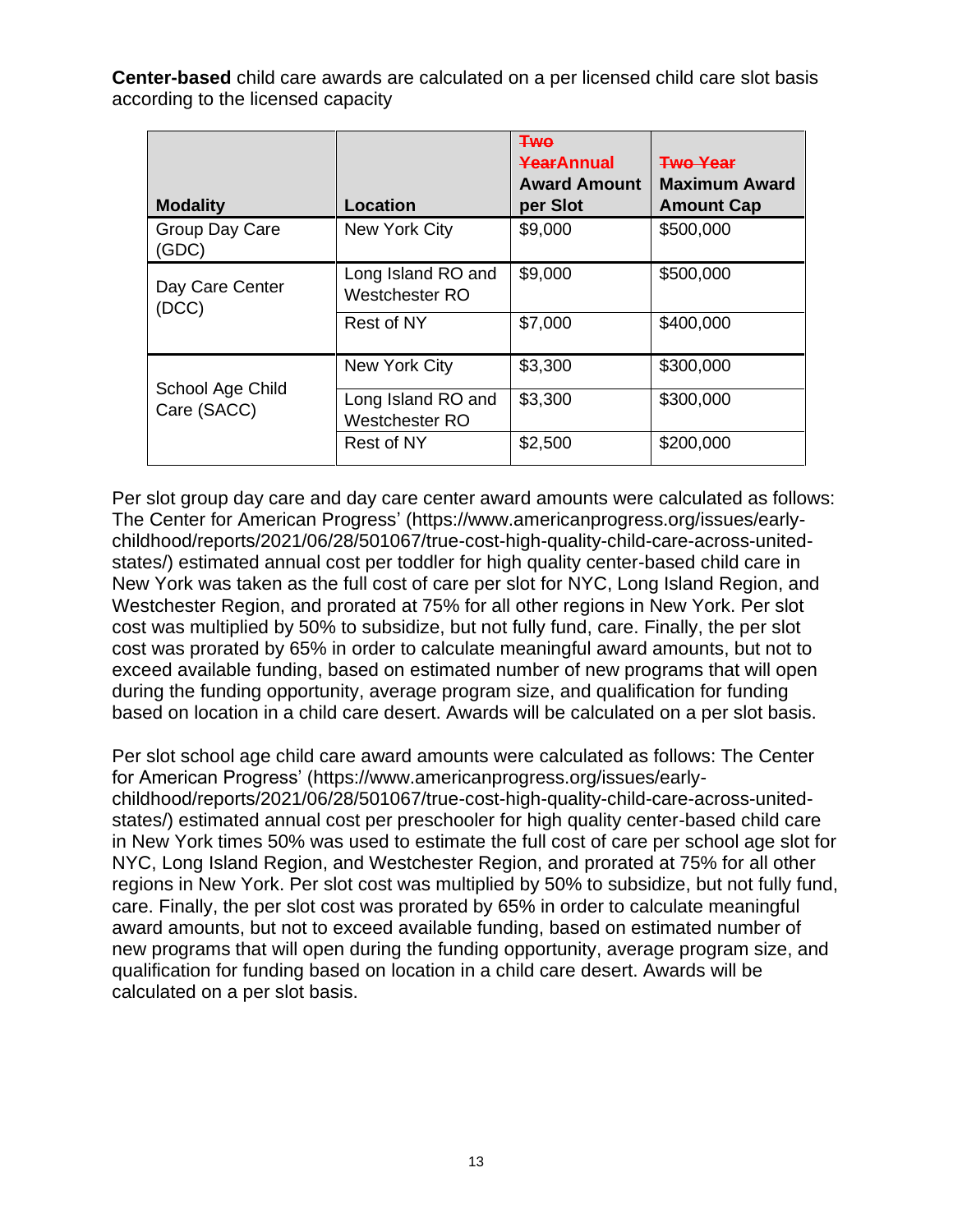**Center-based** child care awards are calculated on a per licensed child care slot basis according to the licensed capacity

| <b>Modality</b>                 | <b>Location</b>                             | <b>Two</b><br>YearAnnual<br><b>Award Amount</b><br>per Slot | <b>Two Year</b><br><b>Maximum Award</b><br><b>Amount Cap</b> |
|---------------------------------|---------------------------------------------|-------------------------------------------------------------|--------------------------------------------------------------|
| Group Day Care<br>(GDC)         | New York City                               | \$9,000                                                     | \$500,000                                                    |
| Day Care Center<br>(DCC)        | Long Island RO and<br><b>Westchester RO</b> | \$9,000                                                     | \$500,000                                                    |
|                                 | Rest of NY                                  | \$7,000                                                     | \$400,000                                                    |
|                                 | New York City                               | \$3,300                                                     | \$300,000                                                    |
| School Age Child<br>Care (SACC) | Long Island RO and<br>Westchester RO        | \$3,300                                                     | \$300,000                                                    |
|                                 | Rest of NY                                  | \$2,500                                                     | \$200,000                                                    |

Per slot group day care and day care center award amounts were calculated as follows: The Center for American Progress' [\(https://www.americanprogress.org/issues/early](https://www.americanprogress.org/issues/early-childhood/reports/2021/06/28/501067/true-cost-high-quality-child-care-across-united-states/)[childhood/reports/2021/06/28/501067/true-cost-high-quality-child-care-across-united](https://www.americanprogress.org/issues/early-childhood/reports/2021/06/28/501067/true-cost-high-quality-child-care-across-united-states/)[states/\)](https://www.americanprogress.org/issues/early-childhood/reports/2021/06/28/501067/true-cost-high-quality-child-care-across-united-states/) estimated annual cost per toddler for high quality center-based child care in New York was taken as the full cost of care per slot for NYC, Long Island Region, and Westchester Region, and prorated at 75% for all other regions in New York. Per slot cost was multiplied by 50% to subsidize, but not fully fund, care. Finally, the per slot cost was prorated by 65% in order to calculate meaningful award amounts, but not to exceed available funding, based on estimated number of new programs that will open during the funding opportunity, average program size, and qualification for funding based on location in a child care desert. Awards will be calculated on a per slot basis.

Per slot school age child care award amounts were calculated as follows: The Center for American Progress' [\(https://www.americanprogress.org/issues/early](https://www.americanprogress.org/issues/early-childhood/reports/2021/06/28/501067/true-cost-high-quality-child-care-across-united-states/)[childhood/reports/2021/06/28/501067/true-cost-high-quality-child-care-across-united](https://www.americanprogress.org/issues/early-childhood/reports/2021/06/28/501067/true-cost-high-quality-child-care-across-united-states/)[states/\)](https://www.americanprogress.org/issues/early-childhood/reports/2021/06/28/501067/true-cost-high-quality-child-care-across-united-states/) estimated annual cost per preschooler for high quality center-based child care in New York times 50% was used to estimate the full cost of care per school age slot for NYC, Long Island Region, and Westchester Region, and prorated at 75% for all other regions in New York. Per slot cost was multiplied by 50% to subsidize, but not fully fund, care. Finally, the per slot cost was prorated by 65% in order to calculate meaningful award amounts, but not to exceed available funding, based on estimated number of new programs that will open during the funding opportunity, average program size, and qualification for funding based on location in a child care desert. Awards will be calculated on a per slot basis.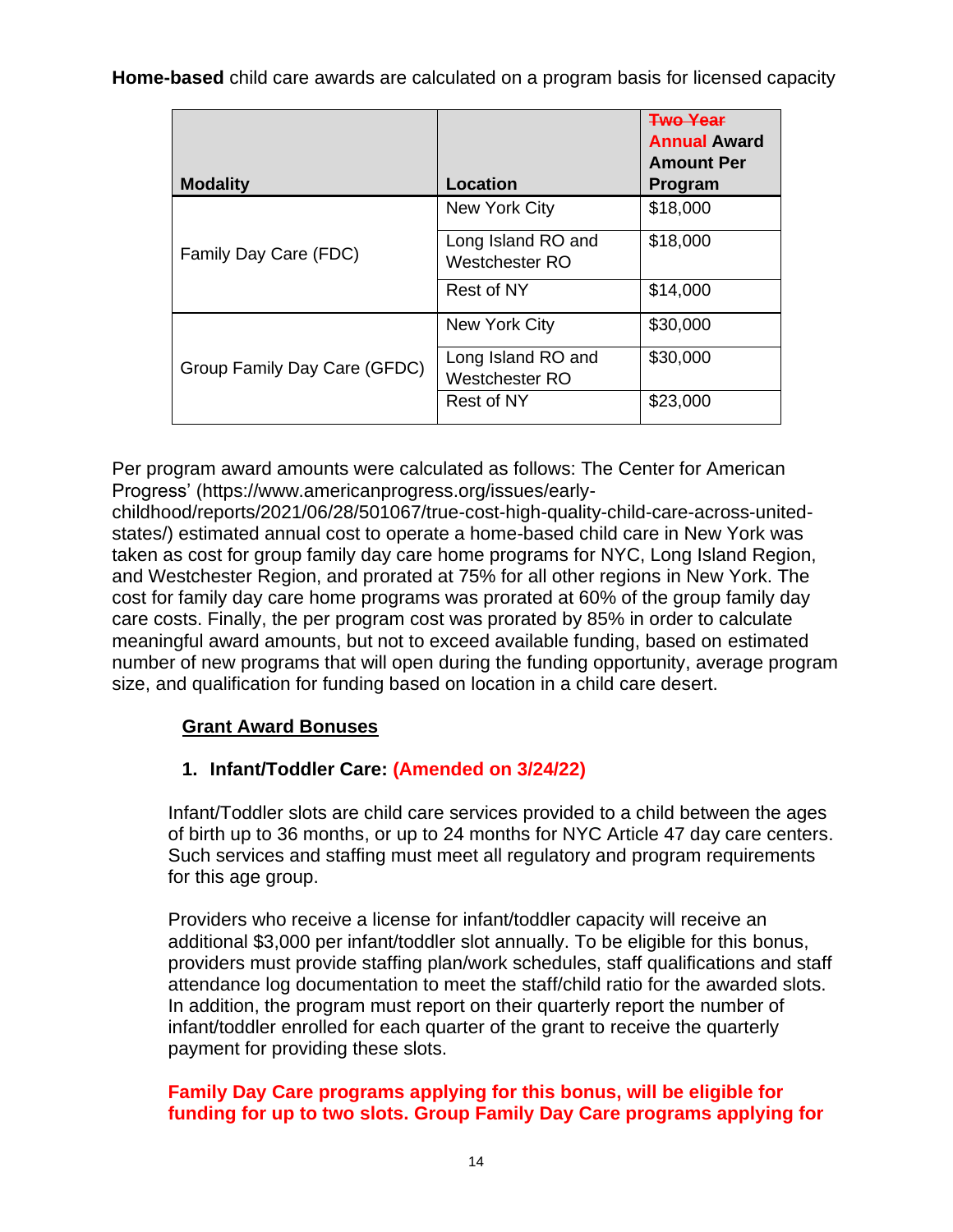**Home-based** child care awards are calculated on a program basis for licensed capacity

| <b>Modality</b>              | Location                             | <b>Two Year</b><br><b>Annual Award</b><br><b>Amount Per</b><br>Program |
|------------------------------|--------------------------------------|------------------------------------------------------------------------|
|                              | New York City                        | \$18,000                                                               |
| Family Day Care (FDC)        | Long Island RO and<br>Westchester RO | \$18,000                                                               |
|                              | Rest of NY                           | \$14,000                                                               |
|                              | New York City                        | \$30,000                                                               |
| Group Family Day Care (GFDC) | Long Island RO and<br>Westchester RO | \$30,000                                                               |
|                              | Rest of NY                           | \$23,000                                                               |

Per program award amounts were calculated as follows: The Center for American Progress' [\(https://www.americanprogress.org/issues/early-](https://www.americanprogress.org/issues/early-childhood/reports/2021/06/28/501067/true-cost-high-quality-child-care-across-united-states/)

[childhood/reports/2021/06/28/501067/true-cost-high-quality-child-care-across-united](https://www.americanprogress.org/issues/early-childhood/reports/2021/06/28/501067/true-cost-high-quality-child-care-across-united-states/)[states/\)](https://www.americanprogress.org/issues/early-childhood/reports/2021/06/28/501067/true-cost-high-quality-child-care-across-united-states/) estimated annual cost to operate a home-based child care in New York was taken as cost for group family day care home programs for NYC, Long Island Region, and Westchester Region, and prorated at 75% for all other regions in New York. The cost for family day care home programs was prorated at 60% of the group family day care costs. Finally, the per program cost was prorated by 85% in order to calculate meaningful award amounts, but not to exceed available funding, based on estimated number of new programs that will open during the funding opportunity, average program size, and qualification for funding based on location in a child care desert.

# **Grant Award Bonuses**

# **1. Infant/Toddler Care: (Amended on 3/24/22)**

Infant/Toddler slots are child care services provided to a child between the ages of birth up to 36 months, or up to 24 months for NYC Article 47 day care centers. Such services and staffing must meet all regulatory and program requirements for this age group.

Providers who receive a license for infant/toddler capacity will receive an additional \$3,000 per infant/toddler slot annually. To be eligible for this bonus, providers must provide staffing plan/work schedules, staff qualifications and staff attendance log documentation to meet the staff/child ratio for the awarded slots. In addition, the program must report on their quarterly report the number of infant/toddler enrolled for each quarter of the grant to receive the quarterly payment for providing these slots.

# **Family Day Care programs applying for this bonus, will be eligible for funding for up to two slots. Group Family Day Care programs applying for**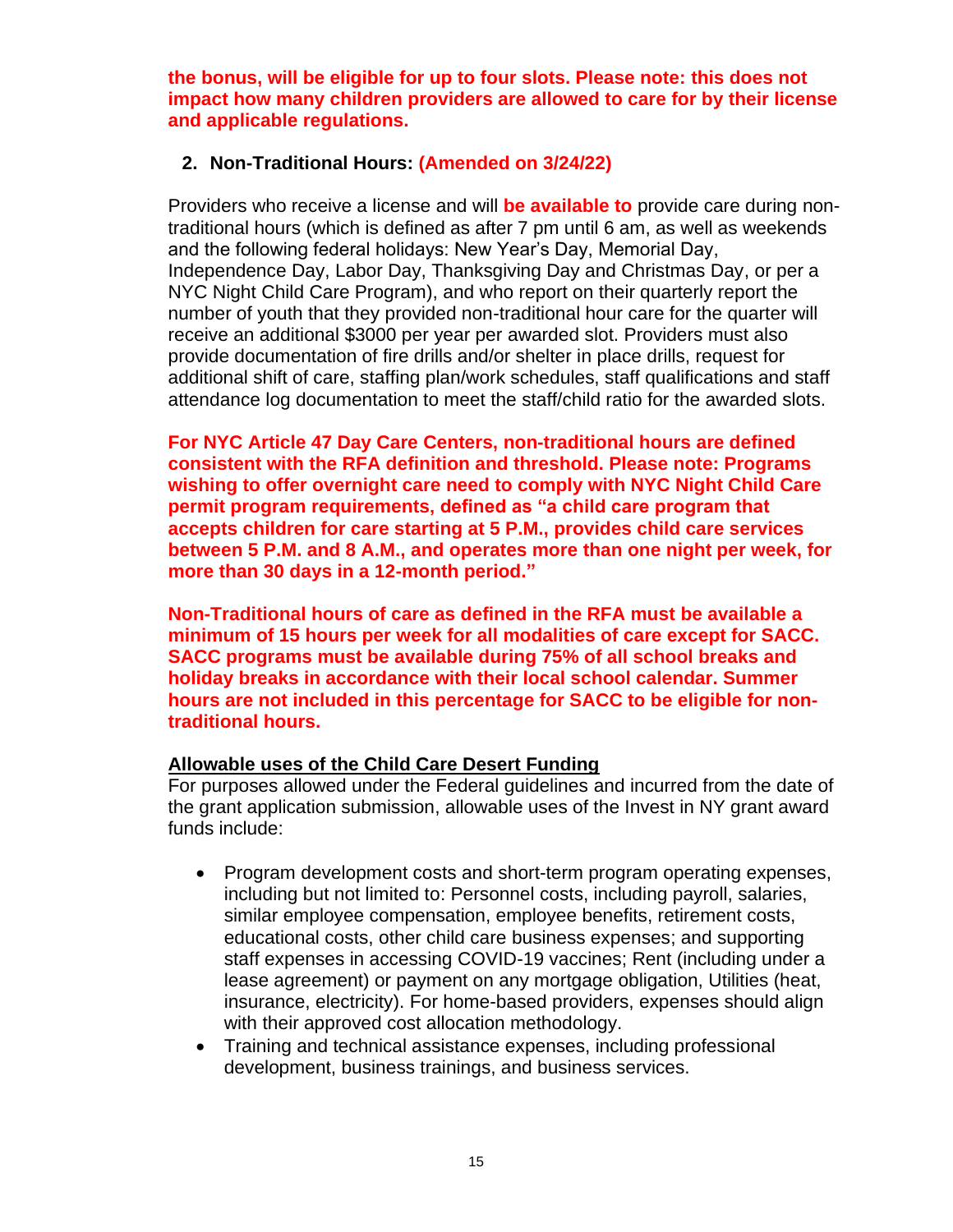**the bonus, will be eligible for up to four slots. Please note: this does not impact how many children providers are allowed to care for by their license and applicable regulations.** 

### **2. Non-Traditional Hours: (Amended on 3/24/22)**

Providers who receive a license and will **be available to** provide care during nontraditional hours (which is defined as after 7 pm until 6 am, as well as weekends and the following federal holidays: New Year's Day, Memorial Day, Independence Day, Labor Day, Thanksgiving Day and Christmas Day, or per a NYC Night Child Care Program), and who report on their quarterly report the number of youth that they provided non-traditional hour care for the quarter will receive an additional \$3000 per year per awarded slot. Providers must also provide documentation of fire drills and/or shelter in place drills, request for additional shift of care, staffing plan/work schedules, staff qualifications and staff attendance log documentation to meet the staff/child ratio for the awarded slots.

**For NYC Article 47 Day Care Centers, non-traditional hours are defined consistent with the RFA definition and threshold. Please note: Programs wishing to offer overnight care need to comply with NYC Night Child Care permit program requirements, defined as "a child care program that accepts children for care starting at 5 P.M., provides child care services between 5 P.M. and 8 A.M., and operates more than one night per week, for more than 30 days in a 12-month period."**

**Non-Traditional hours of care as defined in the RFA must be available a minimum of 15 hours per week for all modalities of care except for SACC. SACC programs must be available during 75% of all school breaks and holiday breaks in accordance with their local school calendar. Summer hours are not included in this percentage for SACC to be eligible for nontraditional hours.**

# **Allowable uses of the Child Care Desert Funding**

For purposes allowed under the Federal guidelines and incurred from the date of the grant application submission, allowable uses of the Invest in NY grant award funds include:

- Program development costs and short-term program operating expenses, including but not limited to: Personnel costs, including payroll, salaries, similar employee compensation, employee benefits, retirement costs, educational costs, other child care business expenses; and supporting staff expenses in accessing COVID-19 vaccines; Rent (including under a lease agreement) or payment on any mortgage obligation, Utilities (heat, insurance, electricity). For home-based providers, expenses should align with their approved cost allocation methodology.
- Training and technical assistance expenses, including professional development, business trainings, and business services.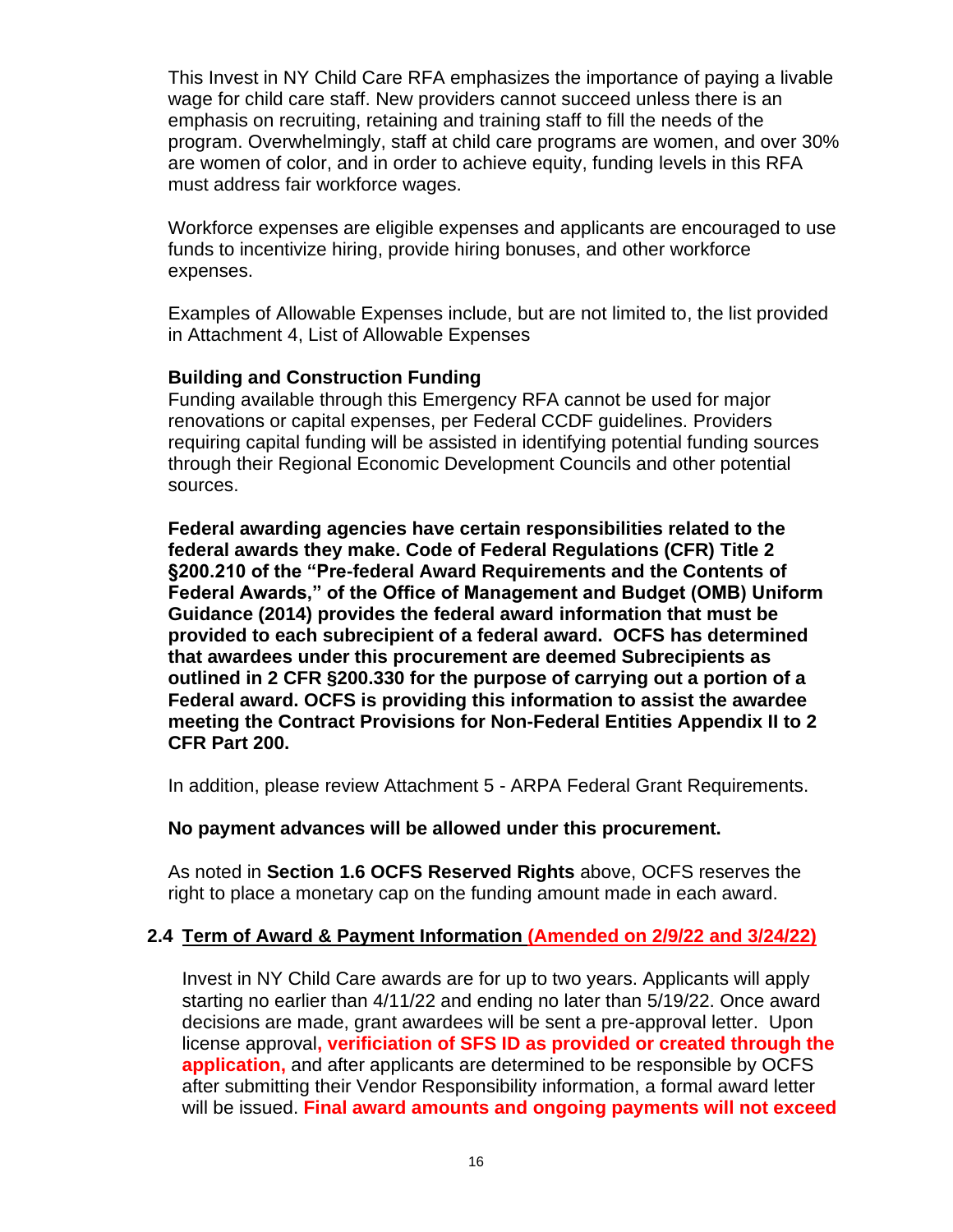This Invest in NY Child Care RFA emphasizes the importance of paying a livable wage for child care staff. New providers cannot succeed unless there is an emphasis on recruiting, retaining and training staff to fill the needs of the program. Overwhelmingly, staff at child care programs are women, and over 30% are women of color, and in order to achieve equity, funding levels in this RFA must address fair workforce wages.

Workforce expenses are eligible expenses and applicants are encouraged to use funds to incentivize hiring, provide hiring bonuses, and other workforce expenses.

Examples of Allowable Expenses include, but are not limited to, the list provided in [Attachment 4, List of Allowable Expenses](https://ocfs.ny.gov/main/contracts/funding/RFA1/RFA1-Att-4-Allowable-Expenses.docx)

### **Building and Construction Funding**

Funding available through this Emergency RFA cannot be used for major renovations or capital expenses, per Federal CCDF guidelines. Providers requiring capital funding will be assisted in identifying potential funding sources through their Regional Economic Development Councils and other potential sources.

**Federal awarding agencies have certain responsibilities related to the federal awards they make. Code of Federal Regulations (CFR) Title 2 §200.210 of the "Pre-federal Award Requirements and the Contents of Federal Awards," of the Office of Management and Budget (OMB) Uniform Guidance (2014) provides the federal award information that must be provided to each subrecipient of a federal award. OCFS has determined that awardees under this procurement are deemed Subrecipients as outlined in 2 CFR §200.330 for the purpose of carrying out a portion of a Federal award. OCFS is providing this information to assist the awardee meeting the Contract Provisions for Non-Federal Entities Appendix II to 2 CFR Part 200.**

In addition, please review Attachment 5 - [ARPA Federal Grant Requirements.](https://ocfs.ny.gov/main/contracts/funding/RFA1/RFA1-Att-5-ARPA-Requirements.docx)

#### **No payment advances will be allowed under this procurement.**

As noted in **Section [1.6](#page-5-1) [OCFS Reserved Rights](#page-5-1)** above, OCFS reserves the right to place a monetary cap on the funding amount made in each award.

### <span id="page-17-0"></span>**2.4 Term of Award & Payment Information (Amended on 2/9/22 and 3/24/22)**

Invest in NY Child Care awards are for up to two years. Applicants will apply starting no earlier than 4/11/22 and ending no later than 5/19/22. Once award decisions are made, grant awardees will be sent a pre-approval letter. Upon license approval**, verificiation of SFS ID as provided or created through the application,** and after applicants are determined to be responsible by OCFS after submitting their Vendor Responsibility information, a formal award letter will be issued. **Final award amounts and ongoing payments will not exceed**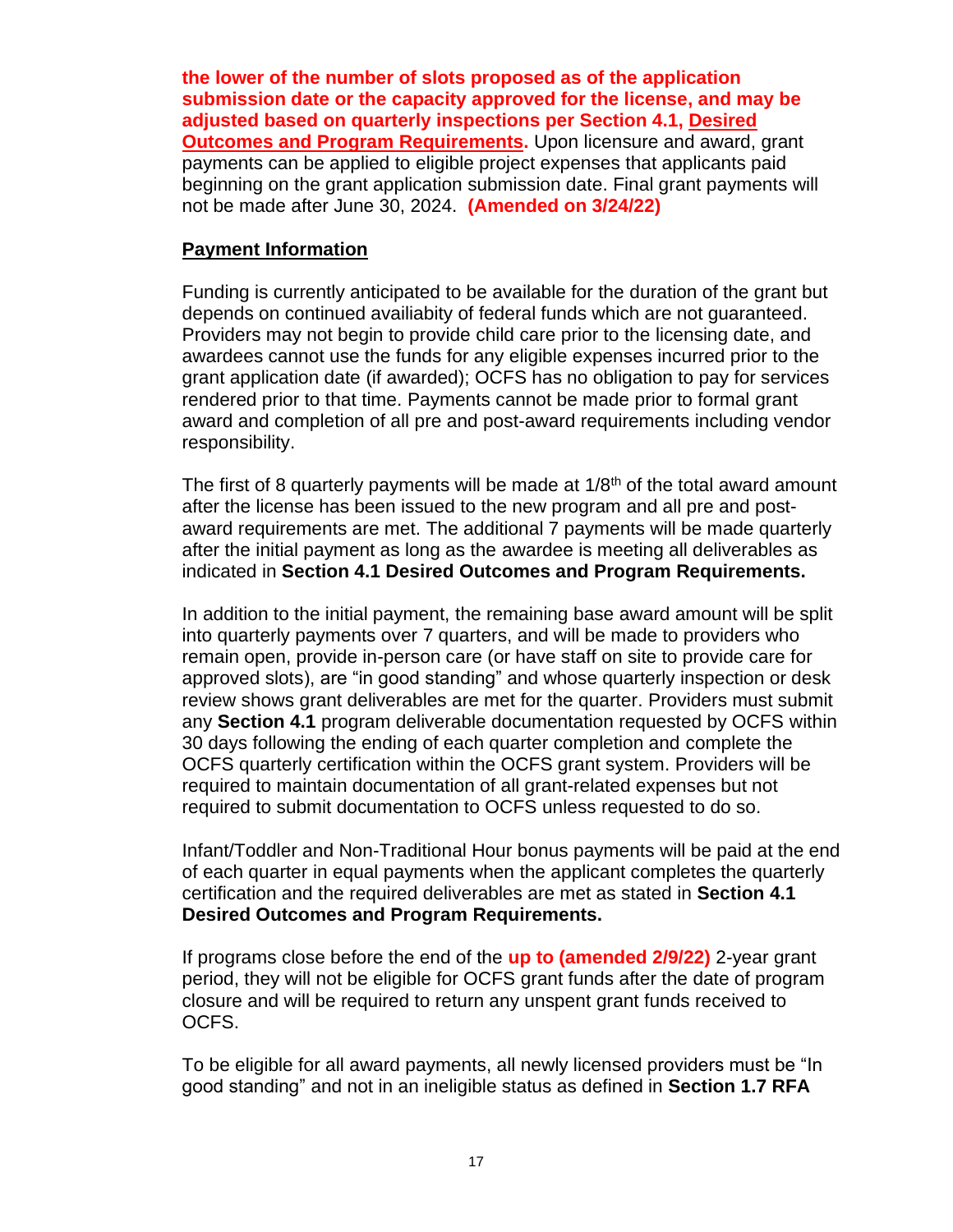**the lower of the number of slots proposed as of the application submission date or the capacity approved for the license, and may be adjusted based on quarterly inspections per Section [4.1, Desired](#page-22-1)  [Outcomes and Program Requirements.](#page-22-1)** Upon licensure and award, grant payments can be applied to eligible project expenses that applicants paid beginning on the grant application submission date. Final grant payments will not be made after June 30, 2024. **(Amended on 3/24/22)**

### **Payment Information**

Funding is currently anticipated to be available for the duration of the grant but depends on continued availiabity of federal funds which are not guaranteed. Providers may not begin to provide child care prior to the licensing date, and awardees cannot use the funds for any eligible expenses incurred prior to the grant application date (if awarded); OCFS has no obligation to pay for services rendered prior to that time. Payments cannot be made prior to formal grant award and completion of all pre and post-award requirements including vendor responsibility.

The first of 8 quarterly payments will be made at  $1/8<sup>th</sup>$  of the total award amount after the license has been issued to the new program and all pre and postaward requirements are met. The additional 7 payments will be made quarterly after the initial payment as long as the awardee is meeting all deliverables as indicated in **Section [4.1](#page-22-1) [Desired Outcomes and Program Requirements.](#page-22-1)**

In addition to the initial payment, the remaining base award amount will be split into quarterly payments over 7 quarters, and will be made to providers who remain open, provide in-person care (or have staff on site to provide care for approved slots), are "in good standing" and whose quarterly inspection or desk review shows grant deliverables are met for the quarter. Providers must submit any **Section 4.1** program deliverable documentation requested by OCFS within 30 days following the ending of each quarter completion and complete the OCFS quarterly certification within the OCFS grant system. Providers will be required to maintain documentation of all grant-related expenses but not required to submit documentation to OCFS unless requested to do so.

Infant/Toddler and Non-Traditional Hour bonus payments will be paid at the end of each quarter in equal payments when the applicant completes the quarterly certification and the required deliverables are met as stated in **Section [4.1](#page-22-1) [Desired Outcomes and Program Requirements.](#page-22-1)** 

If programs close before the end of the **up to (amended 2/9/22)** 2-year grant period, they will not be eligible for OCFS grant funds after the date of program closure and will be required to return any unspent grant funds received to OCFS.

To be eligible for all award payments, all newly licensed providers must be "In good standing" and not in an ineligible status as defined in **Section [1.7](#page-7-0) [RFA](#page-7-0)**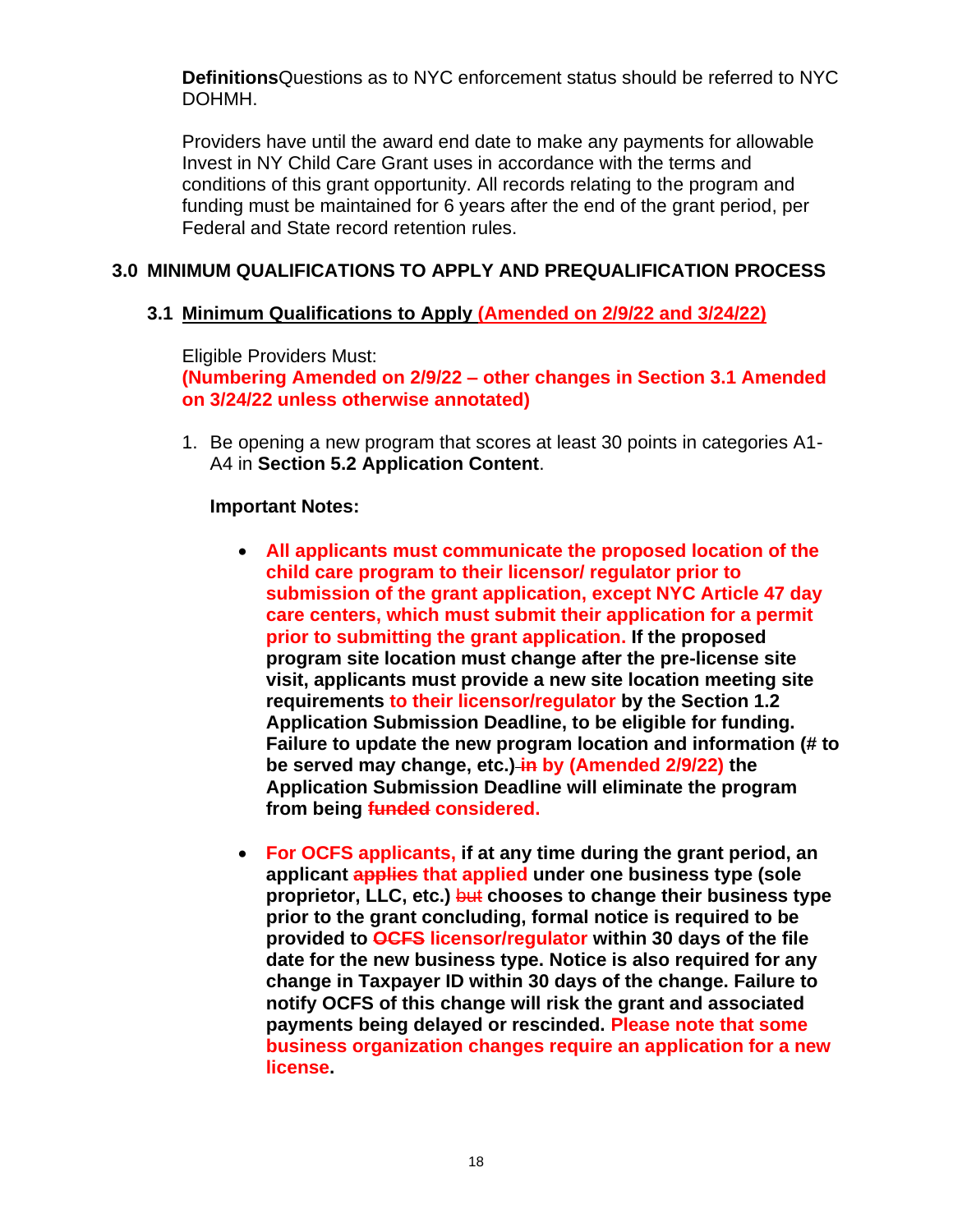**[Definitions](#page-7-0)**Questions as to NYC enforcement status should be referred to NYC DOHMH.

Providers have until the award end date to make any payments for allowable Invest in NY Child Care Grant uses in accordance with the terms and conditions of this grant opportunity. All records relating to the program and funding must be maintained for 6 years after the end of the grant period, per Federal and State record retention rules.

# <span id="page-19-0"></span>**3.0 MINIMUM QUALIFICATIONS TO APPLY AND PREQUALIFICATION PROCESS**

# <span id="page-19-1"></span>**3.1 Minimum Qualifications to Apply (Amended on 2/9/22 and 3/24/22)**

Eligible Providers Must:

**(Numbering Amended on 2/9/22 – other changes in Section 3.1 Amended on 3/24/22 unless otherwise annotated)**

1. Be opening a new program that scores at least 30 points in categories A1- A4 in **Section [5.2](#page-33-0) [Application Content](#page-33-0)**.

### **Important Notes:**

- **All applicants must communicate the proposed location of the child care program to their licensor/ regulator prior to submission of the grant application, except NYC Article 47 day care centers, which must submit their application for a permit prior to submitting the grant application. If the proposed program site location must change after the pre-license site visit, applicants must provide a new site location meeting site requirements to their licensor/regulator by the Section [1.2](#page-3-0) Application Submission Deadline, to be eligible for funding. Failure to update the new program location and information (# to be served may change, etc.) in by (Amended 2/9/22) the Application Submission Deadline will eliminate the program from being funded considered.**
- **For OCFS applicants, if at any time during the grant period, an applicant applies that applied under one business type (sole proprietor, LLC, etc.)** but **chooses to change their business type prior to the grant concluding, formal notice is required to be provided to OCFS licensor/regulator within 30 days of the file date for the new business type. Notice is also required for any change in Taxpayer ID within 30 days of the change. Failure to notify OCFS of this change will risk the grant and associated payments being delayed or rescinded. Please note that some business organization changes require an application for a new license.**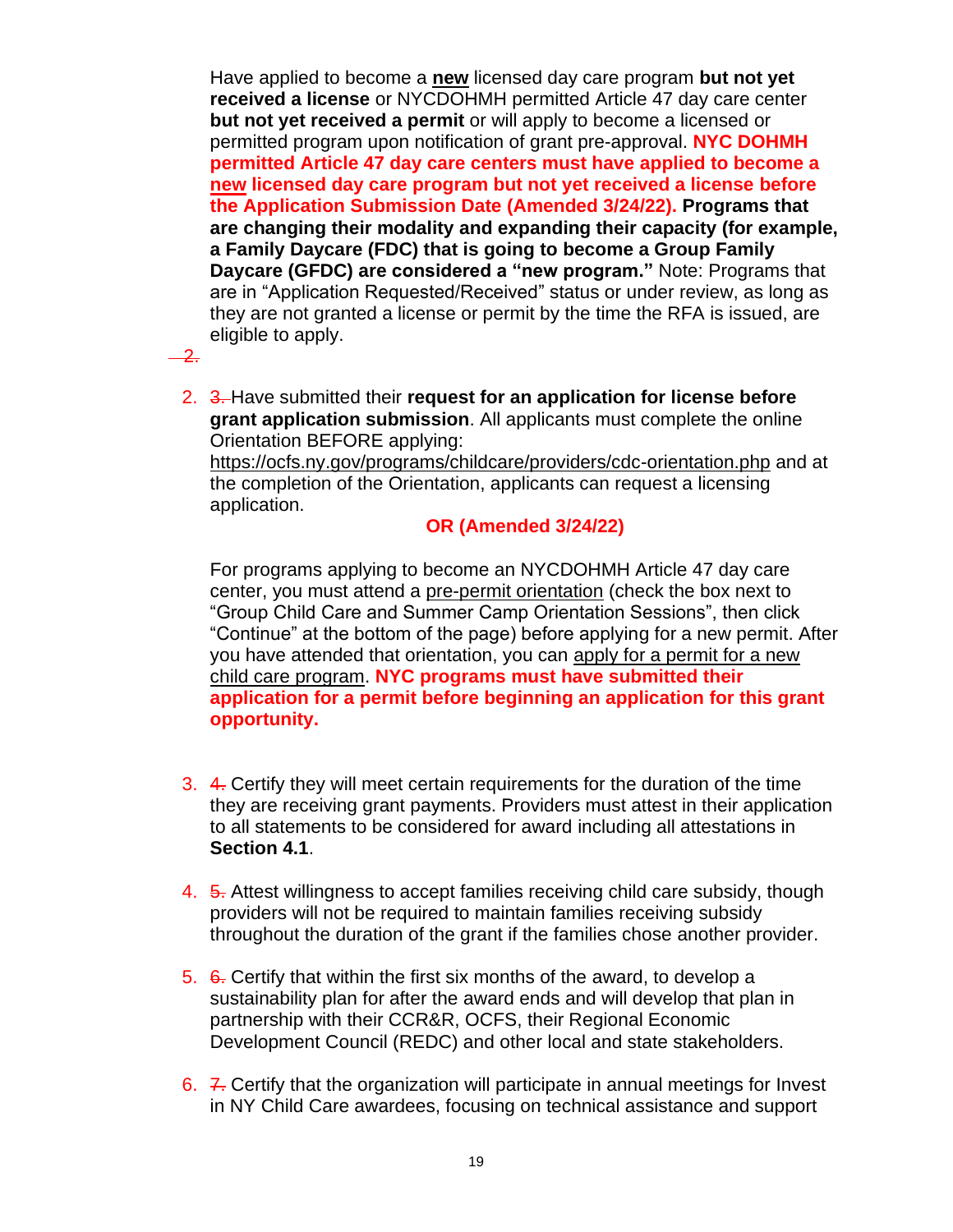Have applied to become a **new** licensed day care program **but not yet received a license** or NYCDOHMH permitted Article 47 day care center **but not yet received a permit** or will apply to become a licensed or permitted program upon notification of grant pre-approval. **NYC DOHMH permitted Article 47 day care centers must have applied to become a new licensed day care program but not yet received a license before the Application Submission Date (Amended 3/24/22). Programs that are changing their modality and expanding their capacity (for example, a Family Daycare (FDC) that is going to become a Group Family Daycare (GFDC) are considered a "new program."** Note: Programs that are in "Application Requested/Received" status or under review, as long as they are not granted a license or permit by the time the RFA is issued, are eligible to apply.

 $\overline{\mathbf{2}}$ 

2. 3. Have submitted their **request for an application for license before grant application submission**. All applicants must complete the online Orientation BEFORE applying:

<https://ocfs.ny.gov/programs/childcare/providers/cdc-orientation.php> and at the completion of the Orientation, applicants can request a licensing application.

### **OR (Amended 3/24/22)**

For programs applying to become an NYCDOHMH Article 47 day care center, you must attend a [pre-permit orientation](https://a816-healthpsi.nyc.gov/OnlineRegistration/dohmh/DOHMHService.action) (check the box next to "Group Child Care and Summer Camp Orientation Sessions", then click "Continue" at the bottom of the page) before applying for a new permit. After you have attended that orientation, you can [apply for a permit for a new](https://www1.nyc.gov/nycbusiness/description/group-child-care-center-permit)  [child care program.](https://www1.nyc.gov/nycbusiness/description/group-child-care-center-permit) **NYC programs must have submitted their application for a permit before beginning an application for this grant opportunity.**

- 3. 4. Certify they will meet certain requirements for the duration of the time they are receiving grant payments. Providers must attest in their application to all statements to be considered for award including all attestations in **Section 4.1**.
- 4. 5. Attest willingness to accept families receiving child care subsidy, though providers will not be required to maintain families receiving subsidy throughout the duration of the grant if the families chose another provider.
- 5. 6. Certify that within the first six months of the award, to develop a sustainability plan for after the award ends and will develop that plan in partnership with their CCR&R, OCFS, their Regional Economic Development Council (REDC) and other local and state stakeholders.
- 6. 7. Certify that the organization will participate in annual meetings for Invest in NY Child Care awardees, focusing on technical assistance and support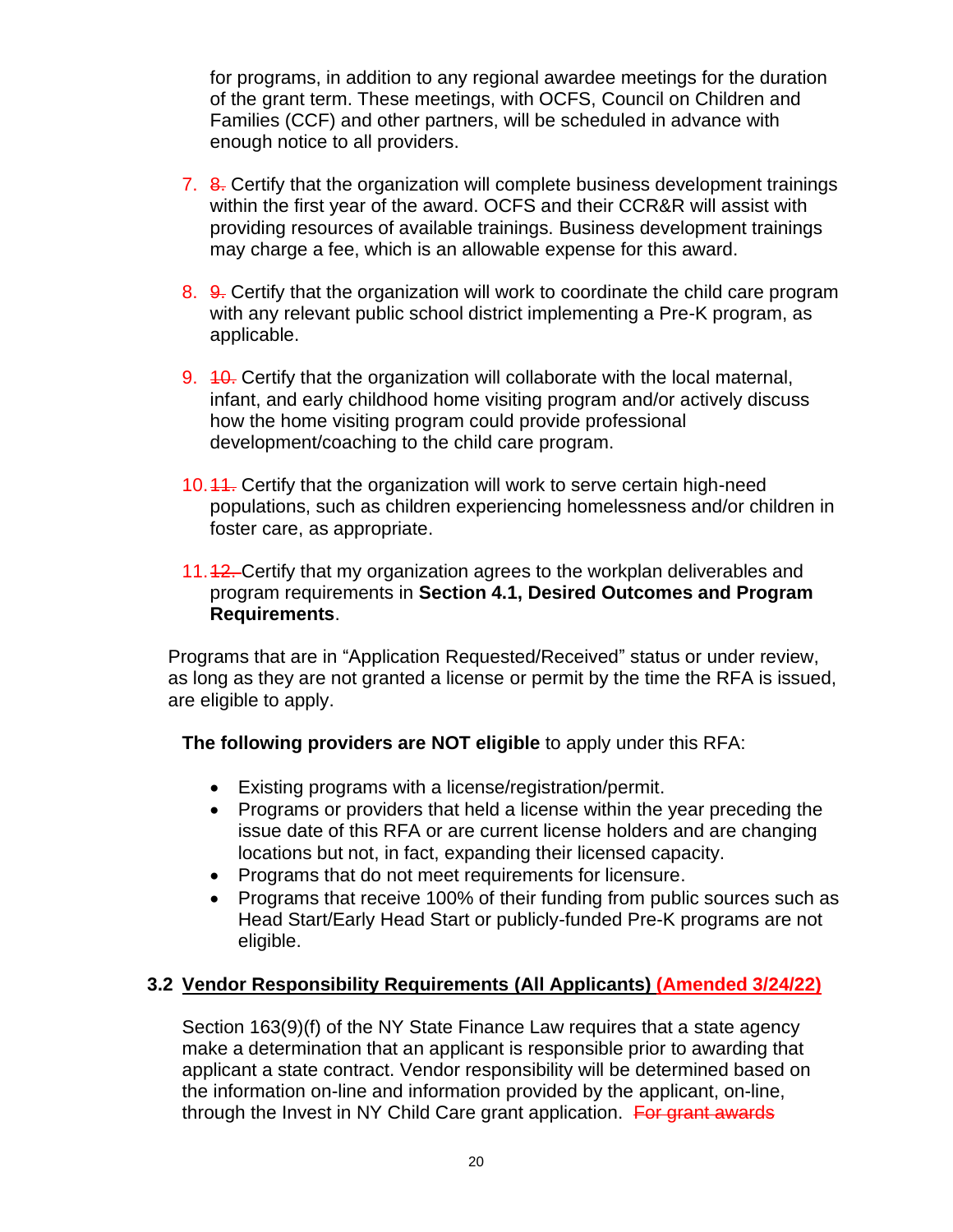for programs, in addition to any regional awardee meetings for the duration of the grant term. These meetings, with OCFS, Council on Children and Families (CCF) and other partners, will be scheduled in advance with enough notice to all providers.

- 7. 8. Certify that the organization will complete business development trainings within the first year of the award. OCFS and their CCR&R will assist with providing resources of available trainings. Business development trainings may charge a fee, which is an allowable expense for this award.
- 8. 9. Certify that the organization will work to coordinate the child care program with any relevant public school district implementing a Pre-K program, as applicable.
- 9. 40. Certify that the organization will collaborate with the local maternal, infant, and early childhood home visiting program and/or actively discuss how the home visiting program could provide professional development/coaching to the child care program.
- 10.11. Certify that the organization will work to serve certain high-need populations, such as children experiencing homelessness and/or children in foster care, as appropriate.
- 11.42. Certify that my organization agrees to the workplan deliverables and program requirements in **Section [4.1, Desired Outcomes and Program](#page-22-1)  [Requirements](#page-22-1)**.

Programs that are in "Application Requested/Received" status or under review, as long as they are not granted a license or permit by the time the RFA is issued, are eligible to apply.

### **The following providers are NOT eligible** to apply under this RFA:

- Existing programs with a license/registration/permit.
- Programs or providers that held a license within the year preceding the issue date of this RFA or are current license holders and are changing locations but not, in fact, expanding their licensed capacity.
- Programs that do not meet requirements for licensure.
- Programs that receive 100% of their funding from public sources such as Head Start/Early Head Start or publicly-funded Pre-K programs are not eligible.

# <span id="page-21-0"></span>**3.2 Vendor Responsibility Requirements (All Applicants) (Amended 3/24/22)**

Section 163(9)(f) of the NY State Finance Law requires that a state agency make a determination that an applicant is responsible prior to awarding that applicant a state contract. Vendor responsibility will be determined based on the information on-line and information provided by the applicant, on-line, through the Invest in NY Child Care grant application. For grant awards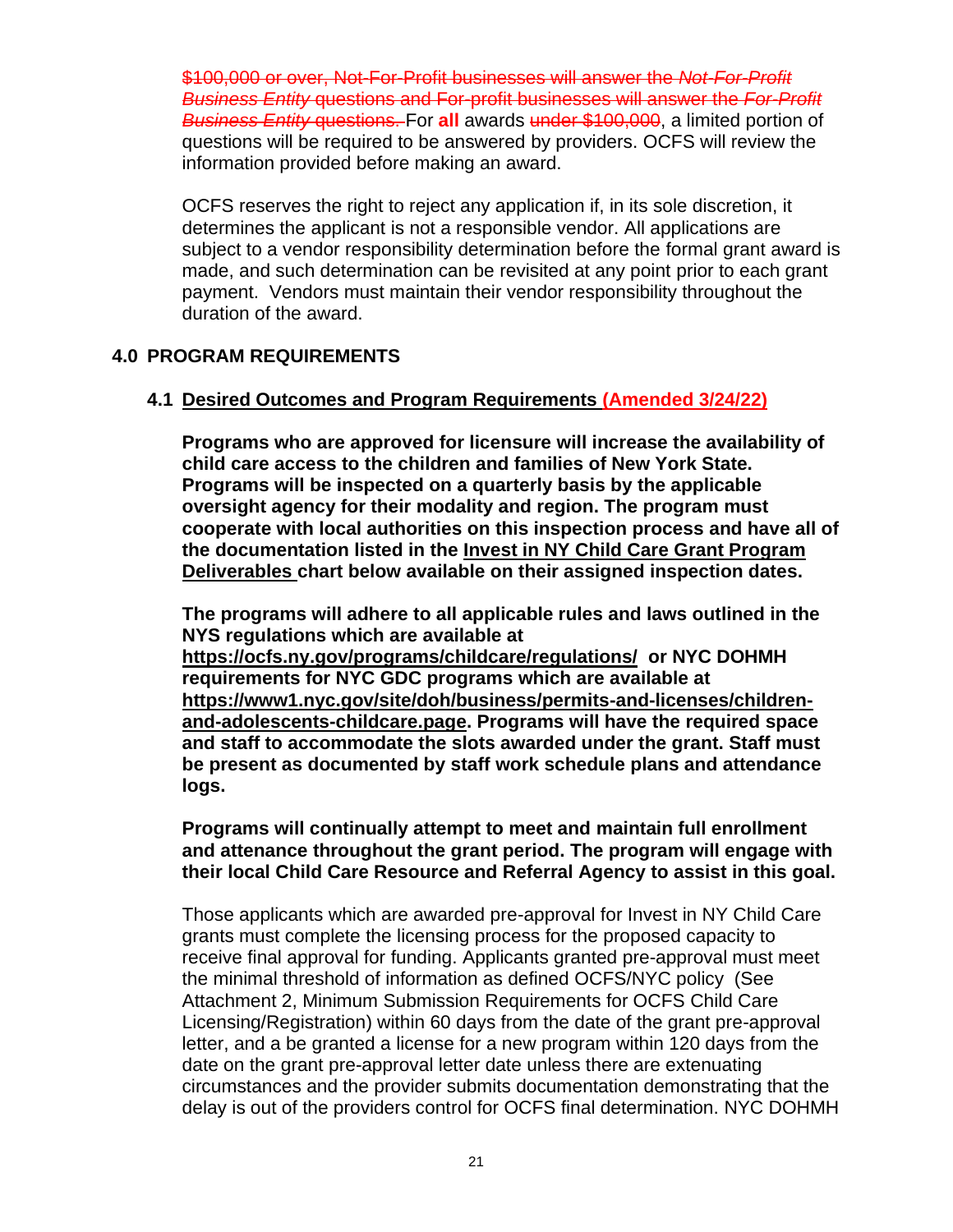\$100,000 or over, Not-For-Profit businesses will answer the *Not-For-Profit Business Entity* questions and For-profit businesses will answer the *For-Profit Business Entity* questions. For **all** awards under \$100,000, a limited portion of questions will be required to be answered by providers. OCFS will review the information provided before making an award.

OCFS reserves the right to reject any application if, in its sole discretion, it determines the applicant is not a responsible vendor. All applications are subject to a vendor responsibility determination before the formal grant award is made, and such determination can be revisited at any point prior to each grant payment. Vendors must maintain their vendor responsibility throughout the duration of the award.

### <span id="page-22-0"></span>**4.0 PROGRAM REQUIREMENTS**

#### <span id="page-22-1"></span>**4.1 Desired Outcomes and Program Requirements (Amended 3/24/22)**

**Programs who are approved for licensure will increase the availability of child care access to the children and families of New York State. Programs will be inspected on a quarterly basis by the applicable oversight agency for their modality and region. The program must cooperate with local authorities on this inspection process and have all of the documentation listed in the Invest in NY Child Care Grant Program Deliverables chart below available on their assigned inspection dates.** 

**The programs will adhere to all applicable rules and laws outlined in the NYS regulations which are available at <https://ocfs.ny.gov/programs/childcare/regulations/>or NYC DOHMH requirements for NYC GDC programs which are available at [https://www1.nyc.gov/site/doh/business/permits-and-licenses/children](https://www1.nyc.gov/site/doh/business/permits-and-licenses/children-and-adolescents-childcare.page)[and-adolescents-childcare.page.](https://www1.nyc.gov/site/doh/business/permits-and-licenses/children-and-adolescents-childcare.page) Programs will have the required space and staff to accommodate the slots awarded under the grant. Staff must be present as documented by staff work schedule plans and attendance logs.** 

#### **Programs will continually attempt to meet and maintain full enrollment and attenance throughout the grant period. The program will engage with their local Child Care Resource and Referral Agency to assist in this goal.**

Those applicants which are awarded pre-approval for Invest in NY Child Care grants must complete the licensing process for the proposed capacity to receive final approval for funding. Applicants granted pre-approval must meet the minimal threshold of information as defined OCFS/NYC policy [\(See](https://ocfs.ny.gov/main/contracts/funding/RFA1/RFA1-Att-2-Minimum-Requirements.docx)  [Attachment 2, Minimum Submission Requirements for OCFS Child Care](https://ocfs.ny.gov/main/contracts/funding/RFA1/RFA1-Att-2-Minimum-Requirements.docx)  [Licensing/Registration\)](https://ocfs.ny.gov/main/contracts/funding/RFA1/RFA1-Att-2-Minimum-Requirements.docx) within 60 days from the date of the grant pre-approval letter, and a be granted a license for a new program within 120 days from the date on the grant pre-approval letter date unless there are extenuating circumstances and the provider submits documentation demonstrating that the delay is out of the providers control for OCFS final determination. NYC DOHMH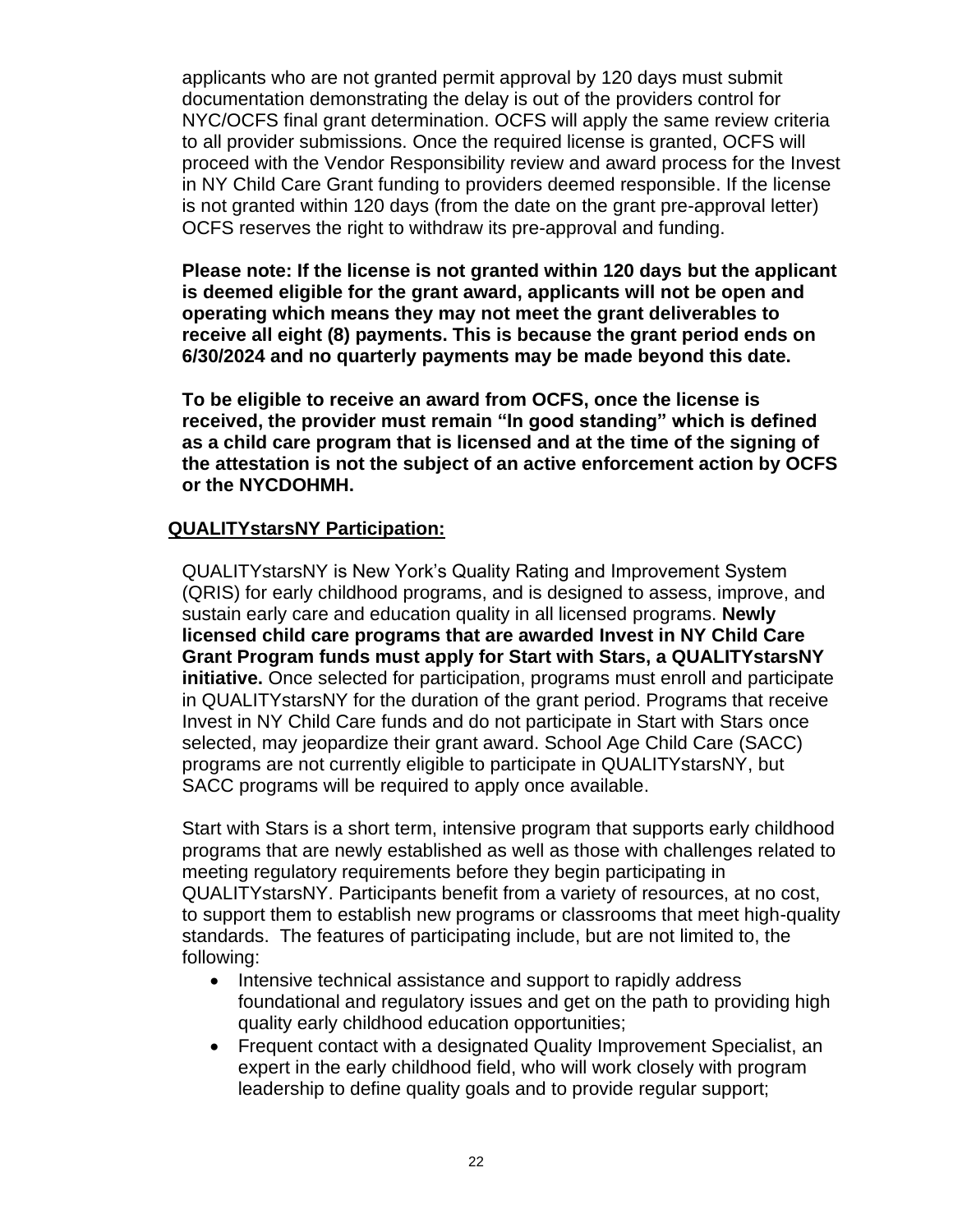applicants who are not granted permit approval by 120 days must submit documentation demonstrating the delay is out of the providers control for NYC/OCFS final grant determination. OCFS will apply the same review criteria to all provider submissions. Once the required license is granted, OCFS will proceed with the Vendor Responsibility review and award process for the Invest in NY Child Care Grant funding to providers deemed responsible. If the license is not granted within 120 days (from the date on the grant pre-approval letter) OCFS reserves the right to withdraw its pre-approval and funding.

**Please note: If the license is not granted within 120 days but the applicant is deemed eligible for the grant award, applicants will not be open and operating which means they may not meet the grant deliverables to receive all eight (8) payments. This is because the grant period ends on 6/30/2024 and no quarterly payments may be made beyond this date.**

**To be eligible to receive an award from OCFS, once the license is received, the provider must remain "In good standing" which is defined as a child care program that is licensed and at the time of the signing of the attestation is not the subject of an active enforcement action by OCFS or the NYCDOHMH.**

### **QUALITYstarsNY Participation:**

QUALITYstarsNY is New York's Quality Rating and Improvement System (QRIS) for early childhood programs, and is designed to assess, improve, and sustain early care and education quality in all licensed programs. **Newly licensed child care programs that are awarded Invest in NY Child Care Grant Program funds must apply for Start with Stars, a QUALITYstarsNY initiative.** Once selected for participation, programs must enroll and participate in QUALITYstarsNY for the duration of the grant period. Programs that receive Invest in NY Child Care funds and do not participate in Start with Stars once selected, may jeopardize their grant award. School Age Child Care (SACC) programs are not currently eligible to participate in QUALITYstarsNY, but SACC programs will be required to apply once available.

Start with Stars is a short term, intensive program that supports early childhood programs that are newly established as well as those with challenges related to meeting regulatory requirements before they begin participating in QUALITYstarsNY. Participants benefit from a variety of resources, at no cost, to support them to establish new programs or classrooms that meet high-quality standards. The features of participating include, but are not limited to, the following:

- Intensive technical assistance and support to rapidly address foundational and regulatory issues and get on the path to providing high quality early childhood education opportunities;
- Frequent contact with a designated Quality Improvement Specialist, an expert in the early childhood field, who will work closely with program leadership to define quality goals and to provide regular support;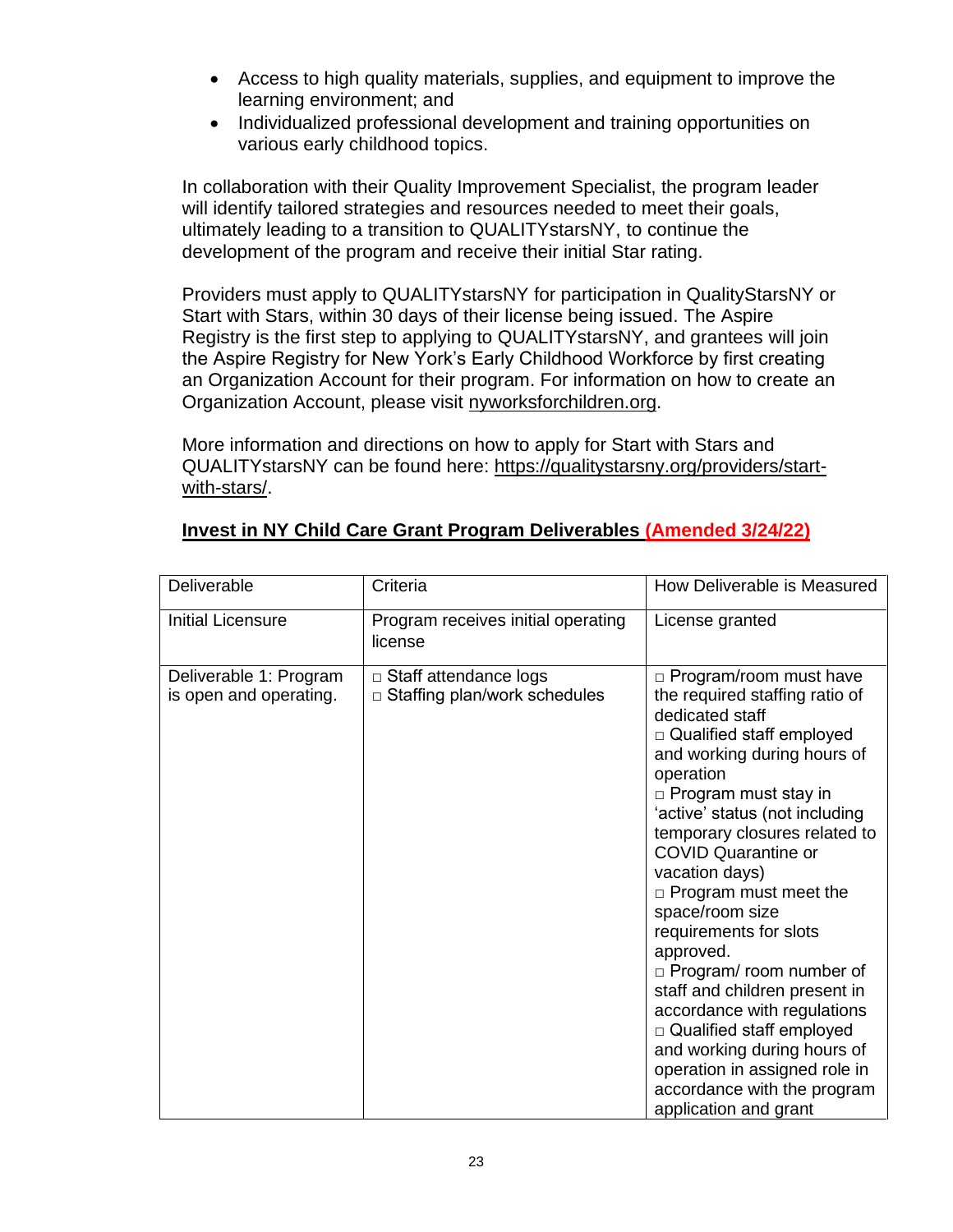- Access to high quality materials, supplies, and equipment to improve the learning environment; and
- Individualized professional development and training opportunities on various early childhood topics.

In collaboration with their Quality Improvement Specialist, the program leader will identify tailored strategies and resources needed to meet their goals, ultimately leading to a transition to QUALITYstarsNY, to continue the development of the program and receive their initial Star rating.

Providers must apply to QUALITYstarsNY for participation in QualityStarsNY or Start with Stars, within 30 days of their license being issued. The Aspire Registry is the first step to applying to QUALITYstarsNY, and grantees will join the Aspire Registry for New York's Early Childhood Workforce by first creating an Organization Account for their program. For information on how to create an Organization Account, please visit [nyworksforchildren.org.](https://www.nyworksforchildren.org/)

More information and directions on how to apply for Start with Stars and QUALITYstarsNY can be found here: [https://qualitystarsny.org/providers/start](https://urldefense.proofpoint.com/v2/url?u=https-3A__qualitystarsny.org_providers_start-2Dwith-2Dstars_&d=DwQFAg&c=mRWFL96tuqj9V0Jjj4h40ddo0XsmttALwKjAEOCyUjY&r=3euzfvzFRdzcf7jak8MdrxRmesJMLAHlN5GuAs9AISU&m=VMREmFGTCV7fgHSFSfib63pvhpI_3I9wPcRY_rHW1Lg&s=ufmSZ6cVyx_7G4BEeytahfdeDAKHTQA-iq1gv9Ufl-Q&e=)[with-stars/.](https://urldefense.proofpoint.com/v2/url?u=https-3A__qualitystarsny.org_providers_start-2Dwith-2Dstars_&d=DwQFAg&c=mRWFL96tuqj9V0Jjj4h40ddo0XsmttALwKjAEOCyUjY&r=3euzfvzFRdzcf7jak8MdrxRmesJMLAHlN5GuAs9AISU&m=VMREmFGTCV7fgHSFSfib63pvhpI_3I9wPcRY_rHW1Lg&s=ufmSZ6cVyx_7G4BEeytahfdeDAKHTQA-iq1gv9Ufl-Q&e=)

| Deliverable                                      | Criteria                                                            | How Deliverable is Measured                                                                                                                                                                                                                                                                                                                                                                                                                                                                                                                                                                                                                                           |
|--------------------------------------------------|---------------------------------------------------------------------|-----------------------------------------------------------------------------------------------------------------------------------------------------------------------------------------------------------------------------------------------------------------------------------------------------------------------------------------------------------------------------------------------------------------------------------------------------------------------------------------------------------------------------------------------------------------------------------------------------------------------------------------------------------------------|
| <b>Initial Licensure</b>                         | Program receives initial operating<br>license                       | License granted                                                                                                                                                                                                                                                                                                                                                                                                                                                                                                                                                                                                                                                       |
| Deliverable 1: Program<br>is open and operating. | $\Box$ Staff attendance logs<br>$\Box$ Staffing plan/work schedules | $\Box$ Program/room must have<br>the required staffing ratio of<br>dedicated staff<br>$\Box$ Qualified staff employed<br>and working during hours of<br>operation<br>$\Box$ Program must stay in<br>'active' status (not including<br>temporary closures related to<br><b>COVID Quarantine or</b><br>vacation days)<br>$\Box$ Program must meet the<br>space/room size<br>requirements for slots<br>approved.<br>$\Box$ Program/ room number of<br>staff and children present in<br>accordance with regulations<br>□ Qualified staff employed<br>and working during hours of<br>operation in assigned role in<br>accordance with the program<br>application and grant |

# **Invest in NY Child Care Grant Program Deliverables (Amended 3/24/22)**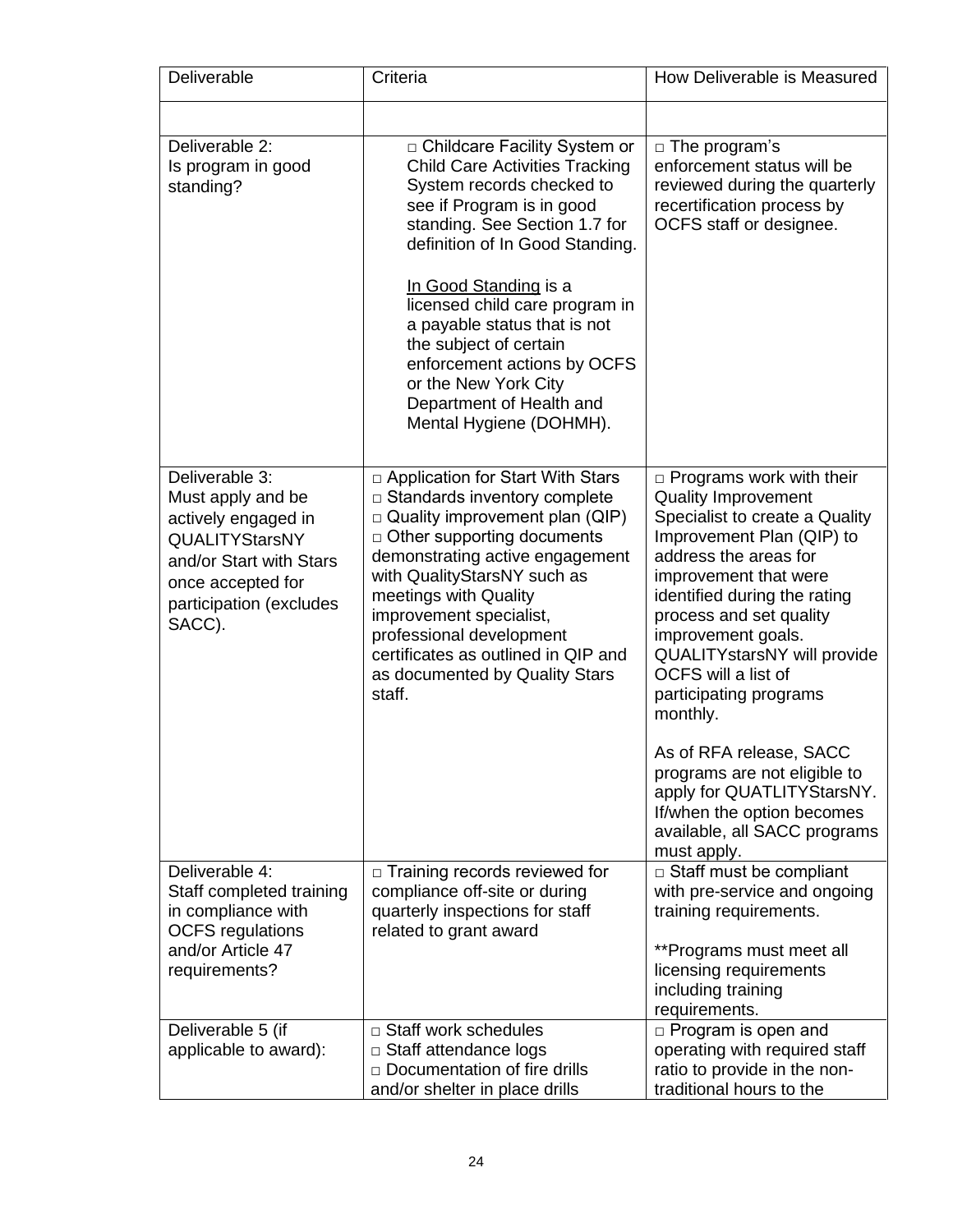| Deliverable                                                                                                                                                              | Criteria                                                                                                                                                                                                                                                                                                                                                                                                                                 | How Deliverable is Measured                                                                                                                                                                                                                                                                                                                                                            |
|--------------------------------------------------------------------------------------------------------------------------------------------------------------------------|------------------------------------------------------------------------------------------------------------------------------------------------------------------------------------------------------------------------------------------------------------------------------------------------------------------------------------------------------------------------------------------------------------------------------------------|----------------------------------------------------------------------------------------------------------------------------------------------------------------------------------------------------------------------------------------------------------------------------------------------------------------------------------------------------------------------------------------|
|                                                                                                                                                                          |                                                                                                                                                                                                                                                                                                                                                                                                                                          |                                                                                                                                                                                                                                                                                                                                                                                        |
| Deliverable 2:<br>Is program in good<br>standing?                                                                                                                        | □ Childcare Facility System or<br><b>Child Care Activities Tracking</b><br>System records checked to<br>see if Program is in good<br>standing. See Section 1.7 for<br>definition of In Good Standing.<br>In Good Standing is a<br>licensed child care program in<br>a payable status that is not<br>the subject of certain<br>enforcement actions by OCFS<br>or the New York City<br>Department of Health and<br>Mental Hygiene (DOHMH). | $\Box$ The program's<br>enforcement status will be<br>reviewed during the quarterly<br>recertification process by<br>OCFS staff or designee.                                                                                                                                                                                                                                           |
| Deliverable 3:<br>Must apply and be<br>actively engaged in<br><b>QUALITYStarsNY</b><br>and/or Start with Stars<br>once accepted for<br>participation (excludes<br>SACC). | □ Application for Start With Stars<br>$\Box$ Standards inventory complete<br>$\Box$ Quality improvement plan (QIP)<br>$\Box$ Other supporting documents<br>demonstrating active engagement<br>with QualityStarsNY such as<br>meetings with Quality<br>improvement specialist,<br>professional development<br>certificates as outlined in QIP and<br>as documented by Quality Stars<br>staff.                                             | $\Box$ Programs work with their<br><b>Quality Improvement</b><br>Specialist to create a Quality<br>Improvement Plan (QIP) to<br>address the areas for<br>improvement that were<br>identified during the rating<br>process and set quality<br>improvement goals.<br>QUALITYstarsNY will provide<br>OCFS will a list of<br>participating programs<br>monthly.<br>As of RFA release, SACC |
|                                                                                                                                                                          |                                                                                                                                                                                                                                                                                                                                                                                                                                          | programs are not eligible to<br>apply for QUATLITYStarsNY.<br>If/when the option becomes<br>available, all SACC programs<br>must apply.                                                                                                                                                                                                                                                |
| Deliverable 4:<br>Staff completed training<br>in compliance with<br><b>OCFS</b> regulations                                                                              | $\Box$ Training records reviewed for<br>compliance off-site or during<br>quarterly inspections for staff<br>related to grant award                                                                                                                                                                                                                                                                                                       | $\Box$ Staff must be compliant<br>with pre-service and ongoing<br>training requirements.                                                                                                                                                                                                                                                                                               |
| and/or Article 47<br>requirements?                                                                                                                                       |                                                                                                                                                                                                                                                                                                                                                                                                                                          | **Programs must meet all<br>licensing requirements<br>including training<br>requirements.                                                                                                                                                                                                                                                                                              |
| Deliverable 5 (if<br>applicable to award):                                                                                                                               | □ Staff work schedules<br>$\Box$ Staff attendance logs<br>$\Box$ Documentation of fire drills<br>and/or shelter in place drills                                                                                                                                                                                                                                                                                                          | $\Box$ Program is open and<br>operating with required staff<br>ratio to provide in the non-<br>traditional hours to the                                                                                                                                                                                                                                                                |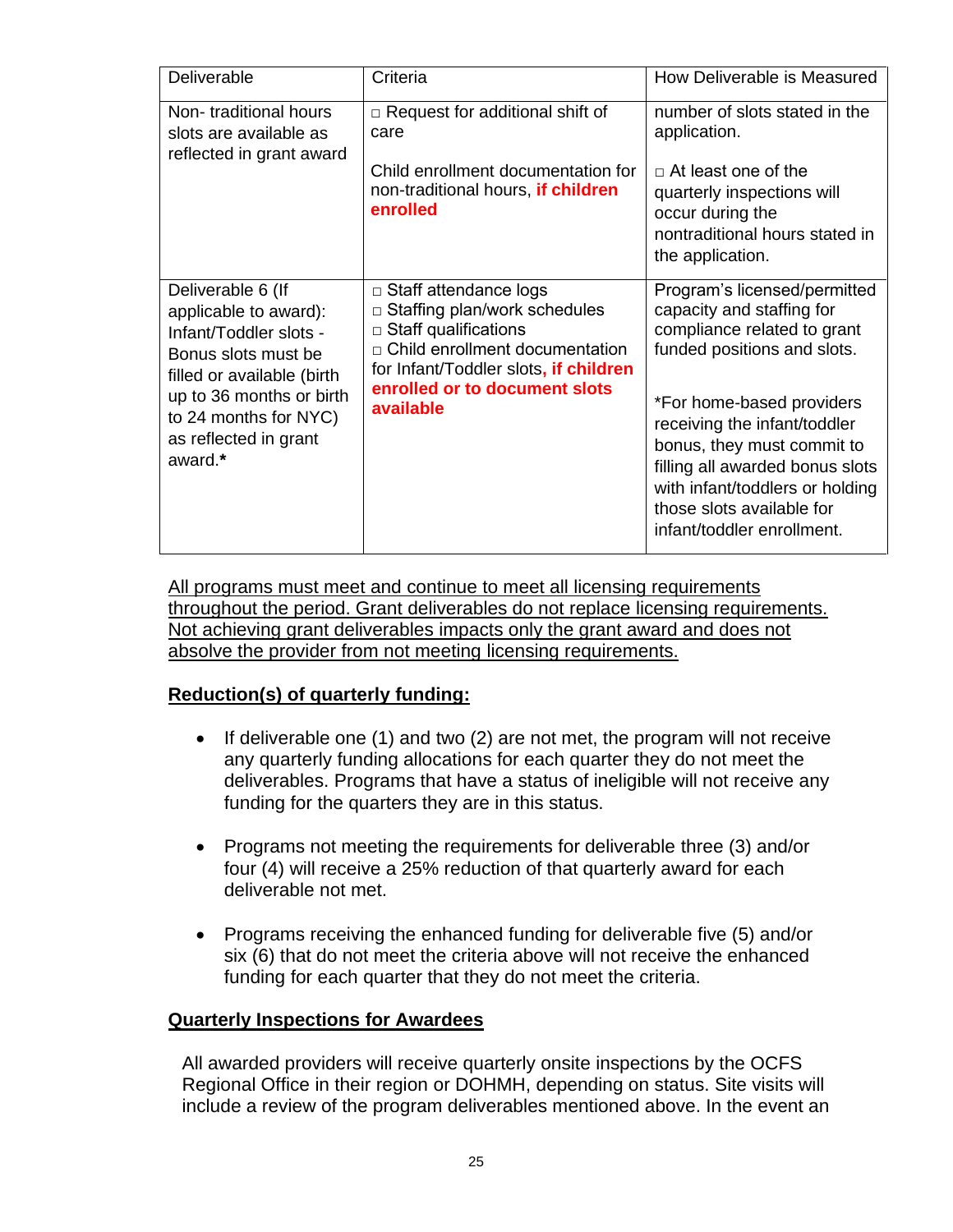| <b>Deliverable</b>                                                                                                        | Criteria                                                                                                                                                                                               | How Deliverable is Measured                                                                                                                                                                                              |
|---------------------------------------------------------------------------------------------------------------------------|--------------------------------------------------------------------------------------------------------------------------------------------------------------------------------------------------------|--------------------------------------------------------------------------------------------------------------------------------------------------------------------------------------------------------------------------|
| Non-traditional hours<br>slots are available as<br>reflected in grant award                                               | $\Box$ Request for additional shift of<br>care<br>Child enrollment documentation for<br>non-traditional hours, if children<br>enrolled                                                                 | number of slots stated in the<br>application.<br>$\Box$ At least one of the<br>quarterly inspections will<br>occur during the                                                                                            |
|                                                                                                                           |                                                                                                                                                                                                        | nontraditional hours stated in<br>the application.                                                                                                                                                                       |
| Deliverable 6 (If<br>applicable to award):<br>Infant/Toddler slots -<br>Bonus slots must be<br>filled or available (birth | □ Staff attendance logs<br>□ Staffing plan/work schedules<br>$\Box$ Staff qualifications<br>□ Child enrollment documentation<br>for Infant/Toddler slots, if children<br>enrolled or to document slots | Program's licensed/permitted<br>capacity and staffing for<br>compliance related to grant<br>funded positions and slots.                                                                                                  |
| up to 36 months or birth<br>to 24 months for NYC)<br>as reflected in grant<br>award.*                                     | available                                                                                                                                                                                              | *For home-based providers<br>receiving the infant/toddler<br>bonus, they must commit to<br>filling all awarded bonus slots<br>with infant/toddlers or holding<br>those slots available for<br>infant/toddler enrollment. |

All programs must meet and continue to meet all licensing requirements throughout the period. Grant deliverables do not replace licensing requirements. Not achieving grant deliverables impacts only the grant award and does not absolve the provider from not meeting licensing requirements.

# **Reduction(s) of quarterly funding:**

- If deliverable one (1) and two (2) are not met, the program will not receive any quarterly funding allocations for each quarter they do not meet the deliverables. Programs that have a status of ineligible will not receive any funding for the quarters they are in this status.
- Programs not meeting the requirements for deliverable three (3) and/or four (4) will receive a 25% reduction of that quarterly award for each deliverable not met.
- Programs receiving the enhanced funding for deliverable five (5) and/or six (6) that do not meet the criteria above will not receive the enhanced funding for each quarter that they do not meet the criteria.

### **Quarterly Inspections for Awardees**

All awarded providers will receive quarterly onsite inspections by the OCFS Regional Office in their region or DOHMH, depending on status. Site visits will include a review of the program deliverables mentioned above. In the event an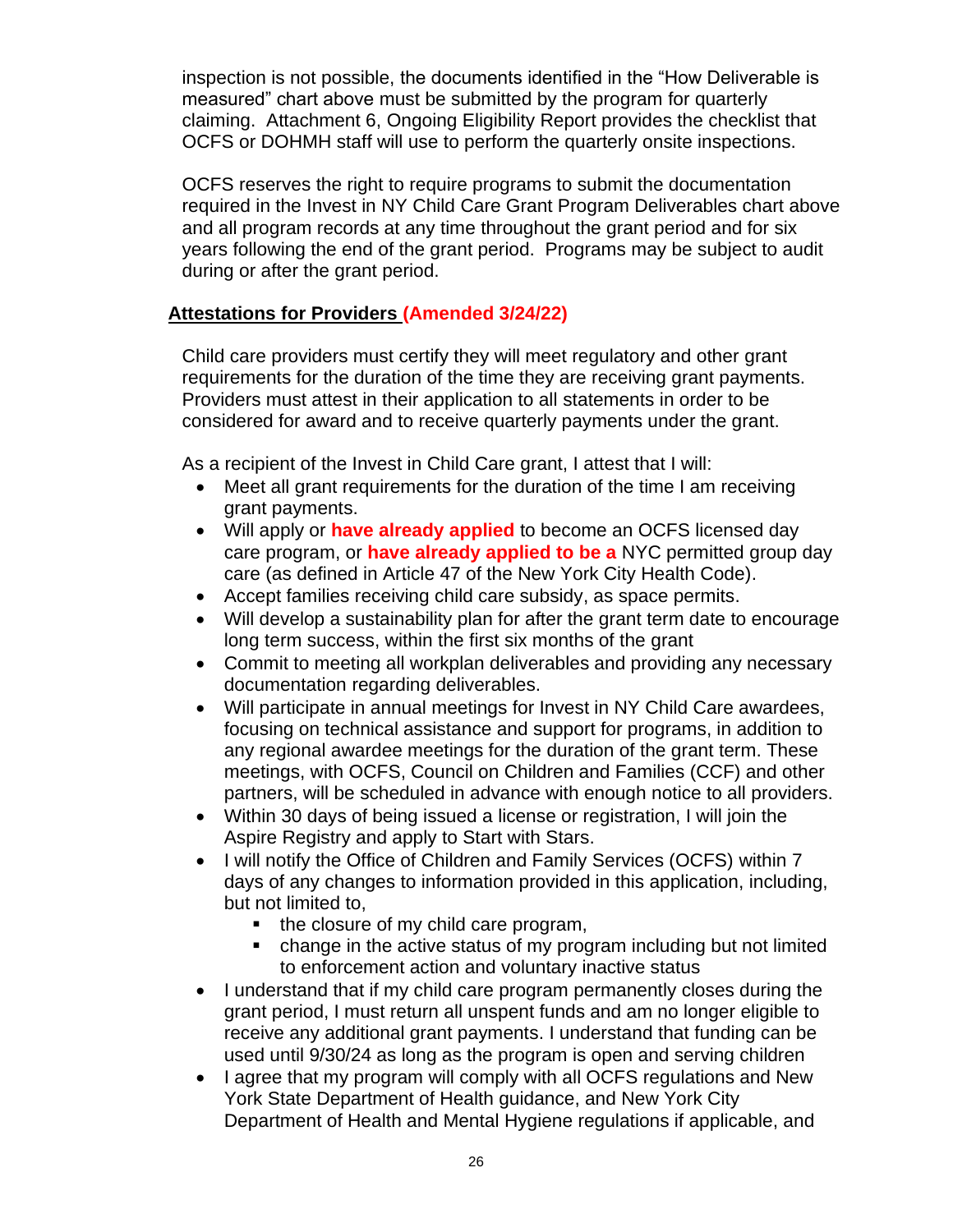inspection is not possible, the documents identified in the "How Deliverable is measured" chart above must be submitted by the program for quarterly claiming. [Attachment 6, Ongoing Eligibility Report](https://ocfs.ny.gov/main/contracts/funding/RFA1/RFA1-Att-6-Eligibility-Report.docx) provides the checklist that OCFS or DOHMH staff will use to perform the quarterly onsite inspections.

OCFS reserves the right to require programs to submit the documentation required in the Invest in NY Child Care Grant Program Deliverables chart above and all program records at any time throughout the grant period and for six years following the end of the grant period. Programs may be subject to audit during or after the grant period.

# **Attestations for Providers (Amended 3/24/22)**

Child care providers must certify they will meet regulatory and other grant requirements for the duration of the time they are receiving grant payments. Providers must attest in their application to all statements in order to be considered for award and to receive quarterly payments under the grant.

As a recipient of the Invest in Child Care grant, I attest that I will:

- Meet all grant requirements for the duration of the time I am receiving grant payments.
- Will apply or **have already applied** to become an OCFS licensed day care program, or **have already applied to be a** NYC permitted group day care (as defined in Article 47 of the New York City Health Code).
- Accept families receiving child care subsidy, as space permits.
- Will develop a sustainability plan for after the grant term date to encourage long term success, within the first six months of the grant
- Commit to meeting all workplan deliverables and providing any necessary documentation regarding deliverables.
- Will participate in annual meetings for Invest in NY Child Care awardees, focusing on technical assistance and support for programs, in addition to any regional awardee meetings for the duration of the grant term. These meetings, with OCFS, Council on Children and Families (CCF) and other partners, will be scheduled in advance with enough notice to all providers.
- Within 30 days of being issued a license or registration, I will join the Aspire Registry and apply to Start with Stars.
- I will notify the Office of Children and Family Services (OCFS) within 7 days of any changes to information provided in this application, including, but not limited to,
	- the closure of my child care program,
	- change in the active status of my program including but not limited to enforcement action and voluntary inactive status
- I understand that if my child care program permanently closes during the grant period, I must return all unspent funds and am no longer eligible to receive any additional grant payments. I understand that funding can be used until 9/30/24 as long as the program is open and serving children
- I agree that my program will comply with all OCFS regulations and New York State Department of Health guidance, and New York City Department of Health and Mental Hygiene regulations if applicable, and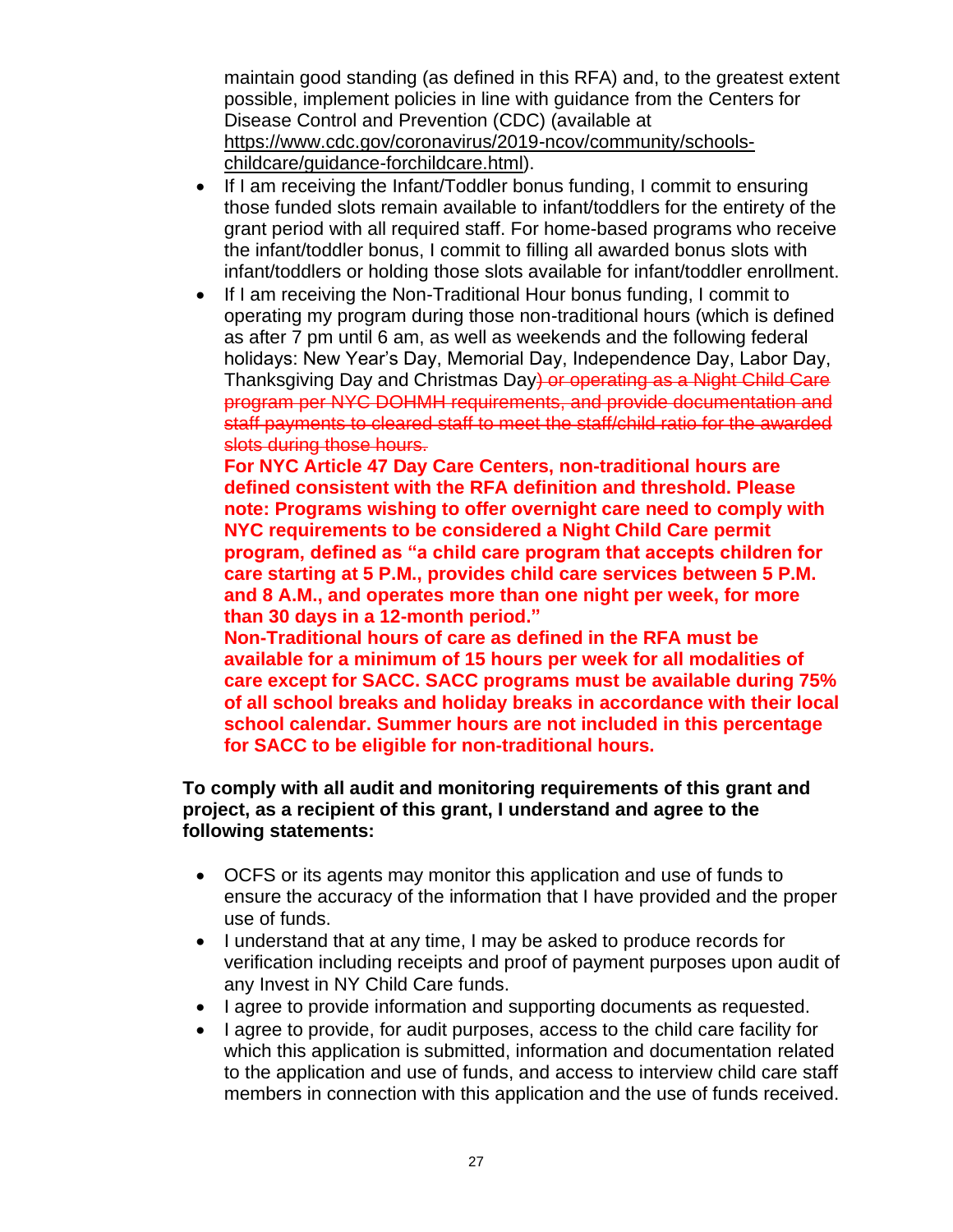maintain good standing (as defined in this RFA) and, to the greatest extent possible, implement policies in line with guidance from the Centers for Disease Control and Prevention (CDC) (available at [https://www.cdc.gov/coronavirus/2019-ncov/community/schools](https://www.cdc.gov/coronavirus/2019-ncov/community/schools-%20childcare/guidance-forchildcare.html)[childcare/guidance-forchildcare.html\)](https://www.cdc.gov/coronavirus/2019-ncov/community/schools-%20childcare/guidance-forchildcare.html).

- If I am receiving the Infant/Toddler bonus funding, I commit to ensuring those funded slots remain available to infant/toddlers for the entirety of the grant period with all required staff. For home-based programs who receive the infant/toddler bonus, I commit to filling all awarded bonus slots with infant/toddlers or holding those slots available for infant/toddler enrollment.
- If I am receiving the Non-Traditional Hour bonus funding, I commit to operating my program during those non-traditional hours (which is defined as after 7 pm until 6 am, as well as weekends and the following federal holidays: New Year's Day, Memorial Day, Independence Day, Labor Day, Thanksgiving Day and Christmas Day) or operating as a Night Child Care program per NYC DOHMH requirements, and provide documentation and staff payments to cleared staff to meet the staff/child ratio for the awarded slots during those hours.

**For NYC Article 47 Day Care Centers, non-traditional hours are defined consistent with the RFA definition and threshold. Please note: Programs wishing to offer overnight care need to comply with NYC requirements to be considered a Night Child Care permit program, defined as "a child care program that accepts children for care starting at 5 P.M., provides child care services between 5 P.M. and 8 A.M., and operates more than one night per week, for more than 30 days in a 12-month period."**

**Non-Traditional hours of care as defined in the RFA must be available for a minimum of 15 hours per week for all modalities of care except for SACC. SACC programs must be available during 75% of all school breaks and holiday breaks in accordance with their local school calendar. Summer hours are not included in this percentage for SACC to be eligible for non-traditional hours.**

### **To comply with all audit and monitoring requirements of this grant and project, as a recipient of this grant, I understand and agree to the following statements:**

- OCFS or its agents may monitor this application and use of funds to ensure the accuracy of the information that I have provided and the proper use of funds.
- I understand that at any time, I may be asked to produce records for verification including receipts and proof of payment purposes upon audit of any Invest in NY Child Care funds.
- I agree to provide information and supporting documents as requested.
- I agree to provide, for audit purposes, access to the child care facility for which this application is submitted, information and documentation related to the application and use of funds, and access to interview child care staff members in connection with this application and the use of funds received.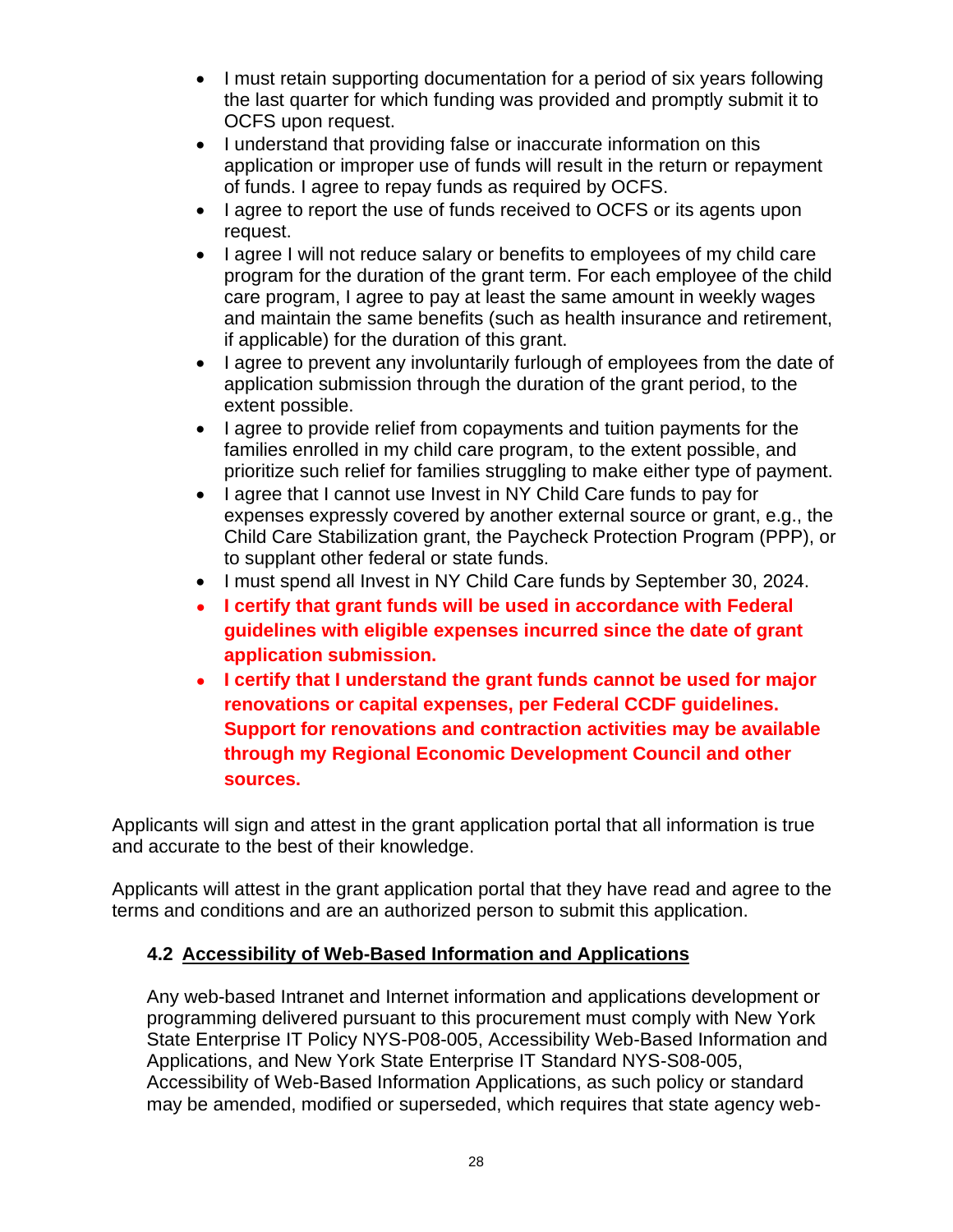- I must retain supporting documentation for a period of six years following the last quarter for which funding was provided and promptly submit it to OCFS upon request.
- I understand that providing false or inaccurate information on this application or improper use of funds will result in the return or repayment of funds. I agree to repay funds as required by OCFS.
- I agree to report the use of funds received to OCFS or its agents upon request.
- I agree I will not reduce salary or benefits to employees of my child care program for the duration of the grant term. For each employee of the child care program, I agree to pay at least the same amount in weekly wages and maintain the same benefits (such as health insurance and retirement, if applicable) for the duration of this grant.
- I agree to prevent any involuntarily furlough of employees from the date of application submission through the duration of the grant period, to the extent possible.
- I agree to provide relief from copayments and tuition payments for the families enrolled in my child care program, to the extent possible, and prioritize such relief for families struggling to make either type of payment.
- I agree that I cannot use Invest in NY Child Care funds to pay for expenses expressly covered by another external source or grant, e.g., the Child Care Stabilization grant, the Paycheck Protection Program (PPP), or to supplant other federal or state funds.
- I must spend all Invest in NY Child Care funds by September 30, 2024.
- **I certify that grant funds will be used in accordance with Federal guidelines with eligible expenses incurred since the date of grant application submission.**
- **I certify that I understand the grant funds cannot be used for major renovations or capital expenses, per Federal CCDF guidelines. Support for renovations and contraction activities may be available through my Regional Economic Development Council and other sources.**

Applicants will sign and attest in the grant application portal that all information is true and accurate to the best of their knowledge.

Applicants will attest in the grant application portal that they have read and agree to the terms and conditions and are an authorized person to submit this application.

# <span id="page-29-0"></span>**4.2 Accessibility of Web-Based Information and Applications**

Any web-based Intranet and Internet information and applications development or programming delivered pursuant to this procurement must comply with New York State Enterprise IT Policy NYS-P08-005, Accessibility Web-Based Information and Applications, and New York State Enterprise IT Standard NYS-S08-005, Accessibility of Web-Based Information Applications, as such policy or standard may be amended, modified or superseded, which requires that state agency web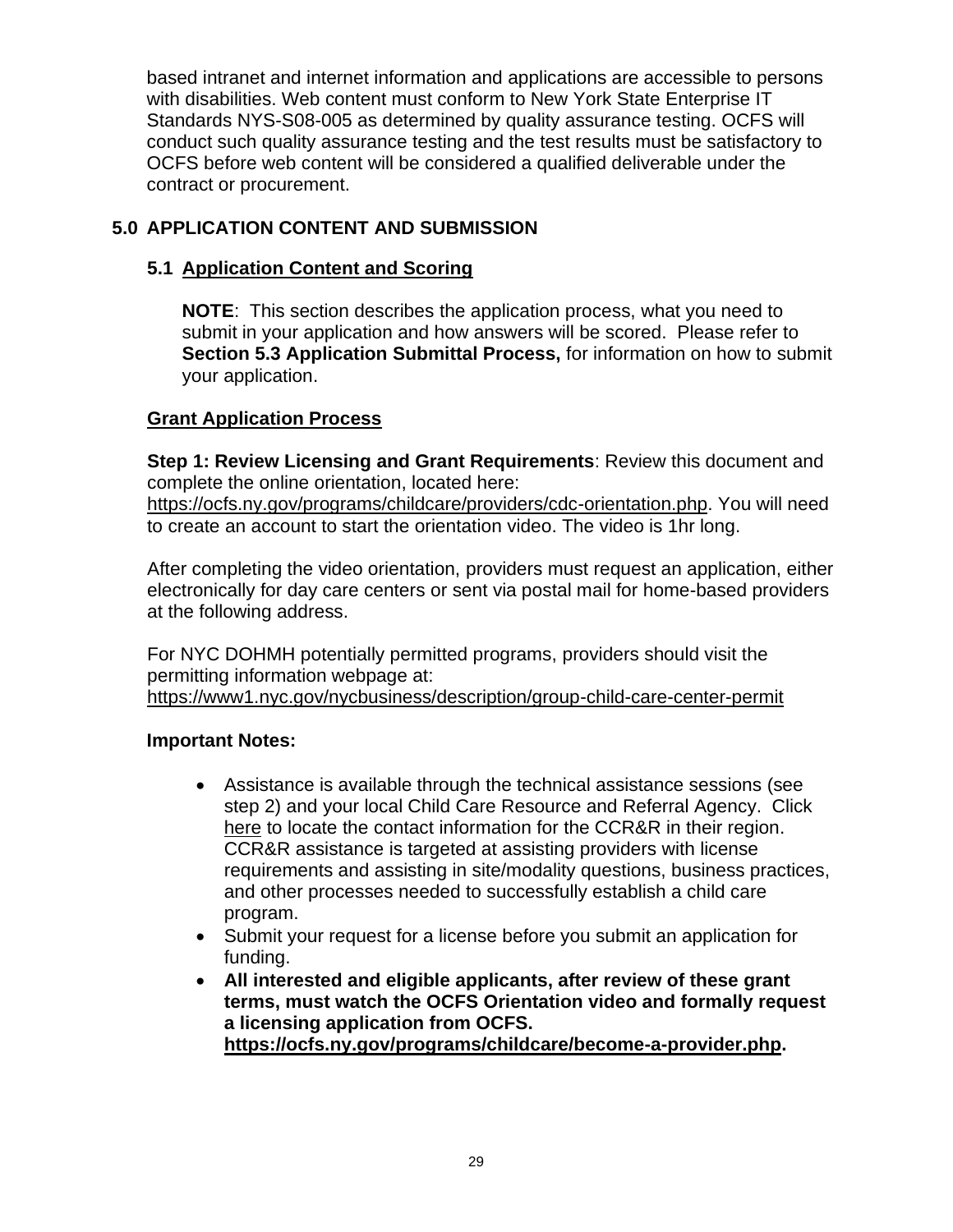based intranet and internet information and applications are accessible to persons with disabilities. Web content must conform to New York State Enterprise IT Standards NYS-S08-005 as determined by quality assurance testing. OCFS will conduct such quality assurance testing and the test results must be satisfactory to OCFS before web content will be considered a qualified deliverable under the contract or procurement.

# <span id="page-30-0"></span>**5.0 APPLICATION CONTENT AND SUBMISSION**

# <span id="page-30-1"></span>**5.1 Application Content and Scoring**

**NOTE**: This section describes the application process, what you need to submit in your application and how answers will be scored. Please refer to **Section [5.3](#page-39-0) Application [Submittal Process,](#page-39-0)** for information on how to submit your application.

# **Grant Application Process**

**Step 1: Review Licensing and Grant Requirements**: Review this document and complete the online orientation, located here:

[https://ocfs.ny.gov/programs/childcare/providers/cdc-orientation.php.](https://ocfs.ny.gov/programs/childcare/providers/cdc-orientation.php) You will need to create an account to start the orientation video. The video is 1hr long.

After completing the video orientation, providers must request an application, either electronically for day care centers or sent via postal mail for home-based providers at the following address.

For NYC DOHMH potentially permitted programs, providers should visit the permitting information webpage at: <https://www1.nyc.gov/nycbusiness/description/group-child-care-center-permit>

# **Important Notes:**

- Assistance is available through the technical assistance sessions (see step 2) and your local Child Care Resource and Referral Agency. Click [here](https://ocfs.ny.gov/programs/childcare/referral-agencies.php) to locate the contact information for the CCR&R in their region. CCR&R assistance is targeted at assisting providers with license requirements and assisting in site/modality questions, business practices, and other processes needed to successfully establish a child care program.
- Submit your request for a license before you submit an application for funding.
- **All interested and eligible applicants, after review of these grant terms, must watch the OCFS Orientation video and formally request a licensing application from OCFS. [https://ocfs.ny.gov/programs/childcare/become-a-provider.php.](https://ocfs.ny.gov/programs/childcare/become-a-provider.php)**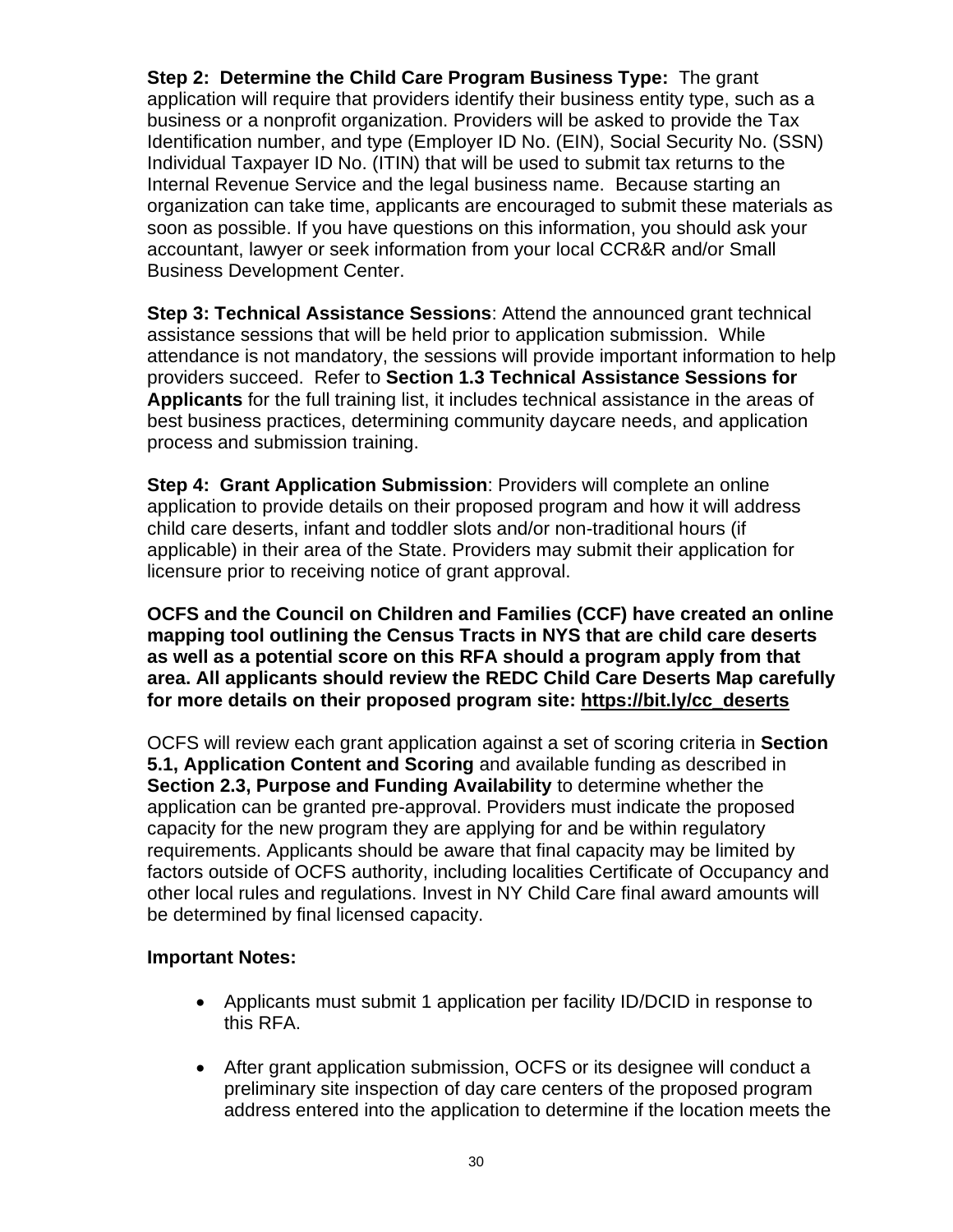**Step 2: Determine the Child Care Program Business Type:** The grant application will require that providers identify their business entity type, such as a business or a nonprofit organization. Providers will be asked to provide the Tax Identification number, and type (Employer ID No. (EIN), Social Security No. (SSN) Individual Taxpayer ID No. (ITIN) that will be used to submit tax returns to the Internal Revenue Service and the legal business name. Because starting an organization can take time, applicants are encouraged to submit these materials as soon as possible. If you have questions on this information, you should ask your accountant, lawyer or seek information from your local CCR&R and/or Small Business Development Center.

**Step 3: Technical Assistance Sessions**: Attend the announced grant technical assistance sessions that will be held prior to application submission. While attendance is not mandatory, the sessions will provide important information to help providers succeed. Refer to **Section [1.3](#page-3-1) [Technical Assistance Sessions](#page-3-1) for [Applicants](#page-3-1)** for the full training list, it includes technical assistance in the areas of best business practices, determining community daycare needs, and application process and submission training.

**Step 4: Grant Application Submission**: Providers will complete an online application to provide details on their proposed program and how it will address child care deserts, infant and toddler slots and/or non-traditional hours (if applicable) in their area of the State. Providers may submit their application for licensure prior to receiving notice of grant approval.

**OCFS and the Council on Children and Families (CCF) have created an online mapping tool outlining the Census Tracts in NYS that are child care deserts as well as a potential score on this RFA should a program apply from that area. All applicants should review the REDC Child Care Deserts Map carefully for more details on their proposed program site: [https://bit.ly/cc\\_deserts](https://bit.ly/cc_deserts)**

OCFS will review each grant application against a set of scoring criteria in **Section [5.1,](#page-30-1) Application Content [and Scoring](#page-30-1)** and available funding as described in **Section [2.3, Purpose and Funding Availability](#page-12-0)** to determine whether the application can be granted pre-approval. Providers must indicate the proposed capacity for the new program they are applying for and be within regulatory requirements. Applicants should be aware that final capacity may be limited by factors outside of OCFS authority, including localities Certificate of Occupancy and other local rules and regulations. Invest in NY Child Care final award amounts will be determined by final licensed capacity.

### **Important Notes:**

- Applicants must submit 1 application per facility ID/DCID in response to this RFA.
- After grant application submission, OCFS or its designee will conduct a preliminary site inspection of day care centers of the proposed program address entered into the application to determine if the location meets the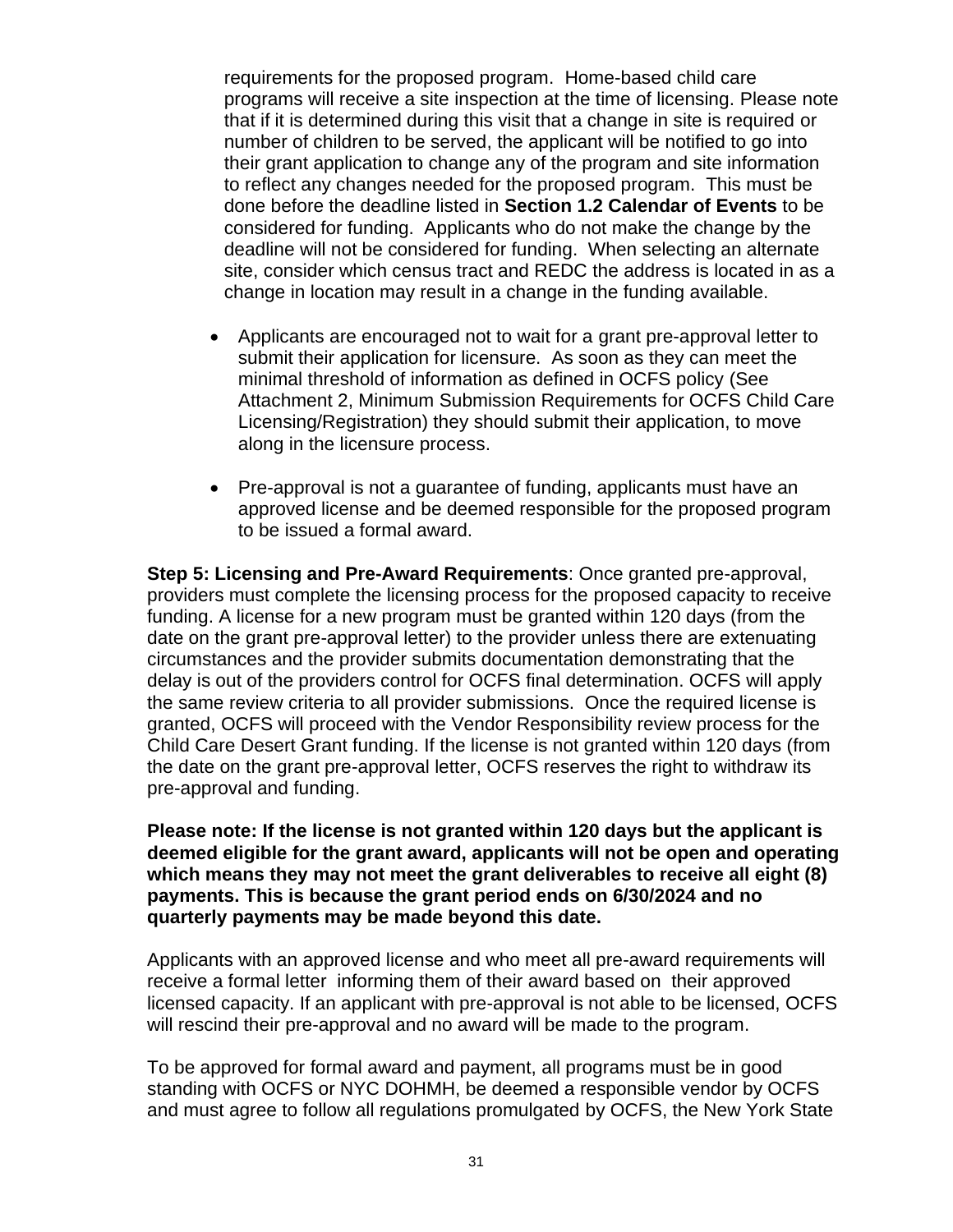requirements for the proposed program. Home-based child care programs will receive a site inspection at the time of licensing. Please note that if it is determined during this visit that a change in site is required or number of children to be served, the applicant will be notified to go into their grant application to change any of the program and site information to reflect any changes needed for the proposed program. This must be done before the deadline listed in **Section [1.2](#page-3-0) [Calendar of Events](#page-3-0)** to be considered for funding. Applicants who do not make the change by the deadline will not be considered for funding. When selecting an alternate site, consider which census tract and REDC the address is located in as a change in location may result in a change in the funding available.

- Applicants are encouraged not to wait for a grant pre-approval letter to submit their application for licensure. As soon as they can meet the minimal threshold of information as defined in OCFS policy (See [Attachment 2, Minimum Submission Requirements for OCFS Child Care](https://ocfs.ny.gov/main/contracts/funding/RFA1/RFA1-Att-2-Minimum-Requirements.docx)  [Licensing/Registration\)](https://ocfs.ny.gov/main/contracts/funding/RFA1/RFA1-Att-2-Minimum-Requirements.docx) they should submit their application, to move along in the licensure process.
- Pre-approval is not a guarantee of funding, applicants must have an approved license and be deemed responsible for the proposed program to be issued a formal award.

**Step 5: Licensing and Pre-Award Requirements**: Once granted pre-approval, providers must complete the licensing process for the proposed capacity to receive funding. A license for a new program must be granted within 120 days (from the date on the grant pre-approval letter) to the provider unless there are extenuating circumstances and the provider submits documentation demonstrating that the delay is out of the providers control for OCFS final determination. OCFS will apply the same review criteria to all provider submissions. Once the required license is granted, OCFS will proceed with the Vendor Responsibility review process for the Child Care Desert Grant funding. If the license is not granted within 120 days (from the date on the grant pre-approval letter, OCFS reserves the right to withdraw its pre-approval and funding.

**Please note: If the license is not granted within 120 days but the applicant is deemed eligible for the grant award, applicants will not be open and operating which means they may not meet the grant deliverables to receive all eight (8) payments. This is because the grant period ends on 6/30/2024 and no quarterly payments may be made beyond this date.** 

Applicants with an approved license and who meet all pre-award requirements will receive a formal letter informing them of their award based on their approved licensed capacity. If an applicant with pre-approval is not able to be licensed, OCFS will rescind their pre-approval and no award will be made to the program.

To be approved for formal award and payment, all programs must be in good standing with OCFS or NYC DOHMH, be deemed a responsible vendor by OCFS and must agree to follow all regulations promulgated by OCFS, the New York State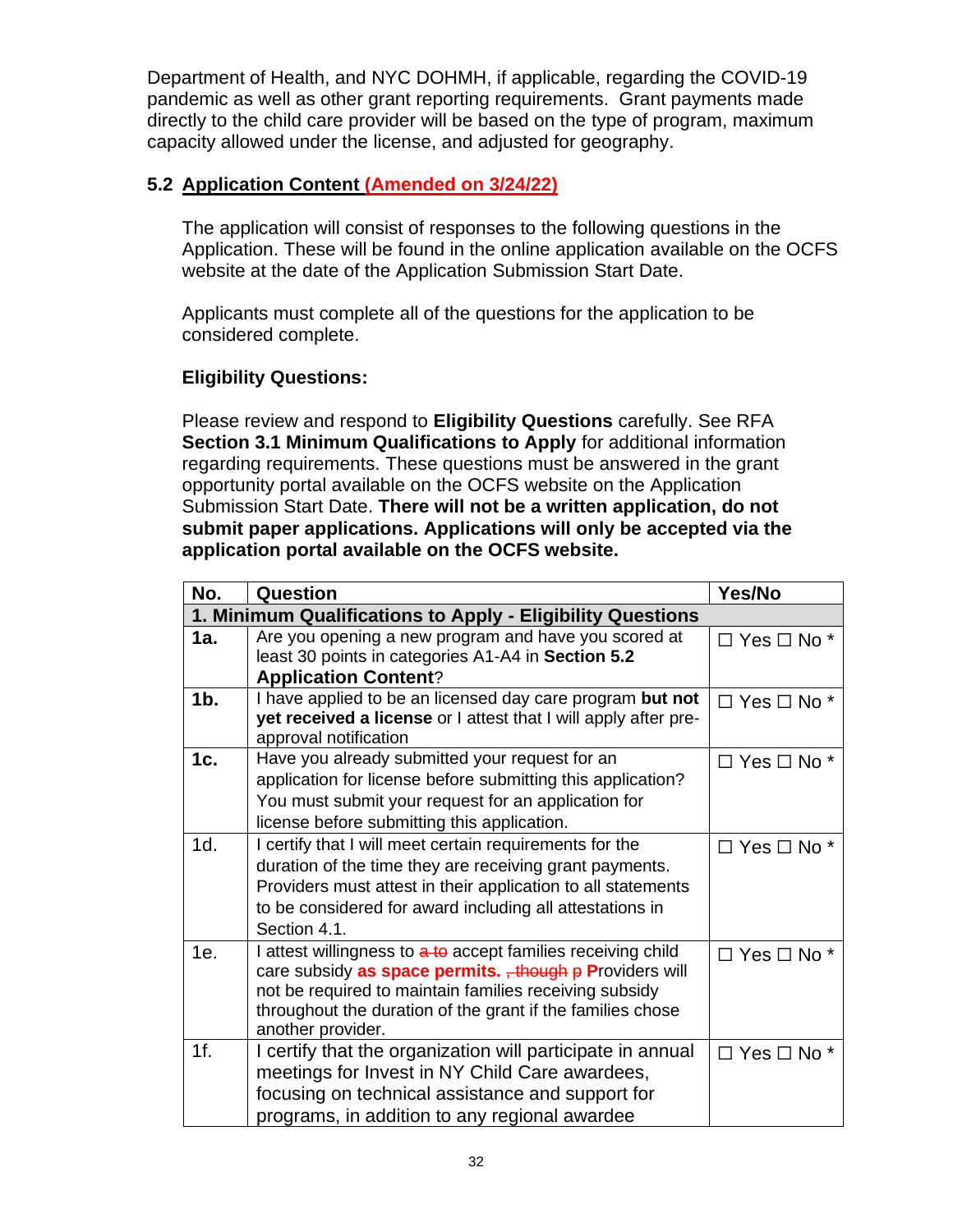Department of Health, and NYC DOHMH, if applicable, regarding the COVID-19 pandemic as well as other grant reporting requirements. Grant payments made directly to the child care provider will be based on the type of program, maximum capacity allowed under the license, and adjusted for geography.

# <span id="page-33-0"></span>**5.2 Application Content (Amended on 3/24/22)**

The application will consist of responses to the following questions in the Application. These will be found in the online application available on the OCFS website at the date of the Application Submission Start Date.

Applicants must complete all of the questions for the application to be considered complete.

# **Eligibility Questions:**

Please review and respond to **Eligibility Questions** carefully. See RFA **Section [3.1](#page-19-1) [Minimum Qualifications to Apply](#page-19-1)** for additional information regarding requirements. These questions must be answered in the grant opportunity portal available on the OCFS website on the Application Submission Start Date. **There will not be a written application, do not submit paper applications. Applications will only be accepted via the application portal available on the OCFS website.**

| No.    | Question                                                                                                                                                                                                                                                              | Yes/No                    |
|--------|-----------------------------------------------------------------------------------------------------------------------------------------------------------------------------------------------------------------------------------------------------------------------|---------------------------|
|        | 1. Minimum Qualifications to Apply - Eligibility Questions                                                                                                                                                                                                            |                           |
| 1a.    | Are you opening a new program and have you scored at<br>least 30 points in categories A1-A4 in Section 5.2<br><b>Application Content?</b>                                                                                                                             | $\Box$ Yes $\Box$ No $^*$ |
| $1b$ . | I have applied to be an licensed day care program but not<br>yet received a license or I attest that I will apply after pre-<br>approval notification                                                                                                                 | $\Box$ Yes $\Box$ No $^*$ |
| 1c.    | Have you already submitted your request for an<br>application for license before submitting this application?<br>You must submit your request for an application for<br>license before submitting this application.                                                   | $\Box$ Yes $\Box$ No $^*$ |
| 1d.    | I certify that I will meet certain requirements for the<br>duration of the time they are receiving grant payments.<br>Providers must attest in their application to all statements<br>to be considered for award including all attestations in<br>Section 4.1.        | $\Box$ Yes $\Box$ No $^*$ |
| 1e.    | I attest willingness to a to accept families receiving child<br>care subsidy as space permits. + though p Providers will<br>not be required to maintain families receiving subsidy<br>throughout the duration of the grant if the families chose<br>another provider. | $\Box$ Yes $\Box$ No $*$  |
| 1f.    | I certify that the organization will participate in annual<br>meetings for Invest in NY Child Care awardees,<br>focusing on technical assistance and support for<br>programs, in addition to any regional awardee                                                     | $\Box$ Yes $\Box$ No $*$  |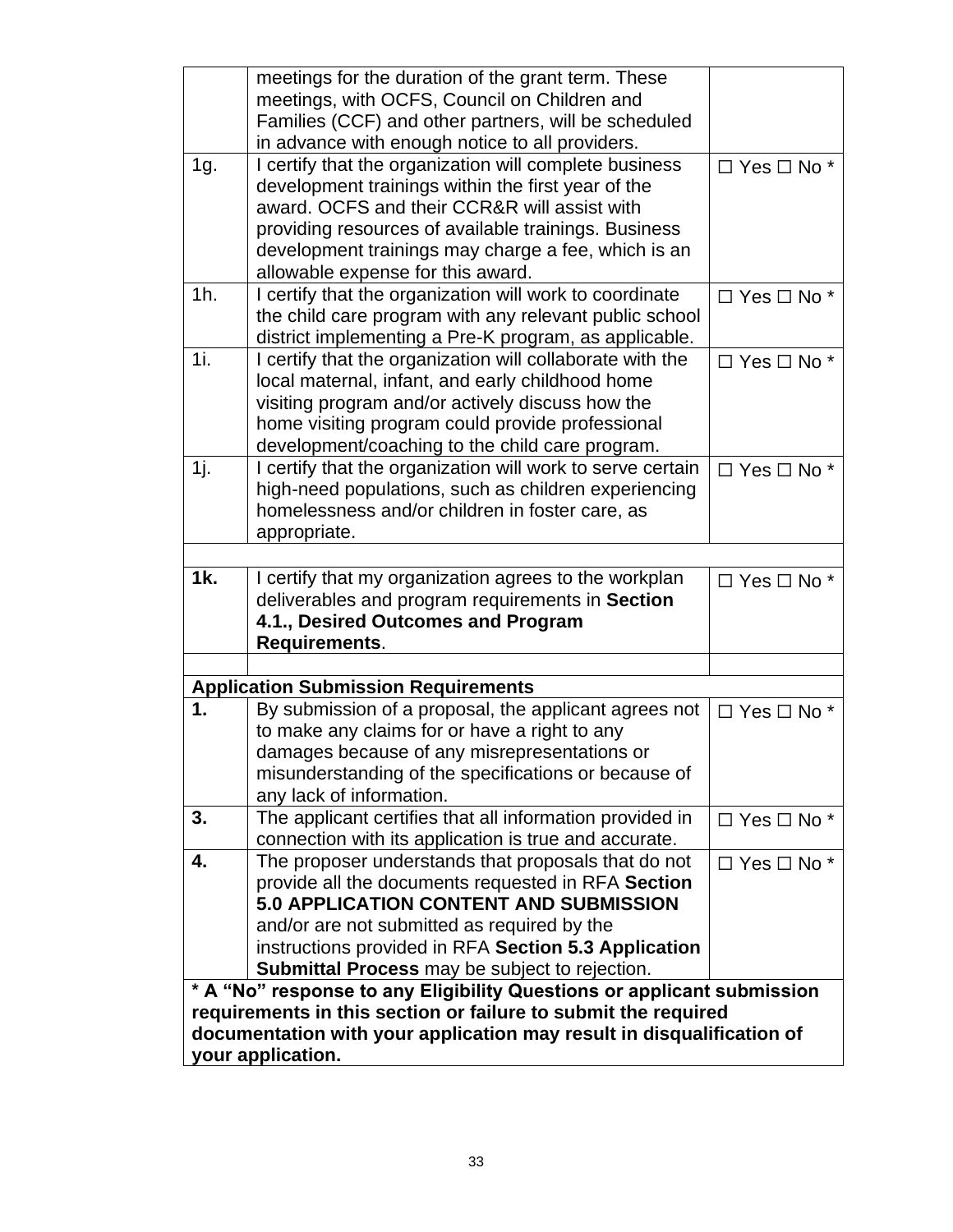|        | meetings for the duration of the grant term. These                                                                |                          |  |  |
|--------|-------------------------------------------------------------------------------------------------------------------|--------------------------|--|--|
|        | meetings, with OCFS, Council on Children and                                                                      |                          |  |  |
|        | Families (CCF) and other partners, will be scheduled                                                              |                          |  |  |
|        | in advance with enough notice to all providers.                                                                   |                          |  |  |
| 1g.    | I certify that the organization will complete business                                                            | $\Box$ Yes $\Box$ No *   |  |  |
|        | development trainings within the first year of the                                                                |                          |  |  |
|        | award, OCFS and their CCR&R will assist with                                                                      |                          |  |  |
|        | providing resources of available trainings. Business                                                              |                          |  |  |
|        | development trainings may charge a fee, which is an                                                               |                          |  |  |
|        | allowable expense for this award.                                                                                 |                          |  |  |
| $1h$ . | I certify that the organization will work to coordinate                                                           | $\Box$ Yes $\Box$ No *   |  |  |
|        | the child care program with any relevant public school                                                            |                          |  |  |
| 1i.    | district implementing a Pre-K program, as applicable.                                                             |                          |  |  |
|        | I certify that the organization will collaborate with the<br>local maternal, infant, and early childhood home     | $\Box$ Yes $\Box$ No *   |  |  |
|        | visiting program and/or actively discuss how the                                                                  |                          |  |  |
|        | home visiting program could provide professional                                                                  |                          |  |  |
|        | development/coaching to the child care program.                                                                   |                          |  |  |
| 1j.    | I certify that the organization will work to serve certain                                                        | $\Box$ Yes $\Box$ No *   |  |  |
|        | high-need populations, such as children experiencing                                                              |                          |  |  |
|        | homelessness and/or children in foster care, as                                                                   |                          |  |  |
|        | appropriate.                                                                                                      |                          |  |  |
|        |                                                                                                                   |                          |  |  |
| 1k.    | I certify that my organization agrees to the workplan                                                             | $\Box$ Yes $\Box$ No $*$ |  |  |
|        | deliverables and program requirements in Section                                                                  |                          |  |  |
|        | 4.1., Desired Outcomes and Program                                                                                |                          |  |  |
|        | Requirements.                                                                                                     |                          |  |  |
|        |                                                                                                                   |                          |  |  |
|        | <b>Application Submission Requirements</b>                                                                        |                          |  |  |
| 1.     | By submission of a proposal, the applicant agrees not                                                             | $\Box$ Yes $\Box$ No *   |  |  |
|        | to make any claims for or have a right to any                                                                     |                          |  |  |
|        | damages because of any misrepresentations or                                                                      |                          |  |  |
|        | misunderstanding of the specifications or because of                                                              |                          |  |  |
|        | any lack of information.                                                                                          |                          |  |  |
| 3.     | The applicant certifies that all information provided in<br>connection with its application is true and accurate. | $\Box$ Yes $\Box$ No *   |  |  |
| 4.     | The proposer understands that proposals that do not                                                               |                          |  |  |
|        | provide all the documents requested in RFA Section                                                                | $\Box$ Yes $\Box$ No *   |  |  |
|        | 5.0 APPLICATION CONTENT AND SUBMISSION                                                                            |                          |  |  |
|        | and/or are not submitted as required by the                                                                       |                          |  |  |
|        | instructions provided in RFA Section 5.3 Application                                                              |                          |  |  |
|        | <b>Submittal Process</b> may be subject to rejection.                                                             |                          |  |  |
|        | * A "No" response to any Eligibility Questions or applicant submission                                            |                          |  |  |
|        |                                                                                                                   |                          |  |  |
|        | requirements in this section or failure to submit the required                                                    |                          |  |  |
|        | documentation with your application may result in disqualification of<br>your application.                        |                          |  |  |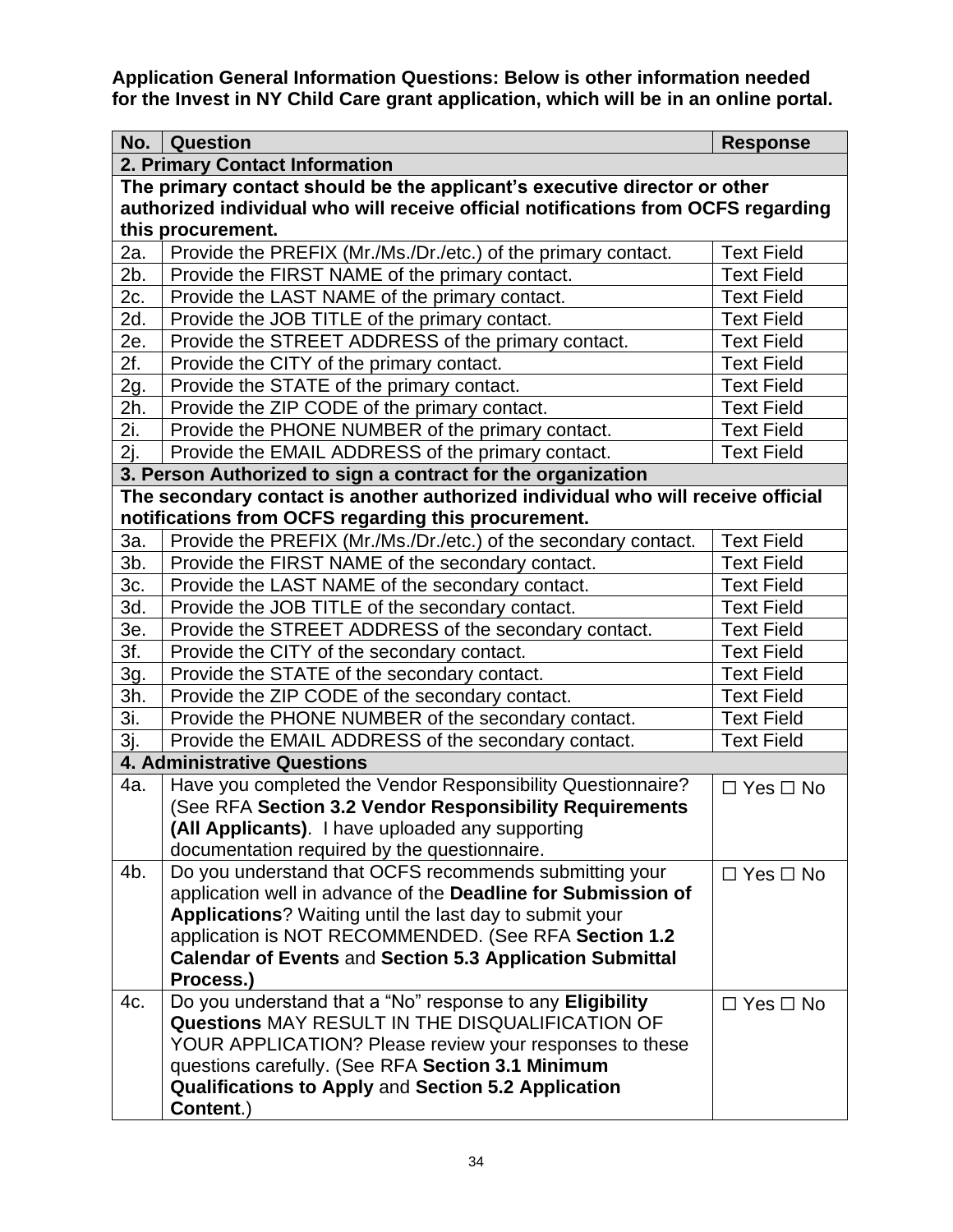**Application General Information Questions: Below is other information needed for the Invest in NY Child Care grant application, which will be in an online portal.**

| No.                                                                               | <b>Question</b>                                                                                                                                                                                                                                                                                                                                                                                                                                                                                                                                                             | <b>Response</b>      |  |  |  |  |  |
|-----------------------------------------------------------------------------------|-----------------------------------------------------------------------------------------------------------------------------------------------------------------------------------------------------------------------------------------------------------------------------------------------------------------------------------------------------------------------------------------------------------------------------------------------------------------------------------------------------------------------------------------------------------------------------|----------------------|--|--|--|--|--|
|                                                                                   | 2. Primary Contact Information                                                                                                                                                                                                                                                                                                                                                                                                                                                                                                                                              |                      |  |  |  |  |  |
| The primary contact should be the applicant's executive director or other         |                                                                                                                                                                                                                                                                                                                                                                                                                                                                                                                                                                             |                      |  |  |  |  |  |
| authorized individual who will receive official notifications from OCFS regarding |                                                                                                                                                                                                                                                                                                                                                                                                                                                                                                                                                                             |                      |  |  |  |  |  |
| this procurement.                                                                 |                                                                                                                                                                                                                                                                                                                                                                                                                                                                                                                                                                             |                      |  |  |  |  |  |
| 2a.                                                                               | Provide the PREFIX (Mr./Ms./Dr./etc.) of the primary contact.                                                                                                                                                                                                                                                                                                                                                                                                                                                                                                               | <b>Text Field</b>    |  |  |  |  |  |
| 2b.                                                                               | Provide the FIRST NAME of the primary contact.                                                                                                                                                                                                                                                                                                                                                                                                                                                                                                                              | <b>Text Field</b>    |  |  |  |  |  |
| 2c.                                                                               | Provide the LAST NAME of the primary contact.                                                                                                                                                                                                                                                                                                                                                                                                                                                                                                                               | <b>Text Field</b>    |  |  |  |  |  |
| 2d.                                                                               | Provide the JOB TITLE of the primary contact.                                                                                                                                                                                                                                                                                                                                                                                                                                                                                                                               | <b>Text Field</b>    |  |  |  |  |  |
| 2e.                                                                               | Provide the STREET ADDRESS of the primary contact.                                                                                                                                                                                                                                                                                                                                                                                                                                                                                                                          | <b>Text Field</b>    |  |  |  |  |  |
| 2f.                                                                               | Provide the CITY of the primary contact.                                                                                                                                                                                                                                                                                                                                                                                                                                                                                                                                    | <b>Text Field</b>    |  |  |  |  |  |
| 2g.                                                                               | Provide the STATE of the primary contact.                                                                                                                                                                                                                                                                                                                                                                                                                                                                                                                                   | <b>Text Field</b>    |  |  |  |  |  |
| 2h.                                                                               | Provide the ZIP CODE of the primary contact.                                                                                                                                                                                                                                                                                                                                                                                                                                                                                                                                | <b>Text Field</b>    |  |  |  |  |  |
| 2i.                                                                               | Provide the PHONE NUMBER of the primary contact.                                                                                                                                                                                                                                                                                                                                                                                                                                                                                                                            | <b>Text Field</b>    |  |  |  |  |  |
| 2j.                                                                               | Provide the EMAIL ADDRESS of the primary contact.                                                                                                                                                                                                                                                                                                                                                                                                                                                                                                                           | <b>Text Field</b>    |  |  |  |  |  |
|                                                                                   | 3. Person Authorized to sign a contract for the organization                                                                                                                                                                                                                                                                                                                                                                                                                                                                                                                |                      |  |  |  |  |  |
|                                                                                   | The secondary contact is another authorized individual who will receive official                                                                                                                                                                                                                                                                                                                                                                                                                                                                                            |                      |  |  |  |  |  |
|                                                                                   | notifications from OCFS regarding this procurement.                                                                                                                                                                                                                                                                                                                                                                                                                                                                                                                         |                      |  |  |  |  |  |
| 3a.                                                                               | Provide the PREFIX (Mr./Ms./Dr./etc.) of the secondary contact.                                                                                                                                                                                                                                                                                                                                                                                                                                                                                                             | <b>Text Field</b>    |  |  |  |  |  |
| $3b$ .                                                                            | Provide the FIRST NAME of the secondary contact.                                                                                                                                                                                                                                                                                                                                                                                                                                                                                                                            | <b>Text Field</b>    |  |  |  |  |  |
| 3c.                                                                               | Provide the LAST NAME of the secondary contact.                                                                                                                                                                                                                                                                                                                                                                                                                                                                                                                             | <b>Text Field</b>    |  |  |  |  |  |
| 3d.                                                                               | Provide the JOB TITLE of the secondary contact.                                                                                                                                                                                                                                                                                                                                                                                                                                                                                                                             | <b>Text Field</b>    |  |  |  |  |  |
| 3e.                                                                               | Provide the STREET ADDRESS of the secondary contact.                                                                                                                                                                                                                                                                                                                                                                                                                                                                                                                        | <b>Text Field</b>    |  |  |  |  |  |
| 3f.                                                                               | Provide the CITY of the secondary contact.                                                                                                                                                                                                                                                                                                                                                                                                                                                                                                                                  | <b>Text Field</b>    |  |  |  |  |  |
| 3g.                                                                               | Provide the STATE of the secondary contact.                                                                                                                                                                                                                                                                                                                                                                                                                                                                                                                                 | <b>Text Field</b>    |  |  |  |  |  |
| 3h.                                                                               | Provide the ZIP CODE of the secondary contact.                                                                                                                                                                                                                                                                                                                                                                                                                                                                                                                              | <b>Text Field</b>    |  |  |  |  |  |
| 3i.                                                                               | Provide the PHONE NUMBER of the secondary contact.                                                                                                                                                                                                                                                                                                                                                                                                                                                                                                                          | <b>Text Field</b>    |  |  |  |  |  |
| 3j.                                                                               | Provide the EMAIL ADDRESS of the secondary contact.                                                                                                                                                                                                                                                                                                                                                                                                                                                                                                                         | <b>Text Field</b>    |  |  |  |  |  |
|                                                                                   | <b>4. Administrative Questions</b>                                                                                                                                                                                                                                                                                                                                                                                                                                                                                                                                          |                      |  |  |  |  |  |
| 4a.                                                                               | Have you completed the Vendor Responsibility Questionnaire?                                                                                                                                                                                                                                                                                                                                                                                                                                                                                                                 | $\Box$ Yes $\Box$ No |  |  |  |  |  |
|                                                                                   | (See RFA Section 3.2 Vendor Responsibility Requirements                                                                                                                                                                                                                                                                                                                                                                                                                                                                                                                     |                      |  |  |  |  |  |
|                                                                                   | (All Applicants). I have uploaded any supporting                                                                                                                                                                                                                                                                                                                                                                                                                                                                                                                            |                      |  |  |  |  |  |
|                                                                                   | documentation required by the questionnaire.                                                                                                                                                                                                                                                                                                                                                                                                                                                                                                                                |                      |  |  |  |  |  |
| 4b.                                                                               | Do you understand that OCFS recommends submitting your                                                                                                                                                                                                                                                                                                                                                                                                                                                                                                                      | $\Box$ Yes $\Box$ No |  |  |  |  |  |
|                                                                                   |                                                                                                                                                                                                                                                                                                                                                                                                                                                                                                                                                                             |                      |  |  |  |  |  |
|                                                                                   |                                                                                                                                                                                                                                                                                                                                                                                                                                                                                                                                                                             |                      |  |  |  |  |  |
|                                                                                   |                                                                                                                                                                                                                                                                                                                                                                                                                                                                                                                                                                             |                      |  |  |  |  |  |
|                                                                                   |                                                                                                                                                                                                                                                                                                                                                                                                                                                                                                                                                                             |                      |  |  |  |  |  |
|                                                                                   |                                                                                                                                                                                                                                                                                                                                                                                                                                                                                                                                                                             |                      |  |  |  |  |  |
|                                                                                   |                                                                                                                                                                                                                                                                                                                                                                                                                                                                                                                                                                             |                      |  |  |  |  |  |
|                                                                                   |                                                                                                                                                                                                                                                                                                                                                                                                                                                                                                                                                                             |                      |  |  |  |  |  |
|                                                                                   |                                                                                                                                                                                                                                                                                                                                                                                                                                                                                                                                                                             |                      |  |  |  |  |  |
|                                                                                   |                                                                                                                                                                                                                                                                                                                                                                                                                                                                                                                                                                             |                      |  |  |  |  |  |
|                                                                                   |                                                                                                                                                                                                                                                                                                                                                                                                                                                                                                                                                                             |                      |  |  |  |  |  |
| 4c.                                                                               | application well in advance of the Deadline for Submission of<br>Applications? Waiting until the last day to submit your<br>application is NOT RECOMMENDED. (See RFA Section 1.2<br><b>Calendar of Events and Section 5.3 Application Submittal</b><br>Process.)<br>Do you understand that a "No" response to any Eligibility<br>Questions MAY RESULT IN THE DISQUALIFICATION OF<br>YOUR APPLICATION? Please review your responses to these<br>questions carefully. (See RFA Section 3.1 Minimum<br><b>Qualifications to Apply and Section 5.2 Application</b><br>Content.) | $\Box$ Yes $\Box$ No |  |  |  |  |  |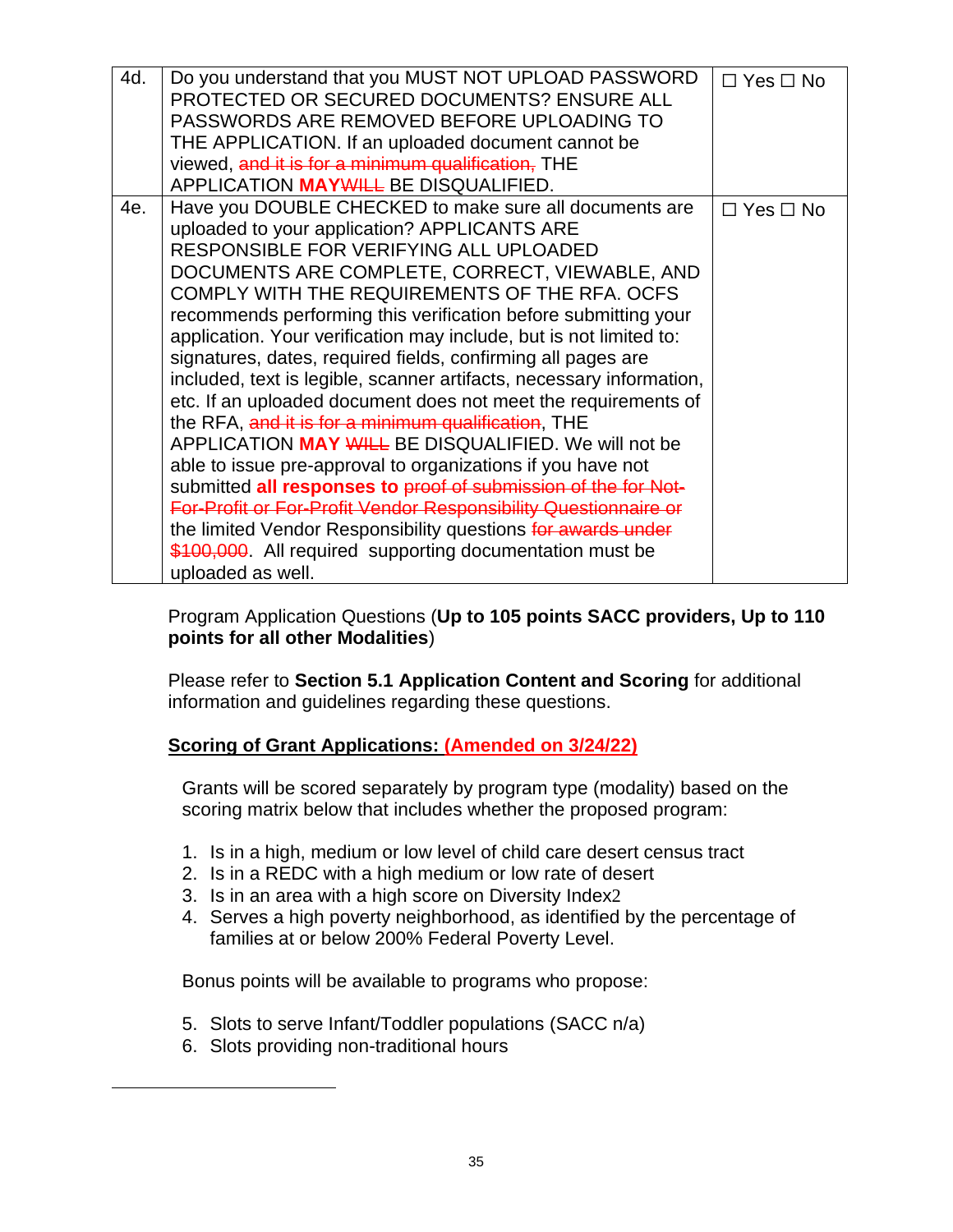| 4d. | Do you understand that you MUST NOT UPLOAD PASSWORD<br>PROTECTED OR SECURED DOCUMENTS? ENSURE ALL<br>PASSWORDS ARE REMOVED BEFORE UPLOADING TO<br>THE APPLICATION. If an uploaded document cannot be<br>viewed, and it is for a minimum qualification, THE<br>APPLICATION MAYWILL BE DISQUALIFIED.                                                                                                                                                                                                                                                                                                                                                                                                                                                                                                                                                                                                                                                                                                                                                                        | $\Box$ Yes $\Box$ No |
|-----|---------------------------------------------------------------------------------------------------------------------------------------------------------------------------------------------------------------------------------------------------------------------------------------------------------------------------------------------------------------------------------------------------------------------------------------------------------------------------------------------------------------------------------------------------------------------------------------------------------------------------------------------------------------------------------------------------------------------------------------------------------------------------------------------------------------------------------------------------------------------------------------------------------------------------------------------------------------------------------------------------------------------------------------------------------------------------|----------------------|
| 4e. | Have you DOUBLE CHECKED to make sure all documents are<br>uploaded to your application? APPLICANTS ARE<br>RESPONSIBLE FOR VERIFYING ALL UPLOADED<br>DOCUMENTS ARE COMPLETE, CORRECT, VIEWABLE, AND<br>COMPLY WITH THE REQUIREMENTS OF THE RFA. OCFS<br>recommends performing this verification before submitting your<br>application. Your verification may include, but is not limited to:<br>signatures, dates, required fields, confirming all pages are<br>included, text is legible, scanner artifacts, necessary information,<br>etc. If an uploaded document does not meet the requirements of<br>the RFA, and it is for a minimum qualification, THE<br>APPLICATION MAY WILL BE DISQUALIFIED. We will not be<br>able to issue pre-approval to organizations if you have not<br>submitted all responses to proof of submission of the for Not-<br>For-Profit or For-Profit Vendor Responsibility Questionnaire or<br>the limited Vendor Responsibility questions for awards under<br>\$100,000. All required supporting documentation must be<br>uploaded as well. | $\Box$ Yes $\Box$ No |

Program Application Questions (**Up to 105 points SACC providers, Up to 110 points for all other Modalities**)

Please refer to **Section [5.1](#page-30-1) Application Content [and Scoring](#page-30-1)** for additional information and guidelines regarding these questions.

# **Scoring of Grant Applications: (Amended on 3/24/22)**

Grants will be scored separately by program type (modality) based on the scoring matrix below that includes whether the proposed program:

- 1. Is in a high, medium or low level of child care desert census tract
- 2. Is in a REDC with a high medium or low rate of desert
- 3. Is in an area with a high score on Diversity Index2
- 4. Serves a high poverty neighborhood, as identified by the percentage of families at or below 200% Federal Poverty Level.

Bonus points will be available to programs who propose:

- 5. Slots to serve Infant/Toddler populations (SACC n/a)
- 6. Slots providing non-traditional hours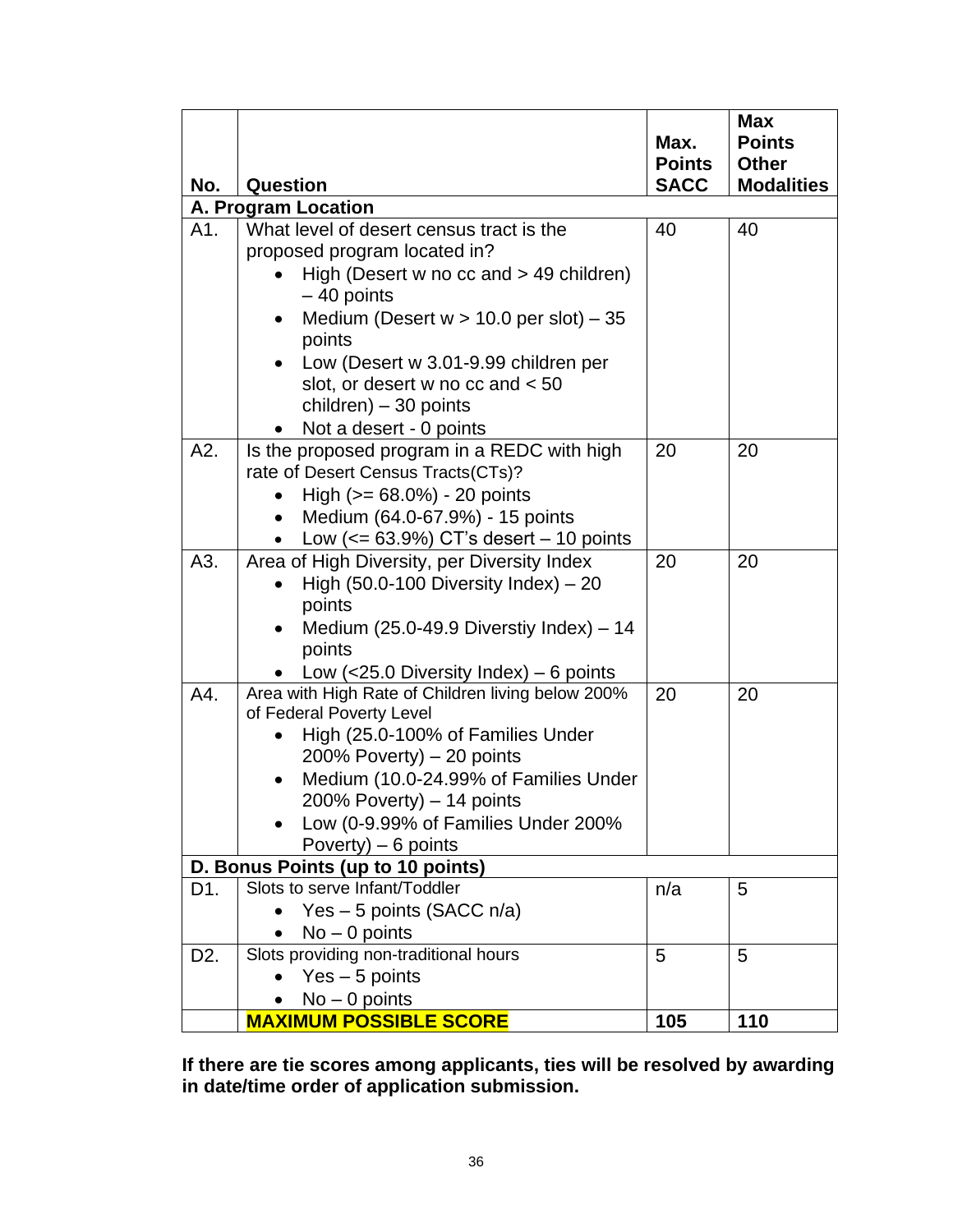|                  |                                                             | Max.          | <b>Max</b><br><b>Points</b> |  |  |  |  |
|------------------|-------------------------------------------------------------|---------------|-----------------------------|--|--|--|--|
|                  |                                                             | <b>Points</b> | <b>Other</b>                |  |  |  |  |
| No.              | <b>Question</b>                                             | <b>SACC</b>   | <b>Modalities</b>           |  |  |  |  |
|                  | A. Program Location                                         |               |                             |  |  |  |  |
| A1.              | What level of desert census tract is the                    | 40            | 40                          |  |  |  |  |
|                  | proposed program located in?                                |               |                             |  |  |  |  |
|                  | High (Desert w no $cc$ and $> 49$ children)<br>$-40$ points |               |                             |  |  |  |  |
|                  | Medium (Desert $w > 10.0$ per slot) $-35$<br>$\bullet$      |               |                             |  |  |  |  |
|                  | points                                                      |               |                             |  |  |  |  |
|                  | Low (Desert w 3.01-9.99 children per<br>$\bullet$           |               |                             |  |  |  |  |
|                  | slot, or desert w no cc and < 50                            |               |                             |  |  |  |  |
|                  | children) $-30$ points                                      |               |                             |  |  |  |  |
|                  | Not a desert - 0 points                                     |               |                             |  |  |  |  |
| A2.              | Is the proposed program in a REDC with high                 | 20            | 20                          |  |  |  |  |
|                  | rate of Desert Census Tracts(CTs)?                          |               |                             |  |  |  |  |
|                  | High $(>= 68.0\%) - 20$ points                              |               |                             |  |  |  |  |
|                  | Medium (64.0-67.9%) - 15 points<br>$\bullet$                |               |                             |  |  |  |  |
|                  | Low $(<= 63.9\%)$ CT's desert $-10$ points<br>$\bullet$     |               |                             |  |  |  |  |
| A3.              | Area of High Diversity, per Diversity Index                 | 20            | 20                          |  |  |  |  |
|                  | High $(50.0-100$ Diversity Index $) - 20$                   |               |                             |  |  |  |  |
|                  | points<br>Medium $(25.0-49.9$ Diverstiy Index) - 14         |               |                             |  |  |  |  |
|                  | points                                                      |               |                             |  |  |  |  |
|                  | Low ( $<$ 25.0 Diversity Index) – 6 points                  |               |                             |  |  |  |  |
| A4.              | Area with High Rate of Children living below 200%           | 20            | 20                          |  |  |  |  |
|                  | of Federal Poverty Level                                    |               |                             |  |  |  |  |
|                  | High (25.0-100% of Families Under                           |               |                             |  |  |  |  |
|                  | 200% Poverty) $-$ 20 points                                 |               |                             |  |  |  |  |
|                  | Medium (10.0-24.99% of Families Under                       |               |                             |  |  |  |  |
|                  | 200% Poverty) $-14$ points                                  |               |                             |  |  |  |  |
|                  | Low (0-9.99% of Families Under 200%                         |               |                             |  |  |  |  |
|                  | Poverty) $-6$ points                                        |               |                             |  |  |  |  |
|                  | D. Bonus Points (up to 10 points)                           |               |                             |  |  |  |  |
| D1.              | Slots to serve Infant/Toddler                               | n/a           | 5                           |  |  |  |  |
|                  | Yes - 5 points (SACC n/a)                                   |               |                             |  |  |  |  |
|                  | $No - 0$ points                                             |               |                             |  |  |  |  |
| D <sub>2</sub> . | Slots providing non-traditional hours<br>$Yes - 5 points$   | 5             | 5                           |  |  |  |  |
|                  | $No - 0$ points                                             |               |                             |  |  |  |  |
|                  | <b>MAXIMUM POSSIBLE SCORE</b>                               | 105           | 110                         |  |  |  |  |

**If there are tie scores among applicants, ties will be resolved by awarding in date/time order of application submission.**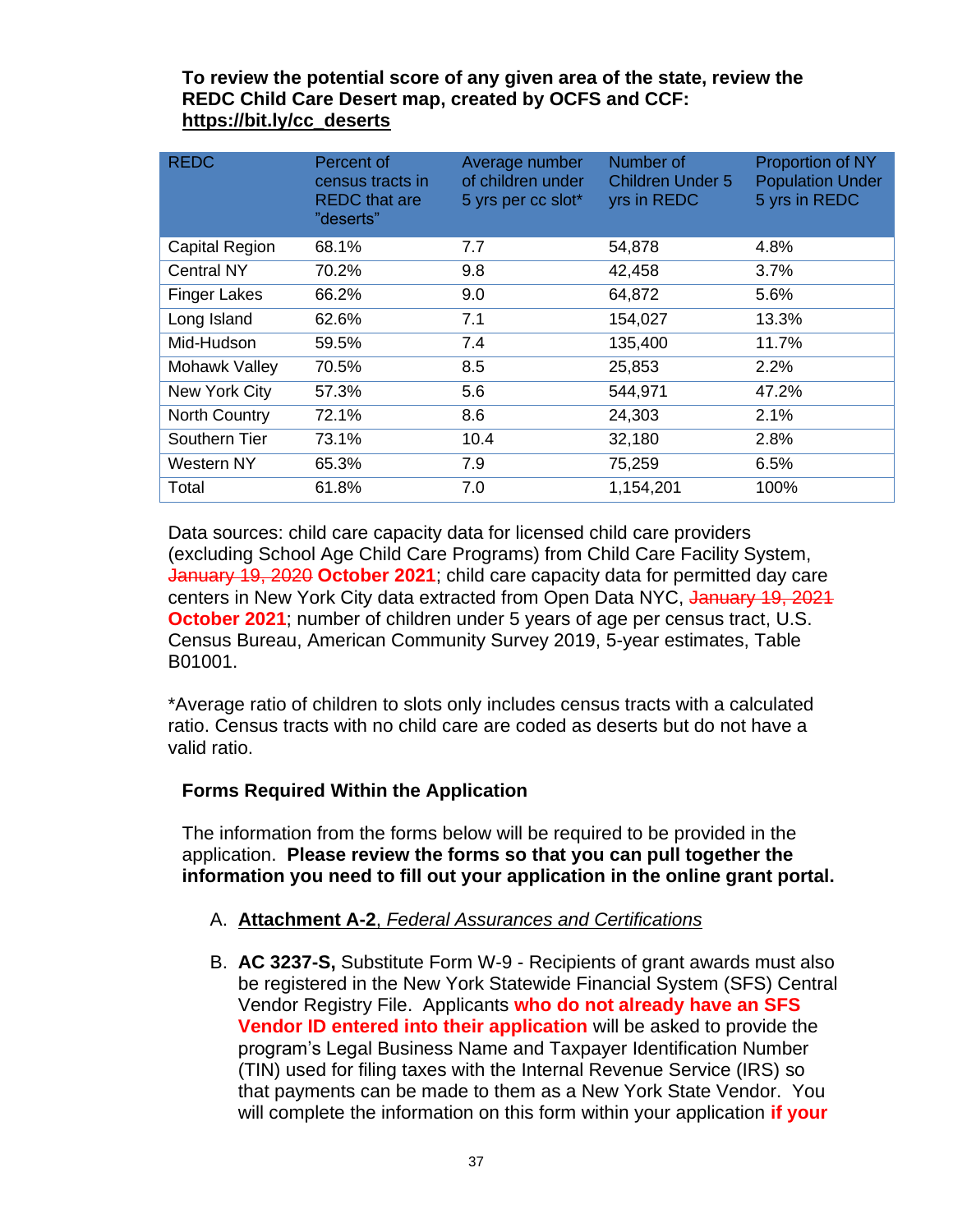### **To review the potential score of any given area of the state, review the REDC Child Care Desert map, created by OCFS and CCF: [https://bit.ly/cc\\_deserts](https://bit.ly/cc_deserts)**

| <b>REDC</b>         | Percent of<br>census tracts in<br><b>REDC</b> that are<br>"deserts" | Average number<br>of children under<br>5 yrs per cc slot* | Number of<br><b>Children Under 5</b><br>yrs in REDC | <b>Proportion of NY</b><br><b>Population Under</b><br>5 yrs in REDC |
|---------------------|---------------------------------------------------------------------|-----------------------------------------------------------|-----------------------------------------------------|---------------------------------------------------------------------|
| Capital Region      | 68.1%                                                               | 7.7                                                       | 54,878                                              | 4.8%                                                                |
| <b>Central NY</b>   | 70.2%                                                               | 9.8                                                       | 42,458                                              | 3.7%                                                                |
| <b>Finger Lakes</b> | 66.2%                                                               | 9.0                                                       | 64,872                                              | 5.6%                                                                |
| Long Island         | 62.6%                                                               | 7.1                                                       | 154,027                                             | 13.3%                                                               |
| Mid-Hudson          | 59.5%                                                               | 7.4                                                       | 135,400                                             | 11.7%                                                               |
| Mohawk Valley       | 70.5%                                                               | 8.5                                                       | 25,853                                              | 2.2%                                                                |
| New York City       | 57.3%                                                               | 5.6                                                       | 544,971                                             | 47.2%                                                               |
| North Country       | 72.1%                                                               | 8.6                                                       | 24,303                                              | 2.1%                                                                |
| Southern Tier       | 73.1%                                                               | 10.4                                                      | 32,180                                              | 2.8%                                                                |
| Western NY          | 65.3%                                                               | 7.9                                                       | 75,259                                              | 6.5%                                                                |
| Total               | 61.8%                                                               | 7.0                                                       | 1,154,201                                           | 100%                                                                |

Data sources: child care capacity data for licensed child care providers (excluding School Age Child Care Programs) from Child Care Facility System, January 19, 2020 **October 2021**; child care capacity data for permitted day care centers in New York City data extracted from Open Data NYC, January 19, 2021 **October 2021**; number of children under 5 years of age per census tract, U.S. Census Bureau, American Community Survey 2019, 5-year estimates, Table B01001.

\*Average ratio of children to slots only includes census tracts with a calculated ratio. Census tracts with no child care are coded as deserts but do not have a valid ratio.

# **Forms Required Within the Application**

The information from the forms below will be required to be provided in the application. **Please review the forms so that you can pull together the information you need to fill out your application in the online grant portal.**

### A. **Attachment A-2**, *[Federal Assurances and Certifications](http://ocfs.ny.gov/main/Forms/Contracts/OCFS-Attachment-A2-Federal-Assurances.pdf)*

B. **AC 3237-S,** Substitute Form W-9 - Recipients of grant awards must also be registered in the New York Statewide Financial System (SFS) Central Vendor Registry File. Applicants **who do not already have an SFS Vendor ID entered into their application** will be asked to provide the program's Legal Business Name and Taxpayer Identification Number (TIN) used for filing taxes with the Internal Revenue Service (IRS) so that payments can be made to them as a New York State Vendor. You will complete the information on this form within your application **if your**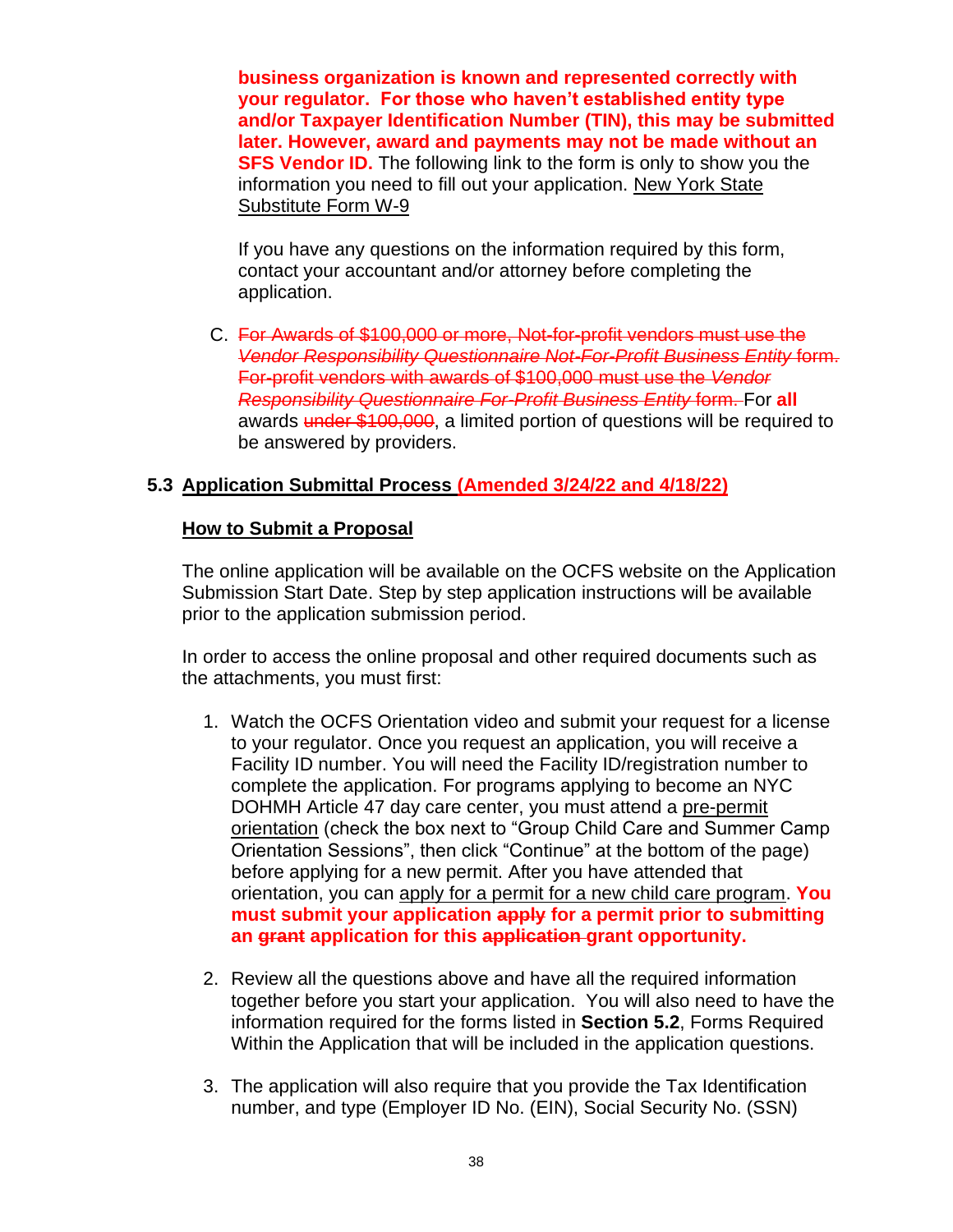**business organization is known and represented correctly with your regulator. For those who haven't established entity type and/or Taxpayer Identification Number (TIN), this may be submitted later. However, award and payments may not be made without an SFS Vendor ID.** The following link to the form is only to show you the information you need to fill out your application. [New York State](https://www.osc.state.ny.us/files/vendors/2017-11/vendor-form-ac3237s-fe.pdf)  [Substitute Form W-9](https://www.osc.state.ny.us/files/vendors/2017-11/vendor-form-ac3237s-fe.pdf)

If you have any questions on the information required by this form, contact your accountant and/or attorney before completing the application.

C. For Awards of \$100,000 or more, Not-for-profit vendors must use the *Vendor Responsibility Questionnaire Not-For-Profit Business Entity* form. For-profit vendors with awards of \$100,000 must use the *Vendor Responsibility Questionnaire For-Profit Business Entity* form. For **all** awards under \$100,000, a limited portion of questions will be required to be answered by providers.

### <span id="page-39-0"></span>**5.3 Application Submittal Process (Amended 3/24/22 and 4/18/22)**

#### **How to Submit a Proposal**

The online application will be available on the OCFS website on the Application Submission Start Date. Step by step application instructions will be available prior to the application submission period.

In order to access the online proposal and other required documents such as the attachments, you must first:

- 1. Watch the OCFS Orientation video and submit your request for a license to your regulator. Once you request an application, you will receive a Facility ID number. You will need the Facility ID/registration number to complete the application. For programs applying to become an NYC DOHMH Article 47 day care center, you must attend a [pre-permit](https://a816-healthpsi.nyc.gov/OnlineRegistration/dohmh/DOHMHService.action)  [orientation](https://a816-healthpsi.nyc.gov/OnlineRegistration/dohmh/DOHMHService.action) (check the box next to "Group Child Care and Summer Camp Orientation Sessions", then click "Continue" at the bottom of the page) before applying for a new permit. After you have attended that orientation, you can [apply for a permit for a new child care program.](https://www1.nyc.gov/nycbusiness/description/group-child-care-center-permit) **You must submit your application apply for a permit prior to submitting an grant application for this application grant opportunity.**
- 2. Review all the questions above and have all the required information together before you start your application. You will also need to have the information required for the forms listed in **Section [5.2](#page-33-0)**, Forms Required Within the Application that will be included in the application questions.
- 3. The application will also require that you provide the Tax Identification number, and type (Employer ID No. (EIN), Social Security No. (SSN)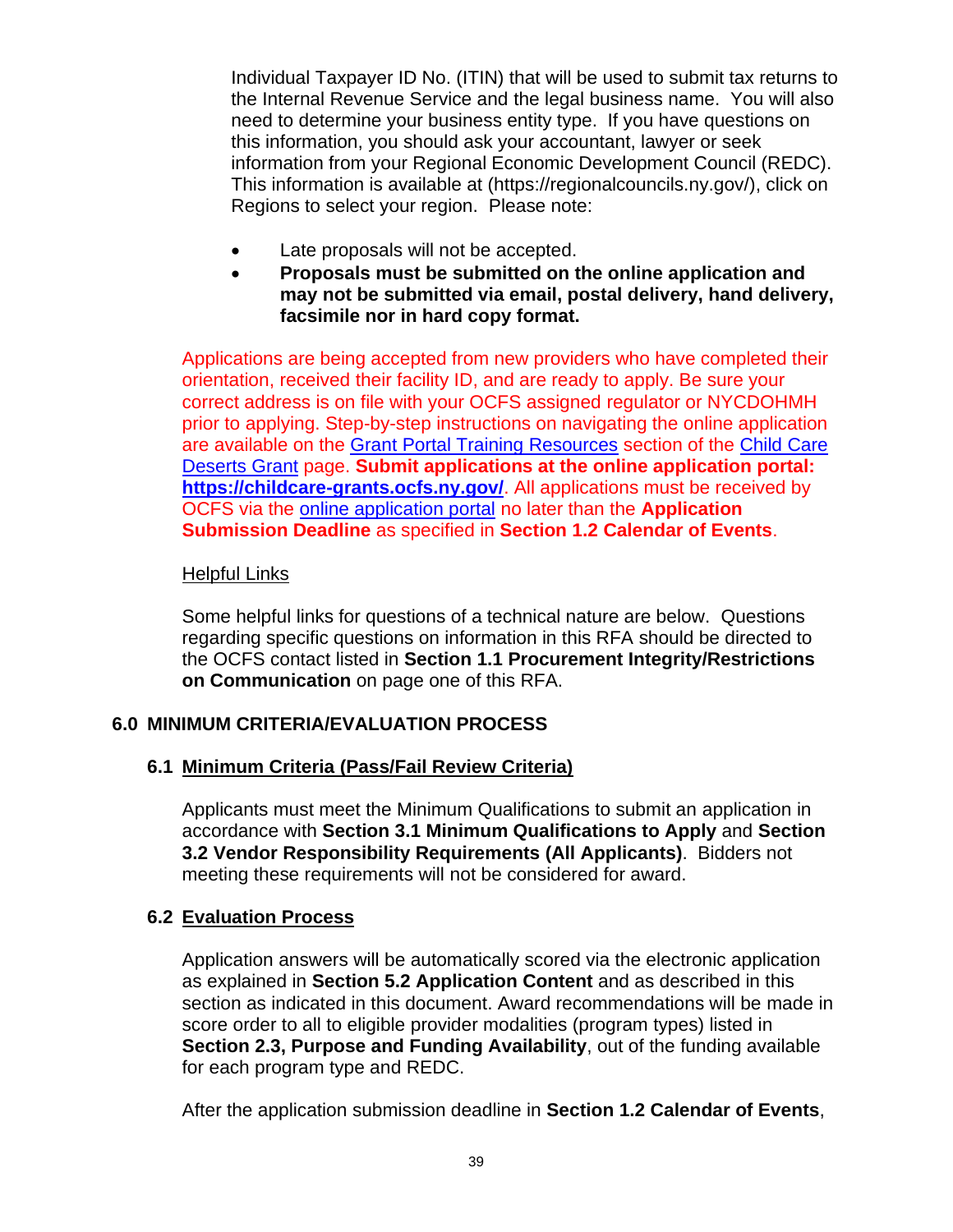Individual Taxpayer ID No. (ITIN) that will be used to submit tax returns to the Internal Revenue Service and the legal business name. You will also need to determine your business entity type. If you have questions on this information, you should ask your accountant, lawyer or seek information from your Regional Economic Development Council (REDC). This information is available at [\(https://regionalcouncils.ny.gov/\)](https://regionalcouncils.ny.gov/), click on Regions to select your region. Please note:

- Late proposals will not be accepted.
- **Proposals must be submitted on the online application and may not be submitted via email, postal delivery, hand delivery, facsimile nor in hard copy format.**

Applications are being accepted from new providers who have completed their orientation, received their facility ID, and are ready to apply. Be sure your correct address is on file with your OCFS assigned regulator or NYCDOHMH prior to applying. Step-by-step instructions on navigating the online application are available on the [Grant Portal Training Resources](https://gcc02.safelinks.protection.outlook.com/?url=https%3A%2F%2Focfs.ny.gov%2Fprograms%2Fchildcare%2Fdeserts%2F%23training-rscs&data=04%7C01%7CAllison.Taylor%40ocfs.ny.gov%7C0dab9a7bb3284898d99d08da2140e592%7Cf46cb8ea79004d108ceb80e8c1c81ee7%7C0%7C0%7C637858859855206939%7CUnknown%7CTWFpbGZsb3d8eyJWIjoiMC4wLjAwMDAiLCJQIjoiV2luMzIiLCJBTiI6Ik1haWwiLCJXVCI6Mn0%3D%7C3000&sdata=lN7%2FXSu0X1e%2BUHcfxaq5xEMEE1ulYgjLFXWPvj8eMtA%3D&reserved=0) section of the [Child Care](https://gcc02.safelinks.protection.outlook.com/?url=https%3A%2F%2Focfs.ny.gov%2Fprograms%2Fchildcare%2Fdeserts%2F&data=04%7C01%7CAllison.Taylor%40ocfs.ny.gov%7C0dab9a7bb3284898d99d08da2140e592%7Cf46cb8ea79004d108ceb80e8c1c81ee7%7C0%7C0%7C637858859855206939%7CUnknown%7CTWFpbGZsb3d8eyJWIjoiMC4wLjAwMDAiLCJQIjoiV2luMzIiLCJBTiI6Ik1haWwiLCJXVCI6Mn0%3D%7C3000&sdata=n46NadXUjKmMVk%2FBqg0pacIwKMdlzJzFhUKZzM%2BEfnU%3D&reserved=0)  [Deserts Grant](https://gcc02.safelinks.protection.outlook.com/?url=https%3A%2F%2Focfs.ny.gov%2Fprograms%2Fchildcare%2Fdeserts%2F&data=04%7C01%7CAllison.Taylor%40ocfs.ny.gov%7C0dab9a7bb3284898d99d08da2140e592%7Cf46cb8ea79004d108ceb80e8c1c81ee7%7C0%7C0%7C637858859855206939%7CUnknown%7CTWFpbGZsb3d8eyJWIjoiMC4wLjAwMDAiLCJQIjoiV2luMzIiLCJBTiI6Ik1haWwiLCJXVCI6Mn0%3D%7C3000&sdata=n46NadXUjKmMVk%2FBqg0pacIwKMdlzJzFhUKZzM%2BEfnU%3D&reserved=0) page. **Submit applications at the online application portal: [https://childcare-grants.ocfs.ny.gov/](https://gcc02.safelinks.protection.outlook.com/?url=https%3A%2F%2Fchildcare-grants.ocfs.ny.gov%2F&data=04%7C01%7CAllison.Taylor%40ocfs.ny.gov%7C0dab9a7bb3284898d99d08da2140e592%7Cf46cb8ea79004d108ceb80e8c1c81ee7%7C0%7C0%7C637858859855206939%7CUnknown%7CTWFpbGZsb3d8eyJWIjoiMC4wLjAwMDAiLCJQIjoiV2luMzIiLCJBTiI6Ik1haWwiLCJXVCI6Mn0%3D%7C3000&sdata=mvQkuJMoecd0o5jQO5NNaDe0DAsiHl7M%2F%2FUusJ1i%2BuM%3D&reserved=0)**. All applications must be received by OCFS via the [online application portal](https://gcc02.safelinks.protection.outlook.com/?url=https%3A%2F%2Fchildcare-grants.ocfs.ny.gov%2F&data=04%7C01%7CAllison.Taylor%40ocfs.ny.gov%7C0dab9a7bb3284898d99d08da2140e592%7Cf46cb8ea79004d108ceb80e8c1c81ee7%7C0%7C0%7C637858859855206939%7CUnknown%7CTWFpbGZsb3d8eyJWIjoiMC4wLjAwMDAiLCJQIjoiV2luMzIiLCJBTiI6Ik1haWwiLCJXVCI6Mn0%3D%7C3000&sdata=mvQkuJMoecd0o5jQO5NNaDe0DAsiHl7M%2F%2FUusJ1i%2BuM%3D&reserved=0) no later than the **Application Submission Deadline** as specified in **Section 1.2 Calendar of Events**.

### Helpful Links

Some helpful links for questions of a technical nature are below. Questions regarding specific questions on information in this RFA should be directed to the OCFS contact listed in **Section [1.1](#page-2-1) [Procurement Integrity/Restrictions](#page-2-1)  [on Communication](#page-2-1)** on page one of this RFA.

# <span id="page-40-0"></span>**6.0 MINIMUM CRITERIA/EVALUATION PROCESS**

### <span id="page-40-1"></span>**6.1 Minimum Criteria (Pass/Fail Review Criteria)**

Applicants must meet the Minimum Qualifications to submit an application in accordance with **Section [3.1](#page-19-1) [Minimum Qualifications to Apply](#page-19-1)** and **Section 3.2 Vendor Responsibility Requirements (All Applicants)**. Bidders not meeting these requirements will not be considered for award.

### <span id="page-40-2"></span>**6.2 Evaluation Process**

Application answers will be automatically scored via the electronic application as explained in **Section [5.2](#page-33-0) [Application Content](#page-33-0)** and as described in this section as indicated in this document. Award recommendations will be made in score order to all to eligible provider modalities (program types) listed in **Section [2.3, Purpose and Funding Availability](#page-12-0)**, out of the funding available for each program type and REDC.

After the application submission deadline in **Section [1.2](#page-3-0) [Calendar of Events](#page-3-0)**,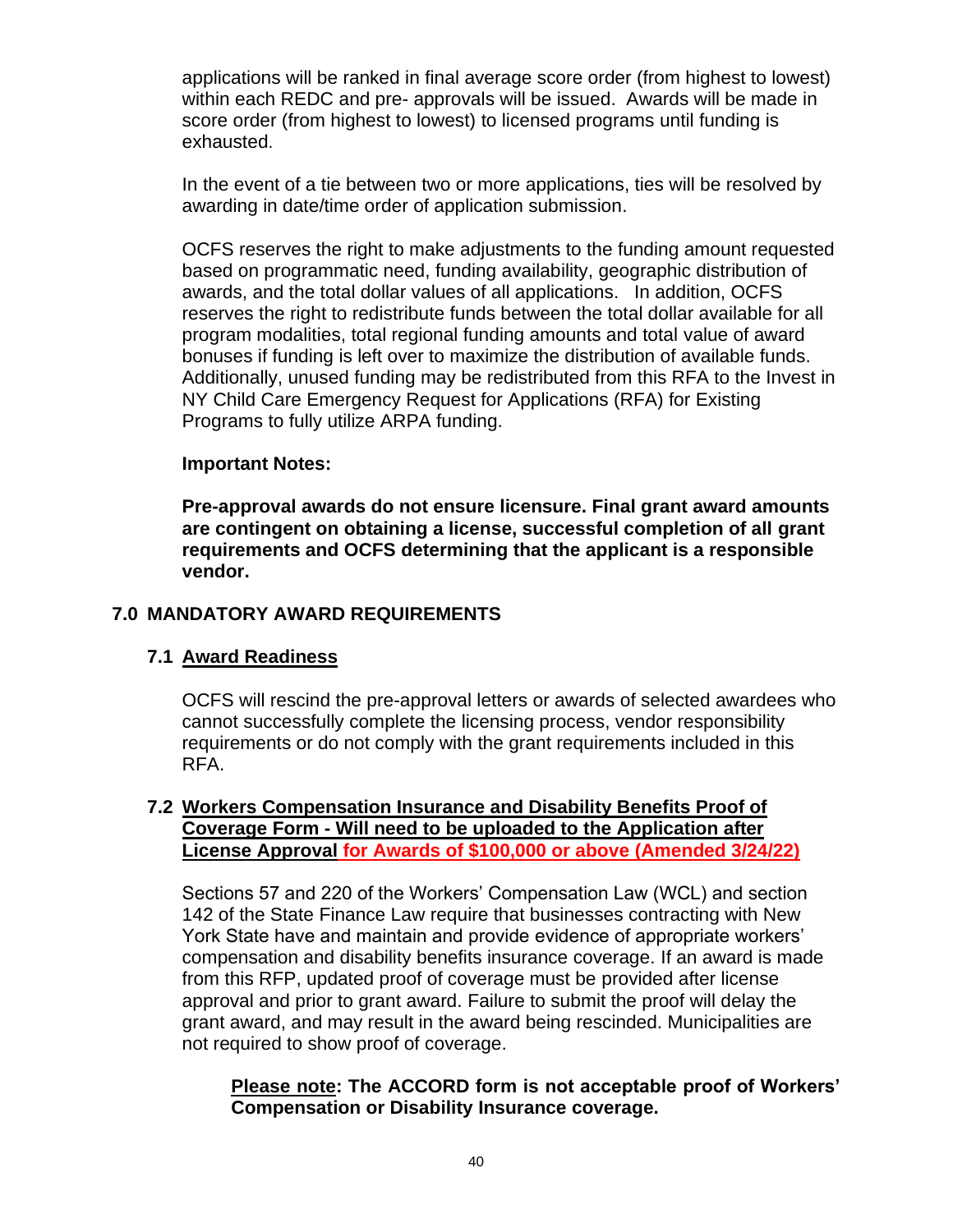applications will be ranked in final average score order (from highest to lowest) within each REDC and pre- approvals will be issued. Awards will be made in score order (from highest to lowest) to licensed programs until funding is exhausted.

In the event of a tie between two or more applications, ties will be resolved by awarding in date/time order of application submission.

OCFS reserves the right to make adjustments to the funding amount requested based on programmatic need, funding availability, geographic distribution of awards, and the total dollar values of all applications. In addition, OCFS reserves the right to redistribute funds between the total dollar available for all program modalities, total regional funding amounts and total value of award bonuses if funding is left over to maximize the distribution of available funds. Additionally, unused funding may be redistributed from this RFA to the Invest in NY Child Care Emergency Request for Applications (RFA) for Existing Programs to fully utilize ARPA funding.

#### **Important Notes:**

**Pre-approval awards do not ensure licensure. Final grant award amounts are contingent on obtaining a license, successful completion of all grant requirements and OCFS determining that the applicant is a responsible vendor.** 

#### <span id="page-41-0"></span>**7.0 MANDATORY AWARD REQUIREMENTS**

### <span id="page-41-1"></span>**7.1 Award Readiness**

OCFS will rescind the pre-approval letters or awards of selected awardees who cannot successfully complete the licensing process, vendor responsibility requirements or do not comply with the grant requirements included in this RFA.

#### <span id="page-41-2"></span>**7.2 Workers Compensation Insurance and Disability Benefits Proof of Coverage Form - Will need to be uploaded to the Application after License Approval for Awards of \$100,000 or above (Amended 3/24/22)**

Sections 57 and 220 of the Workers' Compensation Law (WCL) and section 142 of the State Finance Law require that businesses contracting with New York State have and maintain and provide evidence of appropriate workers' compensation and disability benefits insurance coverage. If an award is made from this RFP, updated proof of coverage must be provided after license approval and prior to grant award. Failure to submit the proof will delay the grant award, and may result in the award being rescinded. Municipalities are not required to show proof of coverage.

**Please note: The ACCORD form is not acceptable proof of Workers' Compensation or Disability Insurance coverage.**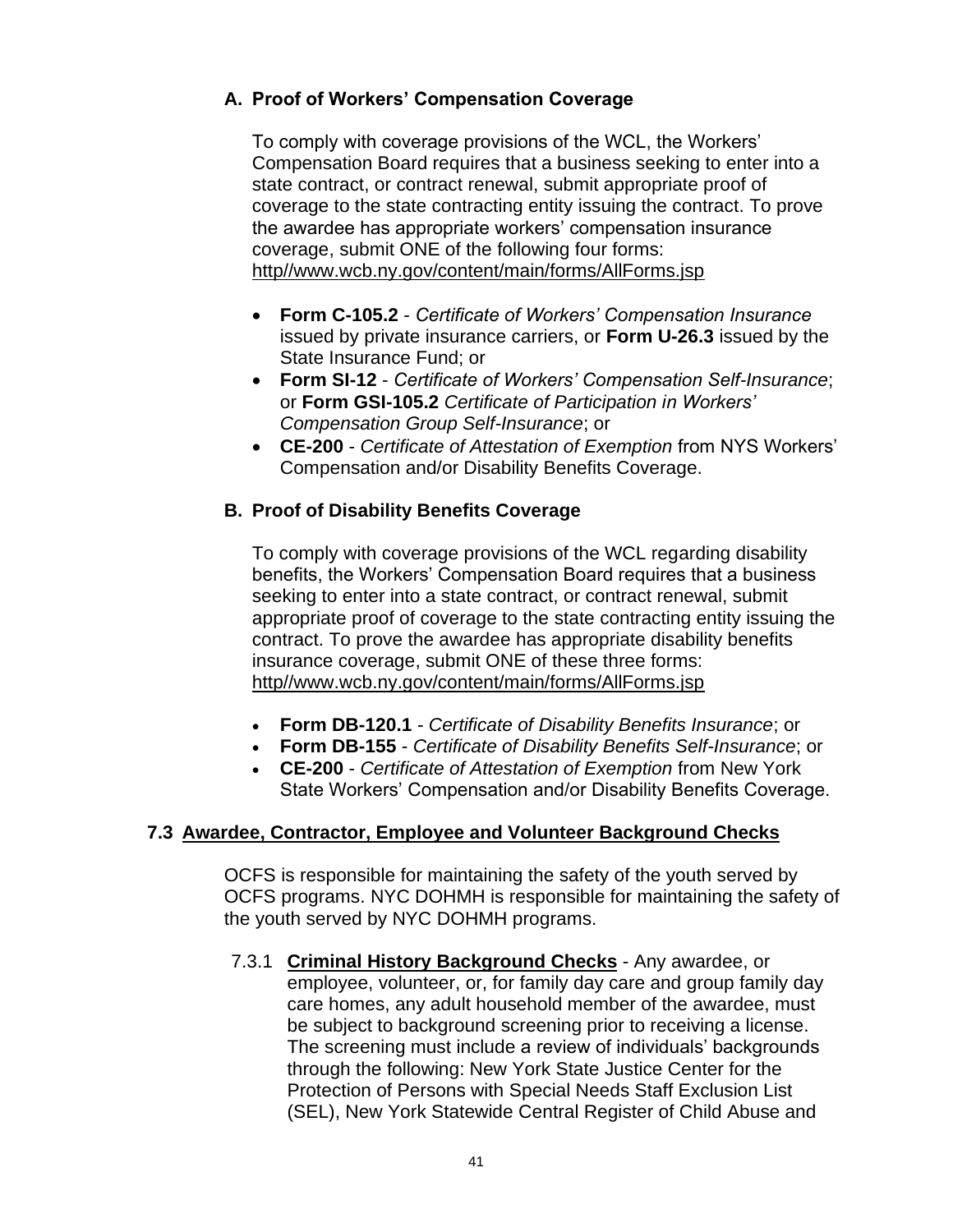# **A. Proof of Workers' Compensation Coverage**

To comply with coverage provisions of the WCL, the Workers' Compensation Board requires that a business seeking to enter into a state contract, or contract renewal, submit appropriate proof of coverage to the state contracting entity issuing the contract. To prove the awardee has appropriate workers' compensation insurance coverage, submit ONE of the following four forms: [http//www.wcb.ny.gov/content/main/forms/AllForms.jsp](http://www.wcb.ny.gov/content/main/forms/AllForms.jsp)

- **Form C-105.2** *Certificate of Workers' Compensation Insurance* issued by private insurance carriers, or **Form U-26.3** issued by the State Insurance Fund; or
- **Form SI-12** *Certificate of Workers' Compensation Self-Insurance*; or **Form GSI-105.2** *Certificate of Participation in Workers' Compensation Group Self-Insurance*; or
- **CE-200** *Certificate of Attestation of Exemption* from NYS Workers' Compensation and/or Disability Benefits Coverage.

### **B. Proof of Disability Benefits Coverage**

To comply with coverage provisions of the WCL regarding disability benefits, the Workers' Compensation Board requires that a business seeking to enter into a state contract, or contract renewal, submit appropriate proof of coverage to the state contracting entity issuing the contract. To prove the awardee has appropriate disability benefits insurance coverage, submit ONE of these three forms: [http//www.wcb.ny.gov/content/main/forms/AllForms.jsp](http://www.wcb.ny.gov/content/main/forms/AllForms.jsp)

- **Form DB-120.1** *Certificate of Disability Benefits Insurance*; or
- **Form DB-155** *Certificate of Disability Benefits Self-Insurance*; or
- **CE-200** *Certificate of Attestation of Exemption* from New York State Workers' Compensation and/or Disability Benefits Coverage.

### **7.3 Awardee, Contractor, Employee and Volunteer Background Checks**

OCFS is responsible for maintaining the safety of the youth served by OCFS programs. NYC DOHMH is responsible for maintaining the safety of the youth served by NYC DOHMH programs.

7.3.1 **Criminal History Background Checks** - Any awardee, or employee, volunteer, or, for family day care and group family day care homes, any adult household member of the awardee, must be subject to background screening prior to receiving a license. The screening must include a review of individuals' backgrounds through the following: New York State Justice Center for the Protection of Persons with Special Needs Staff Exclusion List (SEL), New York Statewide Central Register of Child Abuse and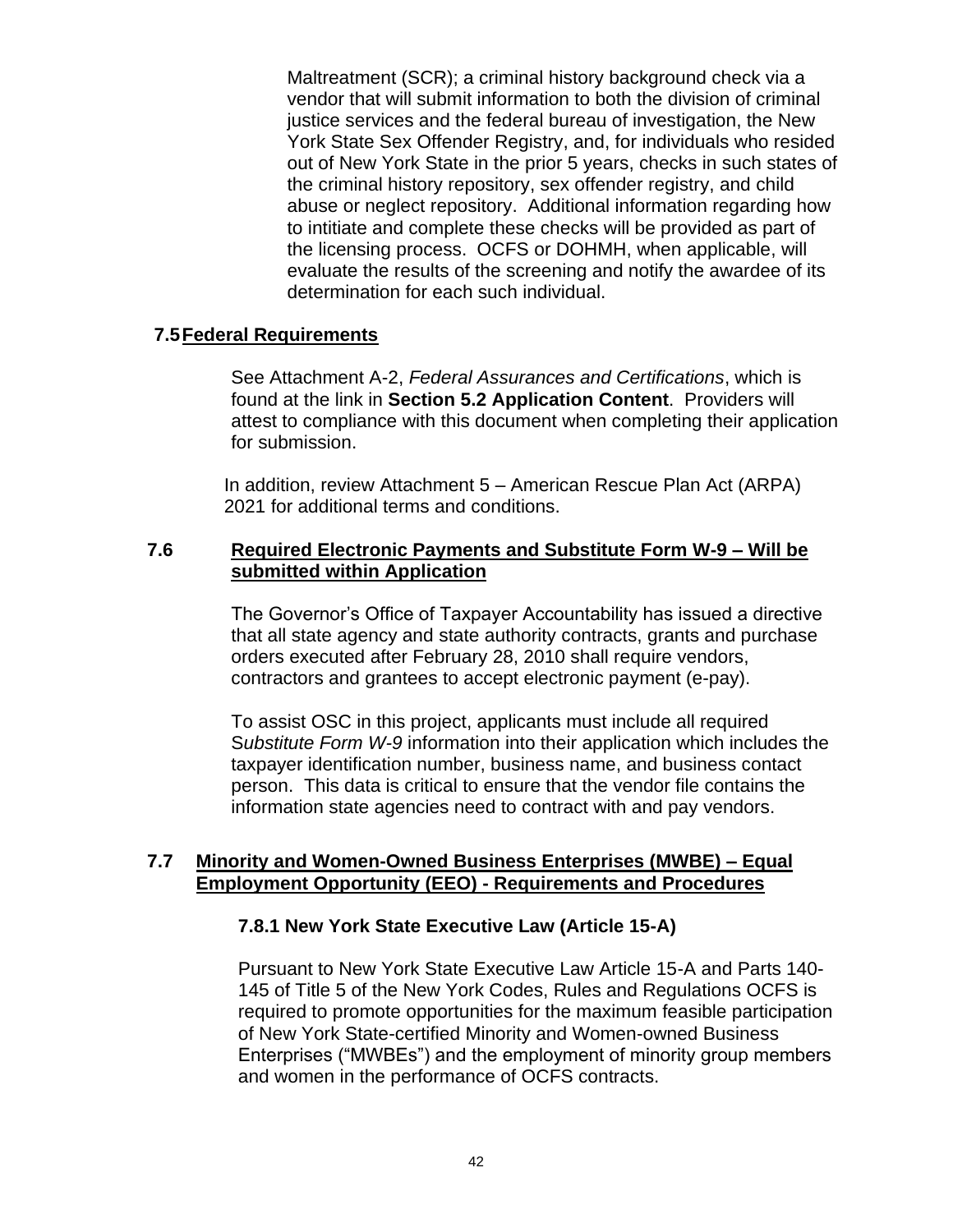Maltreatment (SCR); a criminal history background check via a vendor that will submit information to both the division of criminal justice services and the federal bureau of investigation, the New York State Sex Offender Registry, and, for individuals who resided out of New York State in the prior 5 years, checks in such states of the criminal history repository, sex offender registry, and child abuse or neglect repository. Additional information regarding how to intitiate and complete these checks will be provided as part of the licensing process. OCFS or DOHMH, when applicable, will evaluate the results of the screening and notify the awardee of its determination for each such individual.

#### <span id="page-43-0"></span>**7.5Federal Requirements**

See Attachment A-2, *Federal Assurances and Certifications*, which is found at the link in **Section [5.2](#page-33-0) [Application Content](#page-33-0)**. Providers will attest to compliance with this document when completing their application for submission.

In addition, review Attachment 5 – [American Rescue Plan Act \(ARPA\)](https://ocfs.ny.gov/main/contracts/funding/RFA1/RFA1-Att-5-ARPA-Requirements.docx) [2021](https://ocfs.ny.gov/main/contracts/funding/RFA1/RFA1-Att-5-ARPA-Requirements.docx) for additional terms and conditions.

#### <span id="page-43-1"></span>**7.6 Required Electronic Payments and Substitute Form W-9 – Will be submitted within Application**

The Governor's Office of Taxpayer Accountability has issued a directive that all state agency and state authority contracts, grants and purchase orders executed after February 28, 2010 shall require vendors, contractors and grantees to accept electronic payment (e-pay).

To assist OSC in this project, applicants must include all required S*ubstitute Form W-9* information into their application which includes the taxpayer identification number, business name, and business contact person. This data is critical to ensure that the vendor file contains the information state agencies need to contract with and pay vendors.

### <span id="page-43-2"></span>**7.7 Minority and Women-Owned Business Enterprises (MWBE) – Equal Employment Opportunity (EEO) - Requirements and Procedures**

#### **7.8.1 New York State Executive Law (Article 15-A)**

Pursuant to New York State Executive Law Article 15-A and Parts 140- 145 of Title 5 of the New York Codes, Rules and Regulations OCFS is required to promote opportunities for the maximum feasible participation of New York State-certified Minority and Women-owned Business Enterprises ("MWBEs") and the employment of minority group members and women in the performance of OCFS contracts.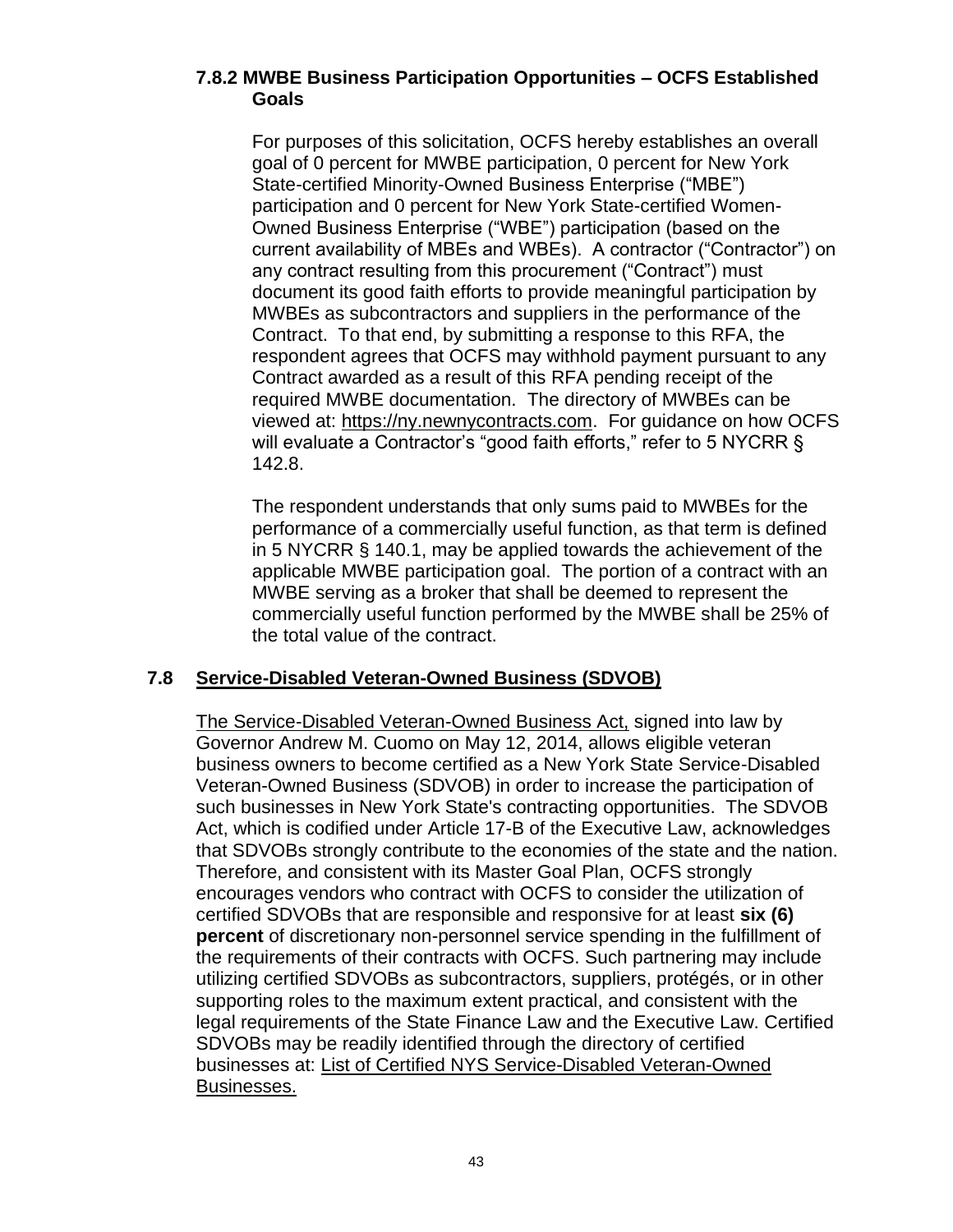### **7.8.2 MWBE Business Participation Opportunities – OCFS Established Goals**

For purposes of this solicitation, OCFS hereby establishes an overall goal of 0 percent for MWBE participation, 0 percent for New York State-certified Minority-Owned Business Enterprise ("MBE") participation and 0 percent for New York State-certified Women-Owned Business Enterprise ("WBE") participation (based on the current availability of MBEs and WBEs). A contractor ("Contractor") on any contract resulting from this procurement ("Contract") must document its good faith efforts to provide meaningful participation by MWBEs as subcontractors and suppliers in the performance of the Contract. To that end, by submitting a response to this RFA, the respondent agrees that OCFS may withhold payment pursuant to any Contract awarded as a result of this RFA pending receipt of the required MWBE documentation. The directory of MWBEs can be viewed at: [https://ny.newnycontracts.com.](https://ny.newnycontracts.com/) For guidance on how OCFS will evaluate a Contractor's "good faith efforts," refer to 5 NYCRR § 142.8.

The respondent understands that only sums paid to MWBEs for the performance of a commercially useful function, as that term is defined in 5 NYCRR § 140.1, may be applied towards the achievement of the applicable MWBE participation goal. The portion of a contract with an MWBE serving as a broker that shall be deemed to represent the commercially useful function performed by the MWBE shall be 25% of the total value of the contract.

# <span id="page-44-0"></span>**7.8 Service-Disabled Veteran-Owned Business (SDVOB)**

[The Service-Disabled Veteran-Owned Business Act,](https://ogs.ny.gov/Veterans/) signed into law by Governor Andrew M. Cuomo on May 12, 2014, allows eligible veteran business owners to become certified as a New York State Service-Disabled Veteran-Owned Business (SDVOB) in order to increase the participation of such businesses in New York State's contracting opportunities. The SDVOB Act, which is codified under Article 17-B of the Executive Law, acknowledges that SDVOBs strongly contribute to the economies of the state and the nation. Therefore, and consistent with its Master Goal Plan, OCFS strongly encourages vendors who contract with OCFS to consider the utilization of certified SDVOBs that are responsible and responsive for at least **six (6) percent** of discretionary non-personnel service spending in the fulfillment of the requirements of their contracts with OCFS. Such partnering may include utilizing certified SDVOBs as subcontractors, suppliers, protégés, or in other supporting roles to the maximum extent practical, and consistent with the legal requirements of the State Finance Law and the Executive Law. Certified SDVOBs may be readily identified through the directory of certified businesses at: [List of Certified NYS Service-Disabled Veteran-Owned](https://online.ogs.ny.gov/SDVOB/search)  [Businesses.](https://online.ogs.ny.gov/SDVOB/search)